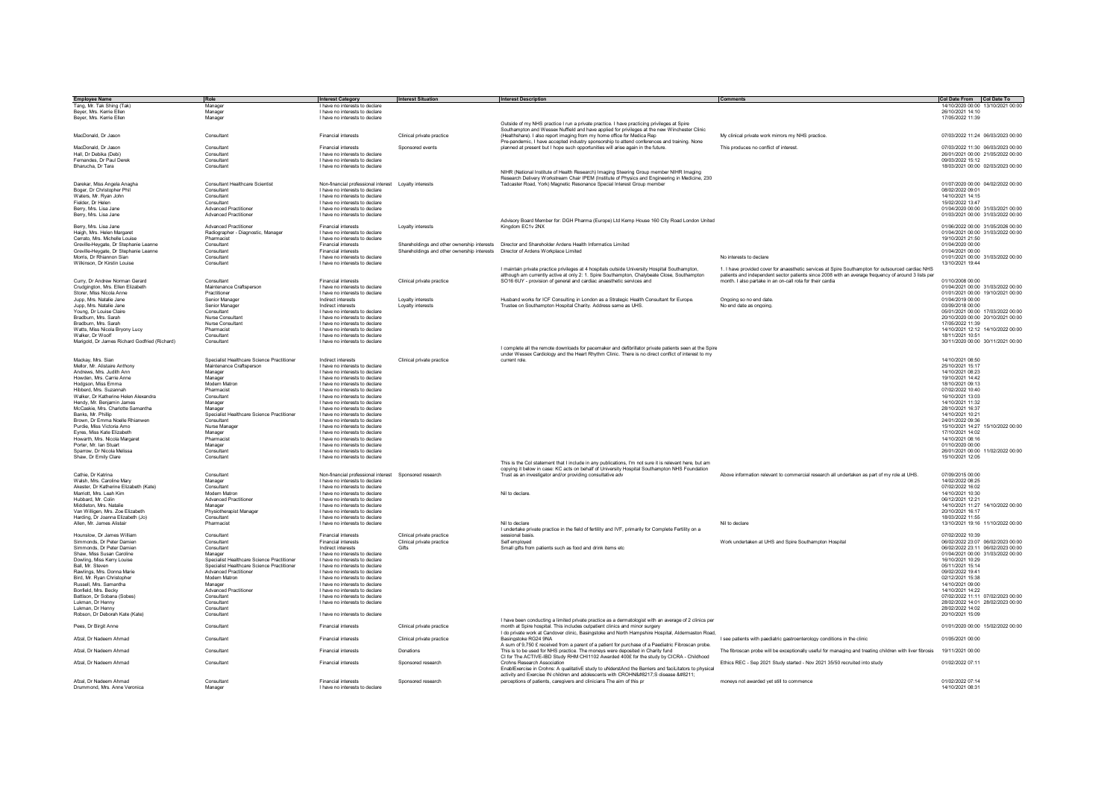| <b>Employee Name</b>                          | Role                                       | <b>Interest Category</b>                                 | <b>Interest Situation</b>                                                         | <b>Interest Description</b>                                                                             | Comments                                                                                                | Col Date From Col Date To         |
|-----------------------------------------------|--------------------------------------------|----------------------------------------------------------|-----------------------------------------------------------------------------------|---------------------------------------------------------------------------------------------------------|---------------------------------------------------------------------------------------------------------|-----------------------------------|
| Tang, Mr. Tak Shing (Tak)                     | Manager                                    | I have no interests to declare                           |                                                                                   |                                                                                                         |                                                                                                         | 14/10/2020 00:00 13/10/2021 00:00 |
| Bever, Mrs. Kerrie Ellen                      | Manager                                    | I have no interests to declare                           |                                                                                   |                                                                                                         |                                                                                                         | 26/10/2021 14:10                  |
| Bever, Mrs. Kerrie Ellen                      | Manager                                    | I have no interests to declare                           |                                                                                   |                                                                                                         |                                                                                                         | 17/05/2022 11:39                  |
|                                               |                                            |                                                          |                                                                                   | Outside of my NHS practice I run a private practice. I have practicing privileges at Spire              |                                                                                                         |                                   |
|                                               |                                            |                                                          |                                                                                   |                                                                                                         |                                                                                                         |                                   |
|                                               |                                            |                                                          |                                                                                   | Southampton and Wessex Nuffield and have applied for privileges at the new Winchester Clinic            |                                                                                                         |                                   |
| MacDonald, Dr Jason                           | Consultant                                 | <b>Financial interests</b>                               | Clinical private practice                                                         | (Healthshare). I also report imaging from my home office for Medica Rep                                 | My clinical private work mirrors my NHS practice.                                                       | 07/03/2022 11:24 06/03/2023 00:00 |
|                                               |                                            |                                                          |                                                                                   | Pre-pandemic, I have accepted industry sponsorship to attend conferences and training. None             |                                                                                                         |                                   |
| MacDonald, Dr Jason                           | Consultant                                 | <b>Financial interests</b>                               | Sponsored events                                                                  | planned at present but I hope such opportunities will arise again in the future.                        | This produces no conflict of interest                                                                   | 07/03/2022 11:30 06/03/2023 00:00 |
| Hall, Dr Debika (Debi)                        | Consultant                                 | I have no interests to declare                           |                                                                                   |                                                                                                         |                                                                                                         | 26/01/2021 00:00 21/05/2022 00:00 |
|                                               | Consultant                                 | I have no interests to declare                           |                                                                                   |                                                                                                         |                                                                                                         |                                   |
| Fernandes, Dr Paul Derek                      |                                            |                                                          |                                                                                   |                                                                                                         |                                                                                                         | 09/03/2022 15:12                  |
| Bharucha, Dr Tara                             | Consultant                                 | I have no interests to declare                           |                                                                                   |                                                                                                         |                                                                                                         | 18/03/2021 00:00 02/03/2023 00:00 |
|                                               |                                            |                                                          |                                                                                   | NIHR (National Institute of Health Research) Imaging Steering Group member NIHR Imaging                 |                                                                                                         |                                   |
|                                               |                                            |                                                          |                                                                                   | Research Delivery Workstream Chair IPEM (Institute of Physics and Engineering in Medicine, 230          |                                                                                                         |                                   |
| Darekar, Miss Angela Anagha                   | Consultant Healthcare Scientist            | Non-financial professional interest    Loyalty interests |                                                                                   | Tadcaster Road, York) Magnetic Resonance Special Interest Group member                                  |                                                                                                         | 01/07/2020 00:00 04/02/2022 00:00 |
| Boger, Dr Christopher Phil                    | Consultant                                 | I have no interests to declare                           |                                                                                   |                                                                                                         |                                                                                                         | 08/02/2022 09:01                  |
| Waters, Mr. Ryan John                         | Consultant                                 | I have no interests to declare                           |                                                                                   |                                                                                                         |                                                                                                         | 14/10/2021 14:15                  |
|                                               |                                            |                                                          |                                                                                   |                                                                                                         |                                                                                                         |                                   |
| Fielder, Dr Heler                             | Consultant                                 | I have no interests to declare                           |                                                                                   |                                                                                                         |                                                                                                         | 15/02/2022 13:47                  |
| Berry, Mrs. Lisa Jane                         | <b>Advanced Practitioner</b>               | I have no interests to declare                           |                                                                                   |                                                                                                         |                                                                                                         | 01/04/2020 00:00 31/03/2021 00:00 |
| Berry, Mrs. Lisa Jane                         | <b>Advanced Practitioner</b>               | I have no interests to declare                           |                                                                                   |                                                                                                         |                                                                                                         | 01/03/2021 00:00 31/03/2022 00:00 |
|                                               |                                            |                                                          |                                                                                   | Advisory Board Member for: DGH Pharma (Europe) Ltd Kemp House 160 City Road London United               |                                                                                                         |                                   |
| Berry, Mrs. Lisa Jane                         | <b>Advanced Practitioner</b>               | <b>Financial interests</b>                               | Lovalty interests                                                                 | Kingdom FC1y 2NX                                                                                        |                                                                                                         | 01/06/2022 00:00 31/05/2026 00:00 |
|                                               |                                            |                                                          |                                                                                   |                                                                                                         |                                                                                                         | 01/04/2021 00:00 31/03/2022 00:00 |
| Haigh, Mrs. Helen Margaret                    | Radiographer - Diagnostic, Manage          | I have no interests to declare                           |                                                                                   |                                                                                                         |                                                                                                         |                                   |
| Cerrato. Mrs. Michelle Louise                 | Pharmacist                                 | I have no interests to declare                           |                                                                                   |                                                                                                         |                                                                                                         | 19/10/2021 21:50                  |
| Greville-Heygate, Dr Stephanie Leanne         | Consultant                                 | <b>Financial interests</b>                               |                                                                                   | Shareholdings and other ownership interests  Director and Shareholder Ardens Health Informatics Limited |                                                                                                         | 01/04/2020 00:00                  |
| Greville-Heygate, Dr Stephanie Leanne         | Consultant                                 | <b>Financial interests</b>                               | Shareholdings and other ownership interests  Director of Ardens Workplace Limited |                                                                                                         |                                                                                                         | 01/04/2021 00:00                  |
| Morris, Dr Rhiannon Sian                      | Consultant                                 | I have no interests to declare                           |                                                                                   |                                                                                                         | No interests to declare                                                                                 | 01/01/2021 00:00 31/03/2022 00:00 |
| Wilkinson, Dr Kirstin Louise                  | Consultant                                 | I have no interests to declare                           |                                                                                   |                                                                                                         |                                                                                                         | 13/10/2021 19:44                  |
|                                               |                                            |                                                          |                                                                                   |                                                                                                         |                                                                                                         |                                   |
|                                               |                                            |                                                          |                                                                                   | I maintain private practice privileges at 4 hospitals outside University Hospital Southampton,          | 1. I have provided cover for anaesthetic services at Spire Southampton for outsourced cardiac NHS       |                                   |
|                                               |                                            |                                                          |                                                                                   | although am currently active at only 2: 1. Spire Southampton, Chalybeate Close, Southampton             | patients and independent sector patients since 2008 with an average frequency of around 3 lists per     |                                   |
| Curry, Dr Andrew Norman Gerard                | Consultant                                 | <b>Financial interests</b>                               | Clinical private practice                                                         | SO16 6UY - provision of general and cardiac anaesthetic services and                                    | month. I also partake in an on-call rota for their cardia                                               | 01/10/2008 00:00                  |
| Crudgington, Mrs. Ellen Elizabeth             | Maintenance Craftsperson                   | I have no interests to declare                           |                                                                                   |                                                                                                         |                                                                                                         | 01/04/2021 00:00 31/03/2022 00:00 |
| Storer Miss Nicola Anne                       | Practitioner                               | I have no interests to declare                           |                                                                                   |                                                                                                         |                                                                                                         | 01/01/2021 00:00 19/10/2021 00:00 |
| Jupp. Mrs. Natalie Jane                       | Senior Manager                             | Indirect interests                                       | Lovalty interests                                                                 | Hushand works for ICE Consulting in London as a Strategic Health Consultant for Europe                  | Ongoing so no end date                                                                                  | 01/04/2019 00:00                  |
|                                               |                                            |                                                          |                                                                                   |                                                                                                         |                                                                                                         |                                   |
| Jupp, Mrs. Natalie Jane                       | Senior Manager                             | Indirect interests                                       | Loyalty interests                                                                 | Trustee on Southampton Hospital Charity, Address same as UHS.                                           | No end date as ongoing                                                                                  | 03/09/2018 00:00                  |
| Young. Dr Louise Claire                       | Consultant                                 | I have no interests to declare                           |                                                                                   |                                                                                                         |                                                                                                         | 05/01/2021 00:00 17/03/2022 00:00 |
| Bradburn, Mrs. Sarah                          | Nurse Consultan                            | I have no interests to declare                           |                                                                                   |                                                                                                         |                                                                                                         | 20/10/2020 00:00 20/10/2021 00:00 |
| Bradburn, Mrs. Sarah                          | Nurse Consultant                           | I have no interests to declare                           |                                                                                   |                                                                                                         |                                                                                                         | 17/05/2022 11:39                  |
| Watts, Miss Nicola Bryony Lucy                | Pharmacist                                 | I have no interests to declare                           |                                                                                   |                                                                                                         |                                                                                                         | 14/10/2021 12:12 14/10/2022 00:00 |
| Walker, Dr Woolf                              | Consultant                                 | I have no interests to declare                           |                                                                                   |                                                                                                         |                                                                                                         | 18/11/2021 10:51                  |
|                                               |                                            |                                                          |                                                                                   |                                                                                                         |                                                                                                         |                                   |
| Marigold, Dr James Richard Godfried (Richard) | Consultant                                 | I have no interests to declare                           |                                                                                   |                                                                                                         |                                                                                                         | 30/11/2020 00:00 30/11/2021 00:00 |
|                                               |                                            |                                                          |                                                                                   | I complete all the remote downloads for pacemaker and defibrillator private patients seen at the Spire  |                                                                                                         |                                   |
|                                               |                                            |                                                          |                                                                                   | under Wessex Cardiology and the Heart Rhythm Clinic. There is no direct conflict of interest to my      |                                                                                                         |                                   |
| Mackay, Mrs. Sian                             | Specialist Healthcare Science Practitioner | Indirect interests                                       | Clinical private practice                                                         | current role.                                                                                           |                                                                                                         | 14/10/2021 08:50                  |
| Mellor, Mr. Alistaire Anthony                 | Maintenance Craftspersor                   | I have no interests to declare                           |                                                                                   |                                                                                                         |                                                                                                         | 25/10/2021 15:17                  |
| Andrews, Mrs. Judith Ann                      | Manager                                    | I have no interests to declare                           |                                                                                   |                                                                                                         |                                                                                                         | 14/10/2021 08:23                  |
|                                               |                                            |                                                          |                                                                                   |                                                                                                         |                                                                                                         |                                   |
| Howden, Mrs. Carrie Anne                      | Manager                                    | I have no interests to declare                           |                                                                                   |                                                                                                         |                                                                                                         | 19/10/2021 14:42                  |
| Hodgson, Miss Emma                            | Modern Matron                              | I have no interests to declare                           |                                                                                   |                                                                                                         |                                                                                                         | 18/10/2021 09:13                  |
| Hibberd, Mrs. Suzannah                        | Pharmacist                                 | I have no interests to declare                           |                                                                                   |                                                                                                         |                                                                                                         | 07/02/2022 10:40                  |
| Walker, Dr Katherine Helen Alexandra          | Consultant                                 | I have no interests to declare                           |                                                                                   |                                                                                                         |                                                                                                         | 16/10/2021 13:03                  |
| Hendy, Mr. Benjamin James                     | Manager                                    | I have no interests to declare                           |                                                                                   |                                                                                                         |                                                                                                         | 14/10/2021 11:32                  |
|                                               |                                            |                                                          |                                                                                   |                                                                                                         |                                                                                                         |                                   |
| McCaskie, Mrs. Charlotte Samantha             | Manager                                    | I have no interests to declare                           |                                                                                   |                                                                                                         |                                                                                                         | 28/10/2021 16:37                  |
| Banks, Mr. Phillip                            | Specialist Healthcare Science Practitioner | I have no interests to declare                           |                                                                                   |                                                                                                         |                                                                                                         | 14/10/2021 10:21                  |
| Brown, Dr Emma Noelle Rhianwen                | Consultant                                 | I have no interests to declare                           |                                                                                   |                                                                                                         |                                                                                                         | 24/01/2022 09:36                  |
| Purdie, Miss Victoria Amo                     | Nurse Manage                               | I have no interests to declare                           |                                                                                   |                                                                                                         |                                                                                                         | 15/10/2021 14:27 15/10/2022 00:00 |
| Evres, Miss Kate Elizabeth                    | Manager                                    | I have no interests to declare                           |                                                                                   |                                                                                                         |                                                                                                         | 17/10/2021 14:02                  |
| Howarth, Mrs. Nicola Margaret                 | Pharmacist                                 | I have no interests to declare                           |                                                                                   |                                                                                                         |                                                                                                         | 14/10/2021 08:16                  |
|                                               |                                            |                                                          |                                                                                   |                                                                                                         |                                                                                                         |                                   |
| Porter, Mr. Ian Stuart                        | Manager                                    | I have no interests to declare                           |                                                                                   |                                                                                                         |                                                                                                         | 01/10/2020 00:00                  |
| Sparrow, Dr Nicola Melissa                    | Consultant                                 | I have no interests to declare                           |                                                                                   |                                                                                                         |                                                                                                         | 26/01/2021 00:00 11/02/2022 00:00 |
| Shaw, Dr Emily Clare                          | Consultant                                 | I have no interests to declare                           |                                                                                   |                                                                                                         |                                                                                                         | 15/10/2021 12:05                  |
|                                               |                                            |                                                          |                                                                                   | This is the Collstatement that Linclude in any publications. I'm not sure it is relevant here, but am   |                                                                                                         |                                   |
|                                               |                                            |                                                          |                                                                                   | copying it below in case: KC acts on behalf of University Hospital Southampton NHS Foundation           |                                                                                                         |                                   |
| Cathie, Dr Katrina                            | Consultant                                 | Non-financial professional interest Sponsored research   |                                                                                   | Trust as an investigator and/or providing consultative adv                                              | Above information relevant to commercial research all undertaken as part of my role at UHS              | 07/09/2015 00:00                  |
| Walsh Mrs Caroline Mary                       |                                            | I have no interests to declare                           |                                                                                   |                                                                                                         |                                                                                                         | 14/02/2022 08:25                  |
|                                               | Manager                                    |                                                          |                                                                                   |                                                                                                         |                                                                                                         |                                   |
| Akester Dr Katherine Flizabeth (Kate)         | Consultant                                 | I have no interests to declare                           |                                                                                   |                                                                                                         |                                                                                                         | 07/02/2022 16:02                  |
| Marriott Mrs Leah Kim                         | Modern Matron                              | I have no interests to declare                           |                                                                                   | Nil to declare                                                                                          |                                                                                                         | 14/10/2021 10:30                  |
| Hubbard Mr Colin                              | <b>Advanced Practitioner</b>               | I have no interests to declare                           |                                                                                   |                                                                                                         |                                                                                                         | 06/12/2021 12:21                  |
| Middleton, Mrs. Natalie                       | Manager                                    | I have no interests to declare                           |                                                                                   |                                                                                                         |                                                                                                         | 14/10/2021 11:27 14/10/2022 00:00 |
| Van Willigen, Mrs. Zoe Elizabeth              | Physiotherapist Manager                    | I have no interests to declare                           |                                                                                   |                                                                                                         |                                                                                                         | 20/10/2021 16:17                  |
| Harding, Dr Joanna Elizabeth (Jo)             | Consultant                                 | I have no interests to declare                           |                                                                                   |                                                                                                         |                                                                                                         | 18/03/2022 11:55                  |
|                                               |                                            |                                                          |                                                                                   |                                                                                                         | Nil to declare                                                                                          |                                   |
| Allen Mr James Alistair                       | Pharmacist                                 | I have no interests to declare                           |                                                                                   | Nil to declare                                                                                          |                                                                                                         | 13/10/2021 19:16 11/10/2022 00:00 |
|                                               |                                            |                                                          |                                                                                   | I undertake private practice in the field of fertility and IVF, primarily for Complete Fertility on a   |                                                                                                         |                                   |
| Hounslow, Dr James William                    | Consultant                                 | <b>Financial interests</b>                               | Clinical private practice                                                         | sessional basis.                                                                                        |                                                                                                         | 07/02/2022 10:39                  |
| Simmonds, Dr Peter Damien                     | Consultant                                 | <b>Financial interests</b>                               | Clinical private practice                                                         | Self employed                                                                                           | Work undertaken at UHS and Spire Southampton Hospital                                                   | 06/02/2022 23:07 06/02/2023 00:00 |
| Simmonds, Dr Peter Damien                     | Consultant                                 | Indirect interests                                       | Gifts                                                                             | Small gifts from patients such as food and drink items etc                                              |                                                                                                         | 06/02/2022 23:11 06/02/2023 00:00 |
|                                               |                                            |                                                          |                                                                                   |                                                                                                         |                                                                                                         |                                   |
| Shaw, Miss Susan Caroline                     | Manager                                    | I have no interests to declare                           |                                                                                   |                                                                                                         |                                                                                                         | 01/04/2021 00:00 31/03/2022 00:00 |
| Dowling, Miss Kerry Louise                    | Specialist Healthcare Science Practitioner | I have no interests to declare                           |                                                                                   |                                                                                                         |                                                                                                         | 16/10/2021 10:29                  |
| Ball, Mr. Steven                              | Specialist Healthcare Science Practitioner | I have no interests to declare                           |                                                                                   |                                                                                                         |                                                                                                         | 05/11/2021 15:14                  |
| Rawlings, Mrs. Donna Marie                    | <b>Advanced Practitioner</b>               | I have no interests to declare                           |                                                                                   |                                                                                                         |                                                                                                         | 09/02/2022 19:41                  |
| Bird, Mr. Ryan Christopher                    | Modern Matror                              | I have no interests to declare                           |                                                                                   |                                                                                                         |                                                                                                         | 02/12/2021 15:38                  |
| Russell, Mrs. Samantha                        | Manager                                    | I have no interests to declare                           |                                                                                   |                                                                                                         |                                                                                                         | 14/10/2021 09:00                  |
| Bonfield, Mrs. Becky                          | Advanced Practitioner                      | I have no interests to declare                           |                                                                                   |                                                                                                         |                                                                                                         | 14/10/2021 14:22                  |
|                                               |                                            |                                                          |                                                                                   |                                                                                                         |                                                                                                         |                                   |
| Battison, Dr Sobana (Sobes)                   | Consultant                                 | I have no interests to declare                           |                                                                                   |                                                                                                         |                                                                                                         | 07/02/2022 11:11 07/02/2023 00:00 |
| Lukman, Dr Henny                              | Consultant                                 | I have no interests to declare                           |                                                                                   |                                                                                                         |                                                                                                         | 28/02/2022 14:01 28/02/2023 00:00 |
| Lukman, Dr Henny                              | Consultant                                 |                                                          |                                                                                   |                                                                                                         |                                                                                                         | 28/02/2022 14:02                  |
| Robson, Dr Deborah Kate (Kate)                | Consultant                                 | I have no interests to declare                           |                                                                                   |                                                                                                         |                                                                                                         | 20/10/2021 15:09                  |
|                                               |                                            |                                                          |                                                                                   | I have been conducting a limited private practice as a dermatologist with an average of 2 clinics per   |                                                                                                         |                                   |
|                                               |                                            |                                                          |                                                                                   |                                                                                                         |                                                                                                         |                                   |
| Pees, Dr Birgit Anne                          | Consultant                                 | <b>Financial interests</b>                               | Clinical private practice                                                         | month at Spire hospital. This includes outpatient clinics and minor surgery                             |                                                                                                         | 01/01/2020 00:00 15/02/2022 00:00 |
|                                               |                                            |                                                          |                                                                                   | I do private work at Candover clinic, Basingstoke and North Hampshire Hospital, Aldermaston Road,       |                                                                                                         |                                   |
| Afzal, Dr Nadeem Ahmad                        | Consultant                                 | <b>Financial interests</b>                               | Clinical private practice                                                         | Basingstoke RG24 9NA                                                                                    | I see patients with paediatric gastroenterology conditions in the clinic                                | 01/05/2021 00:00                  |
|                                               |                                            |                                                          |                                                                                   | A sum of 9,750 £ received from a parent of a patient for purchase of a Paediatric Fibroscan probe.      |                                                                                                         |                                   |
| Afzal Dr Nadeem Ahmad                         | Consultant                                 | <b>Einancial interests</b>                               | Donations                                                                         | This is to be used for NHS practice. The moneys were deposited in Charity fund                          | The fibroscan probe will be exceptionally useful for managing and treating children with liver fibrosis | 19/11/2021 00:00                  |
|                                               |                                            |                                                          |                                                                                   | CI for The ACTIVE-IBD Study RHM CHI1102 Awarded 400£ for the study by CICRA - Childhood                 |                                                                                                         |                                   |
| Afzal Dr Nadeem Ahmad                         | Consultant                                 | <b>Financial interests</b>                               | Sponsored research                                                                | Crohns Research Association                                                                             | Ethics REC - Sen 2021 Study started - Nov 2021 35/50 recruited into study                               | 01/02/2022 07:11                  |
|                                               |                                            |                                                          |                                                                                   | EnablExercise in Crohns: A qualitativE study to uNderstAnd the Barriers and faciLitators to physical    |                                                                                                         |                                   |
|                                               |                                            |                                                          |                                                                                   | activity and Exercise IN children and adolescents with CROHN’:S disease –:                              |                                                                                                         |                                   |
|                                               | Consultant                                 | <b>Financial interests</b>                               |                                                                                   |                                                                                                         |                                                                                                         | 01/02/2022 07:14                  |
| Afzal. Dr Nadeem Ahmad                        |                                            |                                                          | Sponsored research                                                                | perceptions of patients, caregivers and clinicians The aim of this pr                                   | moneys not awarded yet still to commence                                                                |                                   |
| Drummond Mrs Anne Veronica                    | Manager                                    | I have no interests to declare                           |                                                                                   |                                                                                                         |                                                                                                         | 14/10/2021 08:31                  |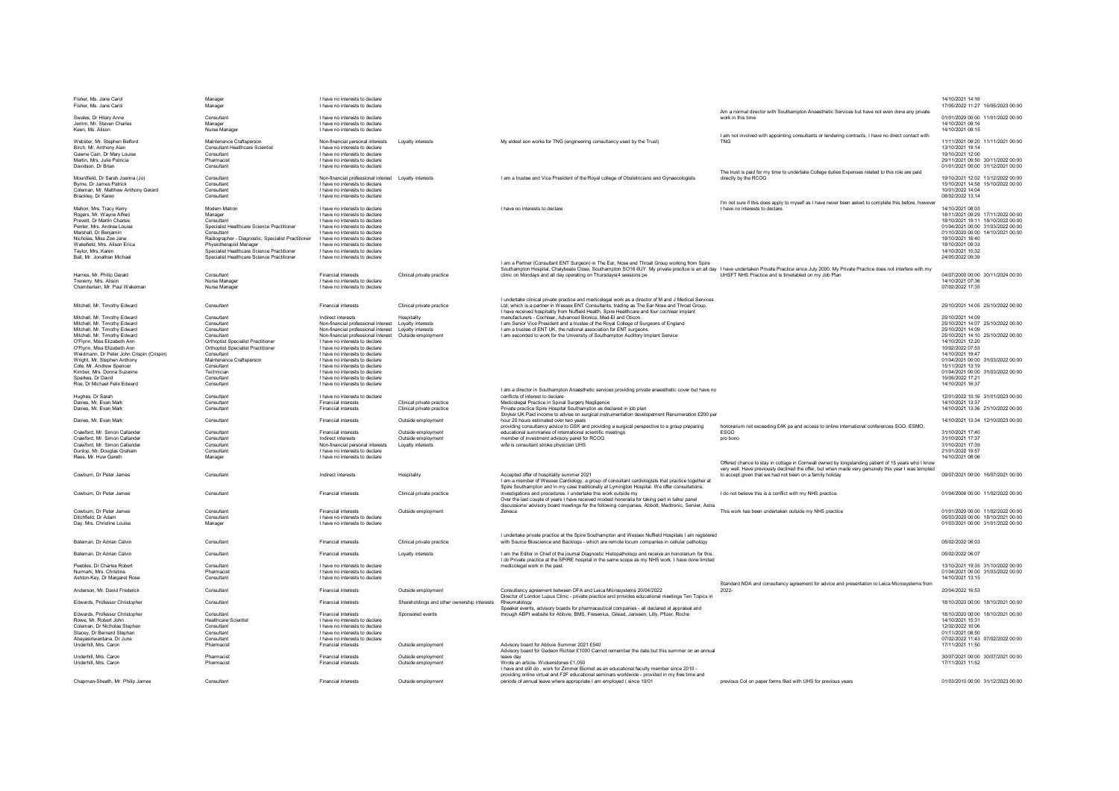| Fisher, Ms. Jane Carol                                                   | Manager<br>Manager                                                                       | I have no interests to declare<br>I have no interests to declare                                   |                                                        |                                                                                                                                                                                                      | Am a normal director with Southampton Anaesthetic Services but have not even done any private                                                                                                             | 14/10/2021 14:16<br>17/05/2022 11:27 16/05/2023 00:00                     |
|--------------------------------------------------------------------------|------------------------------------------------------------------------------------------|----------------------------------------------------------------------------------------------------|--------------------------------------------------------|------------------------------------------------------------------------------------------------------------------------------------------------------------------------------------------------------|-----------------------------------------------------------------------------------------------------------------------------------------------------------------------------------------------------------|---------------------------------------------------------------------------|
| Swales, Dr Hilary Anne<br>Jerrim, Mr. Steven Charles<br>Keen, Ms. Alison | Consultant<br>Manager<br>Nurse Manager                                                   | I have no interests to declare<br>I have no interests to declare<br>I have no interests to declare |                                                        |                                                                                                                                                                                                      | work in this time                                                                                                                                                                                         | 01/01/2020 00:00 11/01/2022 00:00<br>14/10/2021 08:16<br>14/10/2021 08:15 |
| Webster, Mr. Stephen Belford                                             | Maintenance Craftsperson                                                                 | Non-financial personal interests                                                                   | Lovalty interests                                      | My eldest son works for TNG (engineering consultancy used by the Trust)                                                                                                                              | I am not involved with appointing consultants or tendering contracts. I have no direct contact with<br><b>TNG</b>                                                                                         | 11/11/2021 09:20 11/11/2021 00:00                                         |
| Birch, Mr. Anthony Alan                                                  | <b>Consultant Healthcare Scientist</b>                                                   | I have no interests to declare                                                                     |                                                        |                                                                                                                                                                                                      |                                                                                                                                                                                                           | 13/10/2021 19:14                                                          |
| Gawne Cain, Dr Mary Louise<br>Martin, Mrs. Julie Patricia                | Consultant<br>Pharmacist                                                                 | I have no interests to declare<br>I have no interests to declare                                   |                                                        |                                                                                                                                                                                                      |                                                                                                                                                                                                           | 19/10/2021 12:00<br>29/11/2021 09:50 30/11/2022 00:00                     |
| Davidson, Dr Brian                                                       | Consultant                                                                               | I have no interests to declare                                                                     |                                                        |                                                                                                                                                                                                      |                                                                                                                                                                                                           | 01/01/2021 00:00 31/12/2021 00:00                                         |
|                                                                          |                                                                                          |                                                                                                    |                                                        |                                                                                                                                                                                                      | The trust is paid for my time to undertake College duties Expenses related to this role are paid                                                                                                          |                                                                           |
| Mountfield. Dr Sarah Joanna (Jo)<br>Byrne, Dr James Patrick              | Consultant<br>Consultant                                                                 | Non-financial professional interest    Loyalty interests<br>I have no interests to declare         |                                                        | Lam a trustee and Vice President of the Royal college of Obstetricians and Gynaecologists                                                                                                            | directly by the RCOG                                                                                                                                                                                      | 19/10/2021 12:02 13/12/2022 00:00<br>15/10/2021 14:58 15/10/2022 00:00    |
| Coleman, Mr. Matthew Anthony Gerard                                      | Consultant                                                                               | I have no interests to declare                                                                     |                                                        |                                                                                                                                                                                                      |                                                                                                                                                                                                           | 10/01/2022 14:04                                                          |
| Brackley, Dr Karen                                                       | Consultant                                                                               | I have no interests to declare                                                                     |                                                        |                                                                                                                                                                                                      |                                                                                                                                                                                                           | 08/02/2022 13:14                                                          |
| Mahon, Mrs. Tracy Kerry                                                  | Modern Matron                                                                            | I have no interests to declare                                                                     |                                                        | I have no interests to declare                                                                                                                                                                       | I'm not sure if this does apply to myself as I have never been asked to complete this before, howeve<br>I have no interests to declare                                                                    | 14/10/2021 08:03                                                          |
| Rogers, Mr. Wayne Alfred                                                 | Manager                                                                                  | I have no interests to declare                                                                     |                                                        |                                                                                                                                                                                                      |                                                                                                                                                                                                           | 18/11/2021 09:29 17/11/2022 00:00                                         |
| Prevett. Dr Martin Charles                                               | Consultant                                                                               | I have no interests to declare                                                                     |                                                        |                                                                                                                                                                                                      |                                                                                                                                                                                                           | 18/10/2021 19:11 18/10/2022 00:00                                         |
| Penter. Mrs. Andrea Louise<br>Marshall, Dr Beniamin                      | Specialist Healthcare Science Practitioner<br>Consultant                                 | I have no interests to declare<br>I have no interests to declare                                   |                                                        |                                                                                                                                                                                                      |                                                                                                                                                                                                           | 01/04/2021 00:00 31/03/2022 00:00<br>01/10/2020 00:00 14/10/2021 00:00    |
| Nicholas, Miss Zoe Jane                                                  | Radiographer - Diagnostic, Specialist Practitioner                                       | I have no interests to declare                                                                     |                                                        |                                                                                                                                                                                                      |                                                                                                                                                                                                           | 18/10/2021 16:40                                                          |
| Wakefield, Mrs. Alison Erica                                             | Physiotherapist Manager                                                                  | I have no interests to declare                                                                     |                                                        |                                                                                                                                                                                                      |                                                                                                                                                                                                           | 18/10/2021 09:33                                                          |
| Tavlor, Mrs. Karen<br>Ball, Mr. Jonathan Michael                         | Specialist Healthcare Science Practitioner<br>Specialist Healthcare Science Practitioner | I have no interests to declare<br>I have no interests to declare                                   |                                                        |                                                                                                                                                                                                      |                                                                                                                                                                                                           | 14/10/2021 10:32<br>24/05/2022 09:39                                      |
|                                                                          |                                                                                          |                                                                                                    |                                                        | Lam a Partner (Consultant ENT Surgeon) in The Ear, Nose and Throat Group working from Spire                                                                                                          |                                                                                                                                                                                                           |                                                                           |
|                                                                          |                                                                                          |                                                                                                    |                                                        | Southampton Hospital, Chalybeate Close, Southampton SO16 6UY. My private practice is an all day I have undertaken Private Practice since July 2000. My Private Practice does not interfere with my   |                                                                                                                                                                                                           |                                                                           |
| Harries, Mr. Philip Gerald<br>Trenerry, Mrs. Alison                      | Consultant<br>Nurse Manage                                                               | Financial interests<br>I have no interests to declare                                              | Clinical private practice                              | clinic on Mondays and all day operating on Thursdays(4 sessions pe                                                                                                                                   | UHSFT NHS Practice and is timetabled on my Job Plan                                                                                                                                                       | 04/07/2000 00:00 30/11/2024 00:00<br>14/10/2021 07:36                     |
| Chamberlain, Mr. Paul Wakeman                                            | Nurse Manager                                                                            | I have no interests to declare                                                                     |                                                        |                                                                                                                                                                                                      |                                                                                                                                                                                                           | 07/02/2022 17:35                                                          |
|                                                                          |                                                                                          |                                                                                                    |                                                        |                                                                                                                                                                                                      |                                                                                                                                                                                                           |                                                                           |
| Mitchell, Mr. Timothy Edward                                             | Consultant                                                                               | <b>Financial interests</b>                                                                         | Clinical private practice                              | I undertake clinical private practice and medicolegal work as a director of M and J Medical Services<br>Ltd, which is a partner in Wessex ENT Consultants, trading as The Ear Nose and Throat Group. |                                                                                                                                                                                                           | 25/10/2021 14:05 25/10/2022 00:00                                         |
|                                                                          |                                                                                          |                                                                                                    |                                                        | I have received hospitality from Nuffield Health, Spire Healthcare and four cochlear implant                                                                                                         |                                                                                                                                                                                                           |                                                                           |
| Mitchell, Mr. Timothy Edward                                             | Consultant                                                                               | Indirect interests                                                                                 | <b>Hospitality</b>                                     | manufacturers - Cochlear, Advanced Bionics, Med-El and Oticon.                                                                                                                                       |                                                                                                                                                                                                           | 25/10/2021 14:09                                                          |
| Mitchell, Mr. Timothy Edward<br>Mitchell, Mr. Timothy Edward             | Consultant<br>Consultant                                                                 | Non-financial professional interest<br>Non-financial professional interest                         | Loyalty interests<br>Loyalty interests                 | I am Senior Vice President and a trustee of the Royal College of Surgeons of England<br>I am a trustee of ENT UK, the national association for ENT surgeons.                                         |                                                                                                                                                                                                           | 25/10/2021 14:07 25/10/2022 00:00<br>25/10/2021 14:09                     |
| Mitchell, Mr. Timothy Edward                                             | Consultan                                                                                | Non-financial professional interest                                                                | Outside employment                                     | I am seconded to work for the University of Southampton Auditory Implant Service                                                                                                                     |                                                                                                                                                                                                           | 25/10/2021 14:10 25/10/2022 00:00                                         |
| O'Flynn, Miss Elizabeth Ann                                              | <b>Orthoptist Specialist Practitioner</b>                                                | I have no interests to declare                                                                     |                                                        |                                                                                                                                                                                                      |                                                                                                                                                                                                           | 14/10/2021 12:20                                                          |
| O'Flynn, Miss Elizabeth Ann<br>Weidmann. Dr Peter John Crispin (Crispin) | <b>Orthoptist Specialist Practitioner</b><br>Consultant                                  | I have no interests to declare<br>I have no interests to declare                                   |                                                        |                                                                                                                                                                                                      |                                                                                                                                                                                                           | 10/02/2022 07:53<br>14/10/2021 19:47                                      |
| Wright Mr Stephen Anthony                                                | Maintenance Craftsperson                                                                 | I have no interests to declare                                                                     |                                                        |                                                                                                                                                                                                      |                                                                                                                                                                                                           | 01/04/2021 00:00 31/03/2022 00:00                                         |
| Cole Mr Andrew Spencer                                                   | Consultant                                                                               | I have no interests to declare                                                                     |                                                        |                                                                                                                                                                                                      |                                                                                                                                                                                                           | 15/11/2021 13:19<br>01/04/2021 00:00 31/03/2022 00:00                     |
| Kimber Mrs Donna Suzanne<br>Sparkes Dr David                             | Technician<br>Consultant                                                                 | I have no interests to declare<br>I have no interests to declare                                   |                                                        |                                                                                                                                                                                                      |                                                                                                                                                                                                           | 15/05/2022 17:21                                                          |
| Roe, Dr Michael Felix Edward                                             | Consultant                                                                               | I have no interests to declare                                                                     |                                                        |                                                                                                                                                                                                      |                                                                                                                                                                                                           | 14/10/2021 16:37                                                          |
| Hughes, Dr Sarah                                                         | Consultant                                                                               | I have no interests to declare                                                                     |                                                        | I am a director in Southampton Anaesthetic services providing private anaesthetic cover but have no<br>conflicts of interest to declare                                                              |                                                                                                                                                                                                           | 12/01/2022 10:16 31/01/2023 00:00                                         |
|                                                                          |                                                                                          |                                                                                                    |                                                        |                                                                                                                                                                                                      |                                                                                                                                                                                                           |                                                                           |
|                                                                          | Consultant                                                                               | <b>Financial interests</b>                                                                         |                                                        |                                                                                                                                                                                                      |                                                                                                                                                                                                           |                                                                           |
| Davies, Mr. Evan Mark<br>Davies, Mr. Evan Mark                           | Consultant                                                                               | Financial interests                                                                                | Clinical private practice<br>Clinical private practice | Medicolegal Practice in Spinal Surgery Negligence<br>Private practice Spire Hospital Southampton as declared in job plan                                                                             |                                                                                                                                                                                                           | 14/10/2021 13:37<br>14/10/2021 13:36 21/10/2022 00:00                     |
|                                                                          |                                                                                          |                                                                                                    |                                                        | Stryker UK Paid income to advise on surgical instrumentation developement Renumeration £200 per                                                                                                      |                                                                                                                                                                                                           |                                                                           |
| Davies, Mr. Evan Mark                                                    | Consultant                                                                               | <b>Financial interests</b>                                                                         | Outside employment                                     | hour 20 hours estimated over two years<br>providing consultancy advice to GSK and providing a surgical perspective to a group preparing                                                              | honorarium not exceeding £4K pa and access to online international conferences SGO, ESMO,                                                                                                                 | 14/10/2021 13:34 12/10/2023 00:00                                         |
| Crawford, Mr. Simon Callander                                            | Consultant                                                                               | <b>Financial interests</b>                                                                         | Outside employment                                     | educational summaries of international scientific meetings                                                                                                                                           | <b>ESGO</b>                                                                                                                                                                                               | 31/10/2021 17:40                                                          |
| Crawford, Mr. Simon Callander                                            | Consultant<br>Consultant                                                                 | Indirect interests                                                                                 | Outside employment<br>Lovalty interests                | member of investment advisory panel for RCOG                                                                                                                                                         | pro bono                                                                                                                                                                                                  | 31/10/2021 17:37<br>31/10/2021 17:39                                      |
| Crawford, Mr. Simon Callander<br>Dunlop, Mr. Douglas Graham              | Consultant                                                                               | Non-financial personal interests<br>I have no interests to declare                                 |                                                        | wife is consultant stroke physician UHS                                                                                                                                                              |                                                                                                                                                                                                           | 21/01/2022 19:57                                                          |
| Rees, Mr. Huw Gareth                                                     | Manager                                                                                  | I have no interests to declare                                                                     |                                                        |                                                                                                                                                                                                      |                                                                                                                                                                                                           | 14/10/2021 08:06                                                          |
|                                                                          |                                                                                          |                                                                                                    |                                                        |                                                                                                                                                                                                      | Offered chance to stay in cottage in Cornwall owned by longstanding patient of 15 years who I know<br>very well. Have previously declined the offer, but when made very genuinely this year I was tempted |                                                                           |
| Cowburn, Dr. Peter James                                                 | Consultant                                                                               | Indirect interests                                                                                 | Hospitality                                            | Accented offer of hospitality summer 2021                                                                                                                                                            | to accept given that we had not been on a family holiday                                                                                                                                                  | 09/07/2021 00:00 16/07/2021 00:00                                         |
|                                                                          |                                                                                          |                                                                                                    |                                                        | I am a member of Wessex Cardiology, a group of consultant cardiologists that practice together at                                                                                                    |                                                                                                                                                                                                           |                                                                           |
| Cowburn, Dr Peter James                                                  | Consultant                                                                               | <b>Financial interests</b>                                                                         | Clinical private practice                              | Spire Southampton and in my case traditionally at Lymington Hospital. We offer consultations,<br>investigations and procedures. I undertake this work outside my                                     | I do not believe this is a conflict with my NHS practice                                                                                                                                                  | 01/04/2006 00:00 11/02/2022 00:00                                         |
|                                                                          |                                                                                          |                                                                                                    |                                                        | Over the last couple of years I have received modest honoraria for taking part in talks/ panel                                                                                                       |                                                                                                                                                                                                           |                                                                           |
| Cowburn, Dr Peter James                                                  | Consultant                                                                               | Financial interests                                                                                | Outside employment                                     | discussions/ advisory board meetings for the following companies, Abbott, Medtronic, Servier, Astra<br>Zeneca                                                                                        | This work has been undertaken outside my NHS practice                                                                                                                                                     | 01/01/2020 00:00 11/02/2022 00:00                                         |
| Ditchfield, Dr Adam                                                      | Consultant                                                                               | I have no interests to declare                                                                     |                                                        |                                                                                                                                                                                                      |                                                                                                                                                                                                           | 05/03/2020 00:00 18/10/2021 00:00                                         |
| Day, Mrs. Christine Louise                                               | Manager                                                                                  | I have no interests to declare                                                                     |                                                        |                                                                                                                                                                                                      |                                                                                                                                                                                                           | 01/03/2021 00:00 31/01/2022 00:00                                         |
|                                                                          |                                                                                          |                                                                                                    |                                                        | I undertake private practice at the Spire Southampton and Wessex Nuffield Hospitals I am registered                                                                                                  |                                                                                                                                                                                                           |                                                                           |
| Bateman, Dr Adrian Calvin                                                | Consultant                                                                               | <b>Einancial interests</b>                                                                         | Clinical private practice                              | with Source Bioscience and Backlogs - which are remote locum companies in cellular pathology                                                                                                         |                                                                                                                                                                                                           | 05/02/2022 06:03                                                          |
| Bateman, Dr Adrian Calvin                                                | Consultant                                                                               | Financial interests                                                                                | Lovalty interests                                      | I am the Editor in Chief of the journal Diagnostic Histopathology and receive an honorarium for this.                                                                                                |                                                                                                                                                                                                           | 05/02/2022 06:07                                                          |
|                                                                          |                                                                                          |                                                                                                    |                                                        | I do Private practice at the SPIRE hospital in the same scope as my NHS work. I have done limited                                                                                                    |                                                                                                                                                                                                           |                                                                           |
| Peebles, Dr Charles Robert<br>Nurmahi Mrs Christina                      | Consultant<br>Pharmacist                                                                 | I have no interests to declare<br>I have no interests to declare                                   |                                                        | medicolegal work in the past.                                                                                                                                                                        |                                                                                                                                                                                                           | 13/10/2021 19:35 31/10/2022 00:00<br>01/04/2021 00:00 31/03/2022 00:00    |
| Ashton-Key, Dr Margaret Rose                                             | Consultant                                                                               | I have no interests to declare                                                                     |                                                        |                                                                                                                                                                                                      |                                                                                                                                                                                                           | 14/10/2021 13:15                                                          |
|                                                                          |                                                                                          |                                                                                                    |                                                        | Consultancy agreement between DEA and Leica Microsystems 20/04/2022                                                                                                                                  | Standard NDA and consultancy agreement for advice and presentation to Leica Microsystems from                                                                                                             |                                                                           |
| Anderson, Mr. David Frederick                                            | Consultant                                                                               | <b>Financial interests</b>                                                                         | Outside employment                                     | Director of London Lupus Clinic - private practice and provides educational meetings Ten Topics in                                                                                                   | 2022-                                                                                                                                                                                                     | 20/04/2022 16:53                                                          |
| Edwards Professor Christopher                                            | Consultant                                                                               | <b>Financial interests</b>                                                                         | Shareholdings and other ownership interests            | Rheumatology                                                                                                                                                                                         |                                                                                                                                                                                                           | 18/10/2020 00:00 18/10/2021 00:00                                         |
| Edwards, Professor Christopher                                           | Consultant                                                                               | Financial interests                                                                                | Sponsored events                                       | Speaker events, advisory boards for pharmaceutical companies - all declared at appraisal and<br>through ABPI website for Abbvie, BMS, Fresenius, Gilead, Janssen, Lilly, Pfizer, Roche               |                                                                                                                                                                                                           | 18/10/2020 00:00 18/10/2021 00:00                                         |
| Rowe, Mr. Robert John                                                    | <b>Healthcare Scientist</b>                                                              | I have no interests to declare                                                                     |                                                        |                                                                                                                                                                                                      |                                                                                                                                                                                                           | 14/10/2021 15:31                                                          |
| Coleman, Dr Nicholas Stepher                                             | Consultant                                                                               | I have no interests to declare                                                                     |                                                        |                                                                                                                                                                                                      |                                                                                                                                                                                                           | 12/02/2022 10:06                                                          |
| Stacev. Dr Bernard Stephan<br>Abavasiriwardana. Dr June                  | Consultant<br>Consultant                                                                 | I have no interests to declare<br>I have no interests to declare                                   |                                                        |                                                                                                                                                                                                      |                                                                                                                                                                                                           | 01/11/2021 08:50<br>07/02/2022 11:43 07/02/2022 00:00                     |
| Underhill, Mrs. Caron                                                    | Pharmacist                                                                               | <b>Financial interests</b>                                                                         | Outside employment                                     | Advisory board for Abbvie Summer 2021 £540                                                                                                                                                           |                                                                                                                                                                                                           | 17/11/2021 11:50                                                          |
|                                                                          |                                                                                          |                                                                                                    |                                                        | Advisory board for Gedeon Richter £1000 Cannot remember the date but this summer on an annual                                                                                                        |                                                                                                                                                                                                           |                                                                           |
| Underhill, Mrs. Caron<br>Underhill, Mrs. Caron                           | Pharmacist<br>Pharmacist                                                                 | <b>Financial interests</b><br><b>Financial interests</b>                                           | Outside employment<br>Outside employment               | leave day<br>Wrote an article-Wickenstones £1.050                                                                                                                                                    |                                                                                                                                                                                                           | 30/07/2021 00:00 30/07/2021 00:00<br>17/11/2021 11:52                     |
|                                                                          |                                                                                          |                                                                                                    |                                                        | I have and still do , work for Zimmer Biomet as an educational faculty member since 2010 -                                                                                                           |                                                                                                                                                                                                           |                                                                           |
| Chapman-Sheath, Mr. Philip James                                         | Consultant                                                                               | <b>Financial interests</b>                                                                         | Outside employment                                     | providing online virtual and F2F educational seminars worldwide - provided in my free time and<br>periods of annual leave where appropriate I am employed (since 10/01                               | previous Col on paper forms filed with UHS for previous vears                                                                                                                                             | 01/03/2010 00:00 31/12/2023 00:00                                         |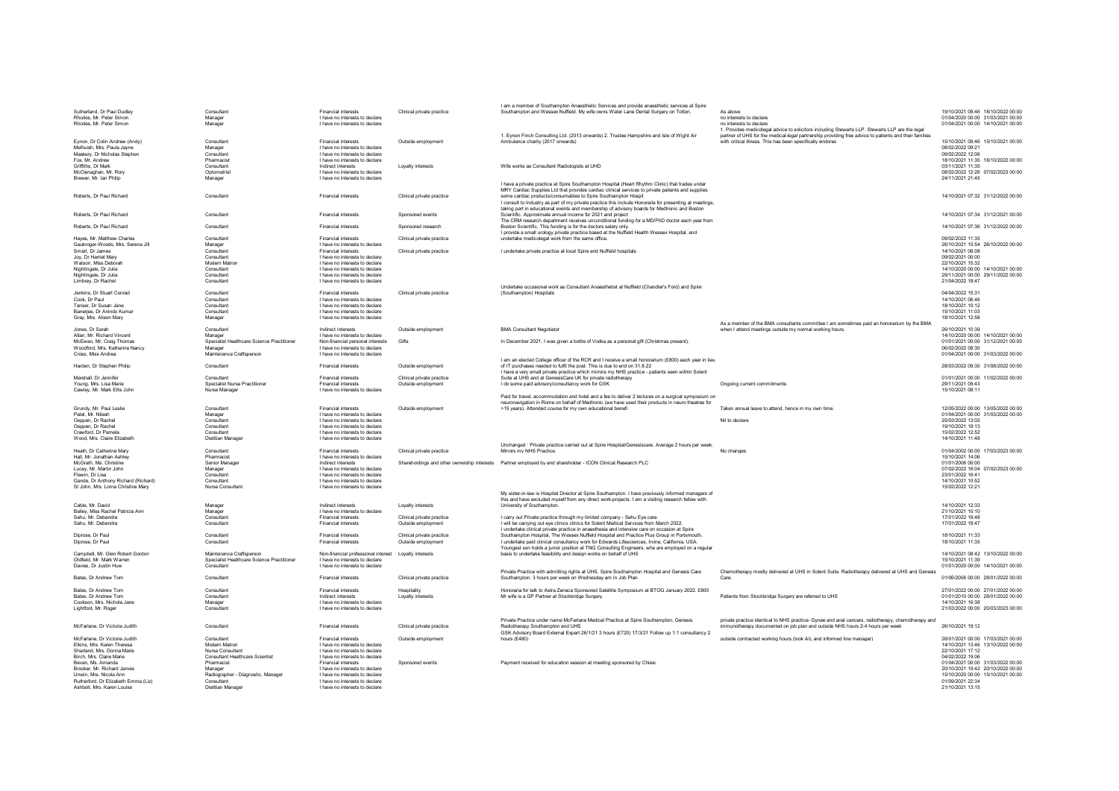|                                                        |                                            |                                                                  |                           | I am a member of Southampton Anaesthetic Services and provide anaesthetic services at Spire                                                                                                              |                                                                                                                            |                                                                        |
|--------------------------------------------------------|--------------------------------------------|------------------------------------------------------------------|---------------------------|----------------------------------------------------------------------------------------------------------------------------------------------------------------------------------------------------------|----------------------------------------------------------------------------------------------------------------------------|------------------------------------------------------------------------|
| Sutherland, Dr Paul Dudley                             | Consultant                                 | <b>Financial interests</b>                                       | Clinical private practice | Southampton and Wessex Nuffield. My wife owns Water Lane Dental Surgery on Totton.                                                                                                                       | As above                                                                                                                   | 19/10/2021 09:46 18/10/2022 00:00                                      |
| Rhodes, Mr. Peter Simon                                | Manager                                    | I have no interests to declare                                   |                           |                                                                                                                                                                                                          | no interests to declare                                                                                                    | 01/04/2020 00:00 31/03/2021 00:00                                      |
| Rhodes, Mr. Peter Simon                                | Manager                                    | I have no interests to declare                                   |                           |                                                                                                                                                                                                          | no interests to declare<br>1. Provides medicolegal advice to solicitors including Stewarts LLP. Stewarts LLP are the legal | 01/04/2021 00:00 14/10/2021 00:00                                      |
|                                                        |                                            |                                                                  |                           | 1. Eynon Finch Consulting Ltd. (2013 onwards) 2. Trustee Hampshire and Isle of Wight Air                                                                                                                 | partner of UHS for the medical-legal partnership providing free advice to patients and their families                      |                                                                        |
| Eynon, Dr Colin Andrew (Andy)                          | Consultant                                 | Financial interests                                              | Outside employmen         | Ambulance charity (2017 onwards)                                                                                                                                                                         | with critical illness. This has been specifically endorse                                                                  | 15/10/2021 09:46 15/10/2021 00:00                                      |
| Melhuish, Mrs. Paula Jayne                             | Manager                                    | I have no interests to declare                                   |                           |                                                                                                                                                                                                          |                                                                                                                            | 08/02/2022 09:21                                                       |
| Maskery, Dr Nicholas Stephen<br>Fox, Mr. Andrew        | Consultant<br>Pharmacis                    | I have no interests to declare<br>I have no interests to declare |                           |                                                                                                                                                                                                          |                                                                                                                            | 09/02/2022 12:06<br>18/10/2021 11:35 18/10/2022 00:00                  |
| Griffiths, Dr Mark                                     | Consultant                                 | Indirect interests                                               | Loyalty interests         | Wife works as Consultant Radiologists at UHD                                                                                                                                                             |                                                                                                                            | 03/11/2021 11:35                                                       |
| McClenaghan, Mr. Rory                                  | Optometrist                                | I have no interests to declare                                   |                           |                                                                                                                                                                                                          |                                                                                                                            | 08/02/2022 12:26 07/02/2023 00:00                                      |
| Brewer, Mr. Ian Philip                                 | Manager                                    | I have no interests to declare                                   |                           |                                                                                                                                                                                                          |                                                                                                                            | 24/11/2021 21:45                                                       |
|                                                        |                                            |                                                                  |                           | I have a private practice at Spire Southampton Hospital (Heart Rhythm Clinic) that trades under<br>MRY Cardiac Supplies Ltd that provides cardiac clinical services to private patients and supplies     |                                                                                                                            |                                                                        |
| Roberts, Dr Paul Richard                               | Consultant                                 | <b>Financial interests</b>                                       | Clinical private practice | some cardiac products/consumables to Spire Southampton Hospit                                                                                                                                            |                                                                                                                            | 14/10/2021 07:32 31/12/2022 00:00                                      |
|                                                        |                                            |                                                                  |                           | I consult to Industry as part of my private practice this include Honoraria for presenting at meetings,                                                                                                  |                                                                                                                            |                                                                        |
|                                                        |                                            |                                                                  |                           | taking part in educational events and membership of advisory boards for Medtronic and Boston                                                                                                             |                                                                                                                            |                                                                        |
| Roberts, Dr Paul Richard                               | Consultant                                 | <b>Financial interests</b>                                       | Sponsored events          | Scientific. Approximate annual income for 2021 and project                                                                                                                                               |                                                                                                                            | 14/10/2021 07:34 31/12/2021 00:00                                      |
| Roberts, Dr Paul Richard                               | Consultant                                 | <b>Financial interests</b>                                       | Sponsored research        | The CRM research department receives unconditional funding for a MD/PhD doctor each year from<br>Boston Scientific. This funding is for the doctors salary only.                                         |                                                                                                                            | 14/10/2021 07:36 31/12/2022 00:00                                      |
|                                                        |                                            |                                                                  |                           | I provide a small urology private practice based at the Nuffield Health Wessex Hospital, and                                                                                                             |                                                                                                                            |                                                                        |
| Hayes, Mr. Matthew Charles                             | Consultant                                 | <b>Financial interests</b>                                       | Clinical private practice | undertake medicolegal work from the same office.                                                                                                                                                         |                                                                                                                            | 09/02/2022 11:35                                                       |
| Gaukroger-Woods, Mrs. Serena Jill                      | Manager                                    | I have no interests to declare                                   |                           |                                                                                                                                                                                                          |                                                                                                                            | 26/10/2021 15:54 26/10/2022 00:00                                      |
| Smart, Dr James                                        | Consultant<br>Consultant                   | <b>Financial interests</b><br>I have no interests to declare     | Clinical private practice | I undertake private practice at local Spire and Nuffield hospitals                                                                                                                                       |                                                                                                                            | 14/10/2021 08:08<br>09/02/2021 00:00                                   |
| Joy, Dr Harriet Mary<br>Watson, Miss Deborah           | Modern Matron                              | I have no interests to declare                                   |                           |                                                                                                                                                                                                          |                                                                                                                            | 22/10/2021 15:32                                                       |
| Nightingale, Dr Julia                                  | Consultant                                 | I have no interests to declare                                   |                           |                                                                                                                                                                                                          |                                                                                                                            | 14/10/2020 00:00 14/10/2021 00:00                                      |
| Nightingale, Dr Julia                                  | Consultant                                 | I have no interests to declare                                   |                           |                                                                                                                                                                                                          |                                                                                                                            | 29/11/2021 00:00 29/11/2022 00:00                                      |
| Limbrey, Dr Rachel                                     | Consultant                                 | I have no interests to declare                                   |                           |                                                                                                                                                                                                          |                                                                                                                            | 21/04/2022 18:47                                                       |
|                                                        | Consultant                                 | <b>Financial interests</b>                                       |                           | Undertake occasional work as Consultant Anaesthetist at Nuffield (Chandler's Ford) and Spire<br>(Southampton) Hospitals                                                                                  |                                                                                                                            | 04/04/2022 15:31                                                       |
| Jenkins, Dr Stuart Conrad<br>Cook. Dr Paul             | Consultant                                 | I have no interests to declare                                   | Clinical private practice |                                                                                                                                                                                                          |                                                                                                                            | 14/10/2021 06:46                                                       |
| Tanser, Dr Susan Jane                                  | Consultant                                 | I have no interests to declare                                   |                           |                                                                                                                                                                                                          |                                                                                                                            | 18/10/2021 10:12                                                       |
| Banerjee, Dr Anindo Kumar                              | Consultant                                 | I have no interests to declare                                   |                           |                                                                                                                                                                                                          |                                                                                                                            | 15/10/2021 11:03                                                       |
| Gray, Mrs. Alison Mary                                 | Manager                                    | I have no interests to declare                                   |                           |                                                                                                                                                                                                          |                                                                                                                            | 18/10/2021 12:58                                                       |
|                                                        |                                            |                                                                  |                           |                                                                                                                                                                                                          | As a member of the BMA consultants committee I am sometimes paid an honorarium by the BMA                                  |                                                                        |
| Jones, Dr Sarah<br>Allan, Mr. Richard Vincent          | Consultant<br>Manager                      | Indirect interests<br>I have no interests to declare             | Outside employment        | <b>BMA Consultant Negotiato</b>                                                                                                                                                                          | when I attend meetings outside my normal working hours.                                                                    | 26/10/2021 10:39<br>14/10/2020 00:00 14/10/2021 00:00                  |
| McEwan, Mr. Craig Thomas                               | Specialist Healthcare Science Practitioner | Non-financial personal interests                                 | Gifts                     | In December 2021, I was given a bottle of Vodka as a personal gift (Christmas present).                                                                                                                  |                                                                                                                            | 01/01/2021 00:00 31/12/2021 00:00                                      |
| Woodford, Mrs. Katherine Nancy                         | Manager                                    | I have no interests to declare                                   |                           |                                                                                                                                                                                                          |                                                                                                                            | 06/02/2022 08:30                                                       |
| Cross, Miss Andrea                                     | Maintenance Craftsperson                   | I have no interests to declare                                   |                           |                                                                                                                                                                                                          |                                                                                                                            | 01/04/2021 00:00 31/03/2022 00:00                                      |
|                                                        |                                            |                                                                  |                           | I am an elected College officer of the RCR and I receive a small honorarium (£800) each year in lieu                                                                                                     |                                                                                                                            |                                                                        |
| Harden, Dr Stephen Philip                              | Consultant                                 | <b>Financial interests</b>                                       | Outside employment        | of IT purchases needed to fulfil the post. This is due to end on 31.8.22<br>I have a very small private practice which mirrors my NHS practice - patients seen within Solent                             |                                                                                                                            | 28/03/2022 09:30 31/08/2022 00:00                                      |
| Marshall, Dr Jennifer                                  | Consultant                                 | <b>Financial interests</b>                                       | Clinical private practice | Suite at UHS and at GenesisCare UK for private radiotherapy                                                                                                                                              |                                                                                                                            | 01/01/2021 00:00 11/02/2022 00:00                                      |
| Young, Mrs. Lisa Marie                                 | <b>Specialist Nurse Practitioner</b>       | <b>Financial interests</b>                                       | Outside employment        | I do some paid advisory/consultancy work for GSK                                                                                                                                                         | Ongoing current commitments                                                                                                | 29/11/2021 09:43                                                       |
| Cawley, Mr. Mark Ellis John                            | Nurse Manager                              | I have no interests to declare                                   |                           |                                                                                                                                                                                                          |                                                                                                                            | 15/10/2021 08:11                                                       |
|                                                        |                                            |                                                                  |                           | Paid for travel, accommodation and hotel and a fee to deliver 2 lectures on a surgical symposium on<br>neuronavigation in Rome on behalf of Medtronic (we have used their products in neuro theatres for |                                                                                                                            |                                                                        |
| Grundy Mr Paul Leslie                                  | Consultant                                 | <b>Financial interests</b>                                       | Outside employment        | >15 years). Attended course for my own educational benefi                                                                                                                                                | Taken annual leave to attend bence in my own time                                                                          | 12/05/2022 00:00 13/05/2022 00:00                                      |
| Patel Mr Nilesh                                        | Manager                                    | I have no interests to declare                                   |                           |                                                                                                                                                                                                          |                                                                                                                            | 01/04/2021 00:00 31/03/2022 00:00                                      |
| Oeppen, Dr Rachel                                      | Consultant                                 | I have no interests to declare                                   |                           |                                                                                                                                                                                                          | Nil to declare                                                                                                             | 25/03/2022 13:02                                                       |
| Oeppen, Dr Rachel                                      | Consultant                                 | I have no interests to declare                                   |                           |                                                                                                                                                                                                          |                                                                                                                            | 19/10/2021 18:13                                                       |
| Crawford, Dr Pamela                                    | Consultant<br><b>Dietitian Manager</b>     | I have no interests to declare                                   |                           |                                                                                                                                                                                                          |                                                                                                                            | 15/02/2022 12:52<br>14/10/2021 11:48                                   |
| Wood, Mrs. Claire Elizabeth                            |                                            | I have no interests to declare                                   |                           | Unchanged : Private practice carried out at Spire Hospital/Genesiscare. Average 2 hours per weel                                                                                                         |                                                                                                                            |                                                                        |
| Heath, Dr Catherine Mary                               | Consultant                                 | <b>Financial interests</b>                                       | Clinical private practice | Mirrors my NHS Practice                                                                                                                                                                                  | No changes                                                                                                                 | 01/04/2002 00:00 17/03/2023 00:00                                      |
| Hall, Mr. Jonathan Ashley                              | Pharmacist                                 | I have no interests to declare                                   |                           |                                                                                                                                                                                                          |                                                                                                                            | 15/10/2021 14:06                                                       |
| McGrath, Ms. Christine                                 | Senior Manage                              | Indirect interests                                               |                           | Shareholdings and other ownership interests  Partner employed by and shareholder - ICON Clinical Research PLC                                                                                            |                                                                                                                            | 01/01/2006 00:00                                                       |
| Lucey, Mr. Martin John<br>Flewin, Dr Lisa              | Manager<br>Consultant                      | I have no interests to declare<br>I have no interests to declare |                           |                                                                                                                                                                                                          |                                                                                                                            | 07/02/2022 16:04 07/02/2023 00:00<br>23/01/2022 16:41                  |
| Gande, Dr Anthony Richard (Richard)                    | Consultant                                 | I have no interests to declare                                   |                           |                                                                                                                                                                                                          |                                                                                                                            | 14/10/2021 10:52                                                       |
| St John, Mrs. Lorna Christine Mary                     | Nurse Consultant                           | I have no interests to declare                                   |                           |                                                                                                                                                                                                          |                                                                                                                            | 15/02/2022 12:21                                                       |
|                                                        |                                            |                                                                  |                           | My sister-in-law is Hospital Director at Spire Southampton. I have previously informed managers of                                                                                                       |                                                                                                                            |                                                                        |
|                                                        |                                            |                                                                  |                           | this and have excluded myself from any direct work-projects. I am a visiting research fellow with                                                                                                        |                                                                                                                            |                                                                        |
| Cable, Mr. David                                       | Manager                                    | Indirect interests                                               | Lovalty interests         | University of Southampton.                                                                                                                                                                               |                                                                                                                            | 14/10/2021 12:33                                                       |
| Bailey, Miss Rachel Patricia Ann<br>Sahu, Mr. Debendra | Manager<br>Consultant                      | I have no interests to declare<br>Financial interests            | Clinical private practice | I carry out Private practice through my limited company - Sahu Eye care.                                                                                                                                 |                                                                                                                            | 21/10/2021 10:10<br>17/01/2022 18:48                                   |
| Sahu, Mr. Debendra                                     | Consultant                                 | <b>Financial interests</b>                                       | Outside employment        | I will be carrying out eye clinics clinics for Solent Medical Services from March 2022.                                                                                                                  |                                                                                                                            | 17/01/2022 18:47                                                       |
|                                                        |                                            |                                                                  |                           | I undertake clinical private practice in anaesthesia and intensive care on occasion at Spire                                                                                                             |                                                                                                                            |                                                                        |
| Dinrose, Dr Paul                                       | Consultant                                 | <b>Financial interests</b>                                       | Clinical private practice | Southampton Hospital The Wessex Nuffield Hospital and Practice Plus Group in Portsmouth                                                                                                                  |                                                                                                                            | 18/10/2021 11:33                                                       |
| Dinrose Dr Paul                                        | Consultant                                 | <b>Financial interests</b>                                       | Outside employment        | I undertake paid clinical consultancy work for Edwards Lifesciences, Irvine. California. USA.<br>Youngest son holds a junior position at TNG Consulting Engineers, whe are employed on a regular         |                                                                                                                            | 18/10/2021 11:35                                                       |
| Campbell Mr. Glen Robert Gordon                        | Maintenance Craftsperson                   | Non-financial professional interest    Loyalty interests         |                           | basis to undertake feasibility and design works on behalf of UHS                                                                                                                                         |                                                                                                                            | 14/10/2021 08:42 13/10/2022 00:00                                      |
| Oldfield Mr Mark Warren                                | Specialist Healthcare Science Practitioner | I have no interests to declare                                   |                           |                                                                                                                                                                                                          |                                                                                                                            | 15/10/2021 11:39                                                       |
| Davies Dr Justin Huw                                   | Consultant                                 | I have no interests to declare                                   |                           |                                                                                                                                                                                                          |                                                                                                                            | 01/01/2020 00:00 14/10/2021 00:00                                      |
|                                                        |                                            |                                                                  |                           | Private Practice with admitting rights at UHS, Spire Southampton Hospital and Genesis Care                                                                                                               | Chemotherapy mostly delivered at UHS in Solent Suite, Radiotherapy delivered at UHS and Genesi                             |                                                                        |
| Bates. Dr Andrew Tom                                   | Consultant                                 | <b>Financial interests</b>                                       | Clinical private practice | Southampton, 3 hours per week on Wednesday am in Job Plan.                                                                                                                                               | Core                                                                                                                       | 01/06/2006 00:00 28/01/2022 00:00                                      |
| <b>Bates</b> Dr Andrew Tom                             | Consultant                                 | Financial interests                                              | Hospitality               | Honoraria for talk to Astra Zeneca Sponsored Satellite Symposium at BTOG January 2022, £800                                                                                                              |                                                                                                                            | 27/01/2022 00:00 27/01/2022 00:00                                      |
| Bates. Dr Andrew Tom                                   | Consultant                                 | Indirect interests                                               | Loyalty interests         | Mr wife is a GP Partner at Stockbridge Surgery.                                                                                                                                                          | Patients from Stockbridge Surgery are referred to UHS                                                                      | 01/01/2010 00:00 28/01/2022 00:00                                      |
| Cookson, Mrs. Nichola Jane                             | Manager                                    | I have no interests to declare                                   |                           |                                                                                                                                                                                                          |                                                                                                                            | 14/10/2021 16:38                                                       |
| Lightfoot, Mr. Roger                                   | Consultant                                 | I have no interests to declare                                   |                           |                                                                                                                                                                                                          |                                                                                                                            | 21/03/2022 00:00 20/03/2023 00:00                                      |
|                                                        |                                            |                                                                  |                           |                                                                                                                                                                                                          |                                                                                                                            |                                                                        |
|                                                        |                                            |                                                                  |                           | Private Practice under name McFarlane Medical Practice at Spire Southampton, Genesis                                                                                                                     | private practice identical to NHS practice- Gynae and anal cancers, radiotherapy, chemotherapy and                         |                                                                        |
| McFarlane, Dr Victoria Judith                          | Consultant                                 | Financial interests                                              | Clinical private practice | Radiotherapy Southampton and UHS<br>GSK Advisory Board External Expert 26/1/21 3 hours (£720) 17/3/21 Follow up 1:1 consultancy 2                                                                        | munotherapy documented on job plan and outside NHS hours 2-4 hours per week                                                | 26/10/2021 19:12                                                       |
| McFarlane, Dr Victoria Judith                          | Consultant                                 | <b>Financial interests</b>                                       | Outside employment        | hours (£480)                                                                                                                                                                                             | outside contracted working hours (took A/L and informed line manager)                                                      | 26/01/2021 00:00 17/03/2021 00:00                                      |
| Elkins, Mrs. Karen Theresa                             | Modern Matron                              | I have no interests to declare                                   |                           |                                                                                                                                                                                                          |                                                                                                                            | 14/10/2021 13:46 13/10/2022 00:00                                      |
| Sharland, Mrs. Donna Marie                             | Nurse Consultant                           | I have no interests to declare                                   |                           |                                                                                                                                                                                                          |                                                                                                                            | 22/10/2021 17:12                                                       |
| <b>Birch Mrs Claire Marie</b>                          | <b>Consultant Healthcare Scientist</b>     | I have no interests to declare                                   |                           |                                                                                                                                                                                                          |                                                                                                                            | 04/02/2022 19:06                                                       |
| Bevan, Ms. Amanda<br>Brooker Mr Richard James          | Pharmacist<br>Manager                      | Financial interests<br>I have no interests to declare            | Sponsored events          | Payment received for education session at meeting sponsored by Chiesi.                                                                                                                                   |                                                                                                                            | 01/04/2021 00:00 31/03/2022 00:00<br>20/10/2021 19:42 20/10/2022 00:00 |
| Unwin Mrs Nicola Ann                                   | Radiographer - Diagnostic, Manager         | I have no interests to declare                                   |                           |                                                                                                                                                                                                          |                                                                                                                            | 15/10/2020 00:00 15/10/2021 00:00                                      |
| Rutherford, Dr Elizabeth Emma (Liz)                    | Consultant                                 | I have no interests to declare                                   |                           |                                                                                                                                                                                                          |                                                                                                                            | 01/09/2021 22:34                                                       |
| Ashbolt Mrs Karen Louise                               | <b>Dietitian Manager</b>                   | I have no interests to declare                                   |                           |                                                                                                                                                                                                          |                                                                                                                            | 21/10/2021 13:15                                                       |
|                                                        |                                            |                                                                  |                           |                                                                                                                                                                                                          |                                                                                                                            |                                                                        |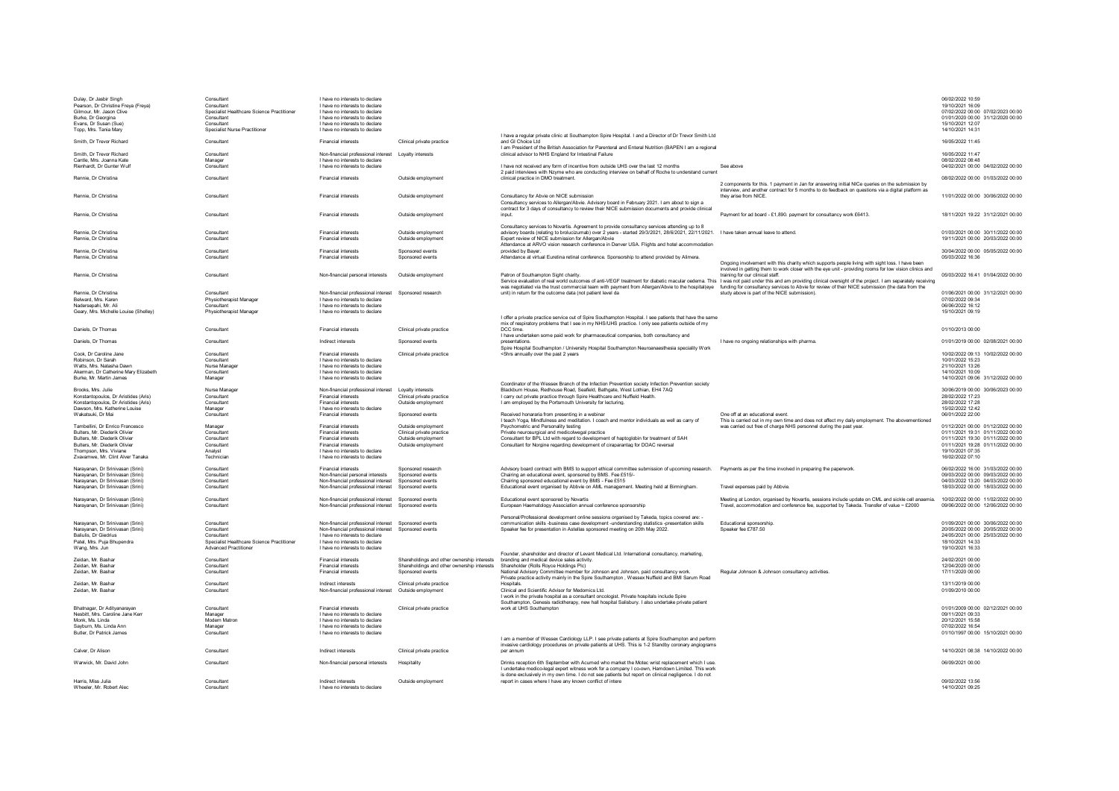| Dulay, Dr Jasbir Singh<br>Pearson, Dr Christine Freya (Freya)<br>Gilmour, Mr. Jason Clive<br>Burke, Dr Georgina<br>Evans, Dr Susan (Sue) | Consultant<br>Consultant<br>Specialist Healthcare Science Practitioner<br>Consultant<br>Consultant | I have no interests to declare<br>I have no interests to declare<br>I have no interests to declare<br>I have no interests to declare<br>I have no interests to declare |                                                 |                                                                                                                                                                                                                                                                                                           |                                                                                                                                           | 06/02/2022 10:59<br>19/10/2021 16:09<br>07/02/2022 00:00 07/02/2023 00:00<br>01/01/2020 00:00 31/12/2020 00:00<br>15/10/2021 12:07 |
|------------------------------------------------------------------------------------------------------------------------------------------|----------------------------------------------------------------------------------------------------|------------------------------------------------------------------------------------------------------------------------------------------------------------------------|-------------------------------------------------|-----------------------------------------------------------------------------------------------------------------------------------------------------------------------------------------------------------------------------------------------------------------------------------------------------------|-------------------------------------------------------------------------------------------------------------------------------------------|------------------------------------------------------------------------------------------------------------------------------------|
| Topp, Mrs. Tania Mary<br>Smith, Dr Trevor Richard                                                                                        | Specialist Nurse Practitioner<br>Consultant                                                        | I have no interests to declare<br><b>Financial interests</b>                                                                                                           | Clinical private practice                       | I have a regular private clinic at Southampton Spire Hospital. I and a Director of Dr Trevor Smith Ltd<br>and GI Choice Ltd                                                                                                                                                                               |                                                                                                                                           | 14/10/2021 14:31<br>16/05/2022 11:45                                                                                               |
| Smith, Dr Trevor Richard                                                                                                                 | Consultant                                                                                         | Non-financial professional interest    Loyalty interests                                                                                                               |                                                 | I am President of the British Association for Parenteral and Enteral Nutrition (BAPEN I am a regional<br>clinical advisor to NHS England for Intestinal Failure                                                                                                                                           |                                                                                                                                           | 16/05/2022 11:47                                                                                                                   |
| Cantle, Mrs. Joanna Kate<br>Rienhardt. Dr Gunter Wulf                                                                                    | Manager<br>Consultant                                                                              | I have no interests to declare<br>I have no interests to declare                                                                                                       |                                                 | I have not received any form of incentive from outside UHS over the last 12 months                                                                                                                                                                                                                        | See above                                                                                                                                 | 08/02/2022 08:48<br>04/02/2021 00:00 04/02/2022 00:00                                                                              |
| Rennie, Dr Christina                                                                                                                     | Consultant                                                                                         | <b>Financial interests</b>                                                                                                                                             | Outside employment                              | 2 paid interviews with Nzyme who are conducting interview on behalf of Roche to understand current<br>clinical practice in DMO treatment                                                                                                                                                                  | 2 components for this. 1 payment in Jan for answering initial NICe queries on the submission by                                           | 08/02/2022 00:00 01/03/2022 00:00                                                                                                  |
| Rennie, Dr Christina                                                                                                                     | Consultant                                                                                         | <b>Financial interests</b>                                                                                                                                             | Outside employment                              | Consultancy for Abvie on NICE submission<br>Consultancy services to Allergan/Abvie. Advisory board in February 2021. I am about to sign a                                                                                                                                                                 | interview, and another contract for 5 months to do feedback on questions via a digital platform as<br>they arise from NICE                | 11/01/2022 00:00 30/06/2022 00:00                                                                                                  |
| Rennie, Dr Christina                                                                                                                     | Consultant                                                                                         | <b>Financial interests</b>                                                                                                                                             | Outside employment                              | contract for 3 days of consultancy to review their NICE submission documents and provide clinical<br>innut                                                                                                                                                                                                | Payment for ad board - £1,890. payment for consultancy work £6413.                                                                        | 18/11/2021 19:22 31/12/2021 00:00                                                                                                  |
|                                                                                                                                          |                                                                                                    |                                                                                                                                                                        |                                                 | Consultancy services to Novartis. Agreement to provide consultancy services attending up to 8                                                                                                                                                                                                             |                                                                                                                                           |                                                                                                                                    |
| Rennie, Dr Christina<br>Rennie. Dr Christina                                                                                             | Consultant<br>Consultant                                                                           | <b>Financial interests</b><br><b>Financial interests</b>                                                                                                               | Outside employment<br>Outside employment        | advisory boards (relating to brolucizumab) over 2 years - started 29/3/2021, 28/6/2021, 22/11/2021. I have taken annual leave to attend.<br>Expert review of NICE submission for Allergan/Abvie<br>Attendance at ARVO vision research conference in Denver USA. Elights and hotel accommodation           |                                                                                                                                           | 01/03/2021 00:00 30/11/2022 00:00<br>19/11/2021 00:00 20/03/2022 00:00                                                             |
| Rennie, Dr Christina                                                                                                                     | Consultant                                                                                         | <b>Financial interests</b>                                                                                                                                             | Snonsored events                                | provided by Bayer<br>Attendance at virtual Euretina retinal conference. Sponsorship to attend provided by Alimera                                                                                                                                                                                         |                                                                                                                                           | 30/04/2022 00:00 05/05/2022 00:00                                                                                                  |
| Rennie, Dr Christina                                                                                                                     | Consultant                                                                                         | <b>Financial interests</b>                                                                                                                                             | Snonsored events                                |                                                                                                                                                                                                                                                                                                           | Ongoing involvement with this charity which supports people living with sight loss. I have been                                           | 05/03/2022 16:36                                                                                                                   |
| Rennie, Dr Christina                                                                                                                     | Consultant                                                                                         | Non-financial nersonal interests                                                                                                                                       | Outside employment                              | Patron of Southampton Sight charity<br>Service evaluation of real world outcomes of anti-VEGF treatment for diabetic macular oedema. This I was not paid under this and am providing clinical oversight of the project. I am separately receiving                                                         | involved in getting them to work closer with the eve unit - providing rooms for low vision clinics and<br>training for our clinical staff | 05/03/2022 16:41 01/04/2022 00:00                                                                                                  |
| Rennie, Dr Christina                                                                                                                     | Consultant                                                                                         | Non-financial professional interest Sponsored research                                                                                                                 |                                                 | was negotiated via the trust commercial team with payment from Allergan/Abvie to the hospital(eye funding for consultancy services to Abvie for review of their NICE submission (the data from the<br>unit) in return for the outcome data (not patient level da                                          | study above is part of the NICE submission).                                                                                              | 01/06/2021 00:00 31/12/2021 00:00                                                                                                  |
| Belward, Mrs. Karen<br>Nadersepahi, Mr. Ali                                                                                              | Physiotherapist Manager<br>Consultant                                                              | I have no interests to declare<br>I have no interests to declare                                                                                                       |                                                 |                                                                                                                                                                                                                                                                                                           |                                                                                                                                           | 07/02/2022 09:34<br>06/06/2022 16:12                                                                                               |
| Geary, Mrs. Michelle Louise (Shelley)                                                                                                    | Physiotherapist Manager                                                                            | I have no interests to declare                                                                                                                                         |                                                 | I offer a private practice service out of Spire Southampton Hospital. I see patients that have the same                                                                                                                                                                                                   |                                                                                                                                           | 15/10/2021 09:19                                                                                                                   |
| Daniels, Dr Thomas                                                                                                                       | Consultant                                                                                         | <b>Financial interests</b>                                                                                                                                             | Clinical private practice                       | mix of respiratory problems that I see in my NHS/UHS practice. I only see patients outside of my<br>DCC time.                                                                                                                                                                                             |                                                                                                                                           | 01/10/2013 00:00                                                                                                                   |
| Daniels, Dr Thomas                                                                                                                       | Consultant                                                                                         | Indirect interests                                                                                                                                                     | Sponsored events                                | I have undertaken some paid work for pharmaceutical companies, both consultancy and<br>presentations                                                                                                                                                                                                      | I have no ongoing relationships with pharma                                                                                               | 01/01/2019 00:00 02/08/2021 00:00                                                                                                  |
| Cook. Dr Caroline Jane                                                                                                                   | Consultant                                                                                         | <b>Financial interests</b>                                                                                                                                             | Clinical private practice                       | Spire Hospital Southampton / University Hospital Southampton Neuroanaesthesia speciality Work<br><5hrs annually over the past 2 years                                                                                                                                                                     |                                                                                                                                           | 10/02/2022 09:13 10/02/2022 00:00                                                                                                  |
| Robinson, Dr Sarah<br>Watts, Mrs. Natasha Dawn                                                                                           | Consultant<br>Nurse Manage                                                                         | I have no interests to declare<br>I have no interests to declare                                                                                                       |                                                 |                                                                                                                                                                                                                                                                                                           |                                                                                                                                           | 10/01/2022 15:23<br>21/10/2021 13:26                                                                                               |
| Akerman, Dr Catherine Mary Elizabeth                                                                                                     | Consultant                                                                                         | I have no interests to declare                                                                                                                                         |                                                 |                                                                                                                                                                                                                                                                                                           |                                                                                                                                           | 14/10/2021 10:09                                                                                                                   |
| Burke, Mr. Martin James                                                                                                                  | Manager                                                                                            | I have no interests to declare                                                                                                                                         |                                                 | Coordinator of the Wessex Branch of the Infection Prevention society Infection Prevention society                                                                                                                                                                                                         |                                                                                                                                           | 14/10/2021 09:06 31/12/2022 00:00                                                                                                  |
| Brooks, Mrs. Julie                                                                                                                       | Nurse Manage                                                                                       | Non-financial professional interest                                                                                                                                    | Lovalty interests                               | Blackburn House, Redhouse Road, Seafield, Bathgate, West Lothian, EH4 7AQ                                                                                                                                                                                                                                 |                                                                                                                                           | 30/06/2019 00:00 30/06/2023 00:00                                                                                                  |
| Konstantopoulos, Dr Aristides (Aris)<br>Konstantopoulos, Dr Aristides (Aris)                                                             | Consultant<br>Consultant                                                                           | <b>Financial interests</b><br><b>Financial interests</b>                                                                                                               | Clinical private practice<br>Outside employment | I carry out private practice through Spire Healthcare and Nuffield Health.<br>I am employed by the Portsmouth University for lecturing.                                                                                                                                                                   |                                                                                                                                           | 28/02/2022 17:23<br>28/02/2022 17:28                                                                                               |
| Dawson, Mrs. Katherine Louise                                                                                                            | Manager                                                                                            | I have no interests to declare                                                                                                                                         |                                                 |                                                                                                                                                                                                                                                                                                           |                                                                                                                                           | 15/02/2022 12:42                                                                                                                   |
| Wakatsuki, Dr Mai                                                                                                                        | Consultant                                                                                         | <b>Financial interests</b>                                                                                                                                             | Sponsored events                                | Received honararia from presenting in a webinar<br>I teach Yoga, Mindfulness and meditation. I coach and mentor individuals as well as carry of                                                                                                                                                           | One off at an educational event.<br>This is carried out in my own time and does not affect my daily employment. The abovementioned        | 06/01/2022 22:00                                                                                                                   |
| Tambellini Dr Enrico Francesco                                                                                                           | Manager                                                                                            | <b>Financial interests</b>                                                                                                                                             | Outside employment                              | Psychometric and Personality testing                                                                                                                                                                                                                                                                      | was carried out free of charge NHS personnel during the past year                                                                         | 01/12/2021 00:00 01/12/2022 00:00                                                                                                  |
| <b>Bulters Mr Diederik Olivier</b><br><b>Bulters Mr Diederik Olivier</b>                                                                 | Consultant                                                                                         | <b>Financial interests</b>                                                                                                                                             | Clinical private practice                       | Private neurosurgical and medicolwegal practice<br>Consultant for BPL Ltd with regard to development of haptoglobin for treatment of SAH                                                                                                                                                                  |                                                                                                                                           | 01/11/2021 19:31 01/11/2022 00:00<br>01/11/2021 19:30 01/11/2022 00:00                                                             |
| <b>Bulters Mr Diederik Olivier</b>                                                                                                       | Consultant<br>Consultant                                                                           | <b>Financial interests</b><br><b>Financial interests</b>                                                                                                               | Outside employment<br>Outside employment        | Consultant for Norgine regarding development of ciraparantag for DOAC reversal                                                                                                                                                                                                                            |                                                                                                                                           | 01/11/2021 19:28 01/11/2022 00:00                                                                                                  |
| Thompson Mrs Viviane                                                                                                                     | Analyst                                                                                            | I have no interests to declare                                                                                                                                         |                                                 |                                                                                                                                                                                                                                                                                                           |                                                                                                                                           | 19/10/2021 07:35                                                                                                                   |
| Zvavamwe Mr Clint Alver Tanaka                                                                                                           | Technician                                                                                         | I have no interests to declare                                                                                                                                         |                                                 |                                                                                                                                                                                                                                                                                                           |                                                                                                                                           | 16/02/2022 07:10                                                                                                                   |
| Naravanan, Dr Srinivasan (Srini)<br>Naravanan, Dr Srinivasan (Srini)                                                                     | Consultant<br>Consultant                                                                           | <b>Financial interests</b><br>Non-financial personal interests                                                                                                         | Sponsored research<br>Sponsored events          | Advisory board contract with BMS to support ethical committee submission of upcoming research. Payments as per the time involved in preparing the paperwork.<br>Chairing an educational event, sponsored by BMS. Eee £515/-                                                                               |                                                                                                                                           | 06/02/2022 16:00 31/03/2022 00:00<br>09/03/2022 00:00 09/03/2022 00:00                                                             |
| Naravanan, Dr Srinivasan (Srini)<br>Naravanan, Dr Srinivasan (Srini)                                                                     | Consultant<br>Consultant                                                                           | Non-financial professional interest<br>Non-financial professional interest                                                                                             | Snonsored events<br>Sponsored events            | Chairing sponsored educational event by BMS - Eee £515<br>Educational event organised by Abbyje on AMI, management, Meeting held at Birmingham                                                                                                                                                            | Travel expenses paid by Abbyie                                                                                                            | 04/03/2022 13:20 04/03/2022 00:00<br>00:00 COC/2002 00:00 00:00 CC/2002 18                                                         |
| Narayanan, Dr Srinivasan (Srini)                                                                                                         | Consultant                                                                                         | Non-financial professional interest                                                                                                                                    | Sponsored events                                | Educational event sponsored by Novartis                                                                                                                                                                                                                                                                   | Meeting at London, organised by Novartis, sessions include update on CML and sickle cell anaemia.                                         | 10/02/2022 00:00 11/02/2022 00:00                                                                                                  |
| Narayanan, Dr Srinivasan (Srini)                                                                                                         | Consultant                                                                                         | Non-financial professional interest Sponsored events                                                                                                                   |                                                 | European Haematology Association annual conference sponsorship                                                                                                                                                                                                                                            | Travel, accommodation and conference fee, supported by Takeda. Transfer of value ~ £2000                                                  | 09/06/2022 00:00 12/06/2022 00:00                                                                                                  |
| Narayanan, Dr Srinivasan (Srini)                                                                                                         | Consultant                                                                                         | Non-financial professional interest Sponsored events                                                                                                                   |                                                 | Personal/Professional development online sessions organised by Takeda, topics covered are: -<br>communication skills -business case development -understanding statistics -presentation skills                                                                                                            | Educational sponsorship.                                                                                                                  | 01/09/2021 00:00 30/06/2022 00:00                                                                                                  |
| Narayanan, Dr Srinivasan (Srini)                                                                                                         | Consultant                                                                                         | Non-financial professional interest Sponsored events                                                                                                                   |                                                 | Speaker fee for presentation in Astellas sponsored meeting on 20th May 2022.                                                                                                                                                                                                                              | Speaker fee £787.50                                                                                                                       | 20/05/2022 00:00 20/05/2022 00:00                                                                                                  |
| Baliulis, Dr Giedrius<br>Patel, Mrs. Puja Bhupendra                                                                                      | Consultant<br>Specialist Healthcare Science Practitioner                                           | I have no interests to declare<br>I have no interests to declare                                                                                                       |                                                 |                                                                                                                                                                                                                                                                                                           |                                                                                                                                           | 24/05/2021 00:00 25/03/2022 00:00<br>18/10/2021 14:33                                                                              |
| Wang, Mrs. Jun                                                                                                                           | <b>Advanced Practitioner</b>                                                                       | I have no interests to declare                                                                                                                                         |                                                 |                                                                                                                                                                                                                                                                                                           |                                                                                                                                           | 19/10/2021 16:33                                                                                                                   |
| Zeidan, Mr. Bashar                                                                                                                       | Consultant                                                                                         | <b>Financial interests</b>                                                                                                                                             | Shareholdings and other ownership interests     | Founder, shareholder and director of Levant Medical Ltd. International consultancy, marketing,<br>branding and medical device sales activity                                                                                                                                                              |                                                                                                                                           | 24/02/2021 00:00                                                                                                                   |
| Zeidan, Mr. Bashar                                                                                                                       | Consultant                                                                                         | <b>Financial interests</b>                                                                                                                                             | Shareholdings and other ownership interests     | Shareholder (Rolls Royce Holdings Plc)                                                                                                                                                                                                                                                                    |                                                                                                                                           | 12/04/2020 00:00                                                                                                                   |
| Zeidan, Mr. Bashar                                                                                                                       | Consultant                                                                                         | <b>Financial interests</b>                                                                                                                                             | Sponsored events                                | National Advisory Committee member for Johnson and Johnson, paid consultancy work.<br>Private practice activity mainly in the Spire Southampton, Wessex Nuffield and BMI Sarum Road                                                                                                                       | Regular Johnson & Johnson consultancy activities                                                                                          | 17/11/2020 00:00                                                                                                                   |
| Zeidan, Mr. Bashar                                                                                                                       | Consultant                                                                                         | Indirect interests                                                                                                                                                     | Clinical private practice                       | Hospitals.                                                                                                                                                                                                                                                                                                |                                                                                                                                           | 13/11/2019 00:00                                                                                                                   |
| Zeidan, Mr. Bashar                                                                                                                       | Consultant                                                                                         | Non-financial professional interest                                                                                                                                    | Outside employment                              | Clinical and Scientific Advisor for Medomics Ltd.<br>I work in the private hospital as a consultant oncologist. Private hospitals include Spire<br>Southampton, Genesis radiotherapy, new hall hospital Salisbury. I also undertake private patient                                                       |                                                                                                                                           | 01/09/2010 00:00                                                                                                                   |
| Bhatnagar Dr Adityanarayan                                                                                                               | Consultant                                                                                         | <b>Einancial interests</b>                                                                                                                                             | Clinical private practice                       | work at UHS Southampton                                                                                                                                                                                                                                                                                   |                                                                                                                                           | 01/01/2009 00:00 02/12/2021 00:00                                                                                                  |
| Neshiff Mrs Caroline Jane Ken<br>Monk Ms Linda                                                                                           | Manager<br><b>Modern Matron</b>                                                                    | I have no interests to declare<br>I have no interests to declare                                                                                                       |                                                 |                                                                                                                                                                                                                                                                                                           |                                                                                                                                           | 09/11/2021 09:33<br>20/12/2021 15:58                                                                                               |
| Sayburn Ms Linda Ann                                                                                                                     | Manager                                                                                            | I have no interests to declare                                                                                                                                         |                                                 |                                                                                                                                                                                                                                                                                                           |                                                                                                                                           | 07/02/2022 16:54                                                                                                                   |
| <b>Butler Dr Patrick James</b>                                                                                                           | Consultant                                                                                         | I have no interests to declare                                                                                                                                         |                                                 | Lam a member of Wessex Cardiology LLP. Lsee private patients at Spire Southampton and perform                                                                                                                                                                                                             |                                                                                                                                           | 01/10/1997 00:00 15/10/2021 00:00                                                                                                  |
|                                                                                                                                          |                                                                                                    |                                                                                                                                                                        |                                                 | invasive cardiology procedures on private patients at UHS. This is 1-2 Standby coronary angiograms                                                                                                                                                                                                        |                                                                                                                                           |                                                                                                                                    |
| Calver Dr Alison                                                                                                                         | Consultant                                                                                         | Indirect interests                                                                                                                                                     | Clinical private practice                       | per annum                                                                                                                                                                                                                                                                                                 |                                                                                                                                           | 14/10/2021 08:38 14/10/2022 00:00                                                                                                  |
| Warwick Mr David John                                                                                                                    | Consultant                                                                                         | Non-financial personal interests                                                                                                                                       | Hospitality                                     | Drinks reception 6th September with Acumed who market the Motec wrist replacement which I use<br>I undertake medico-legal expert witness work for a company I co-own, Hamdown Limited. This work<br>is done exclusively in my own time. I do not see patients but report on clinical negligence. I do not |                                                                                                                                           | 06/09/2021 00:00                                                                                                                   |
| Harris, Miss Julia                                                                                                                       | Consultant                                                                                         | Indirect interests                                                                                                                                                     | Outside employment                              | report in cases where I have any known conflict of intere                                                                                                                                                                                                                                                 |                                                                                                                                           | 09/02/2022 13:56                                                                                                                   |
| Wheeler, Mr. Robert Alec                                                                                                                 | Consultant                                                                                         | I have no interests to declare                                                                                                                                         |                                                 |                                                                                                                                                                                                                                                                                                           |                                                                                                                                           | 14/10/2021 09:25                                                                                                                   |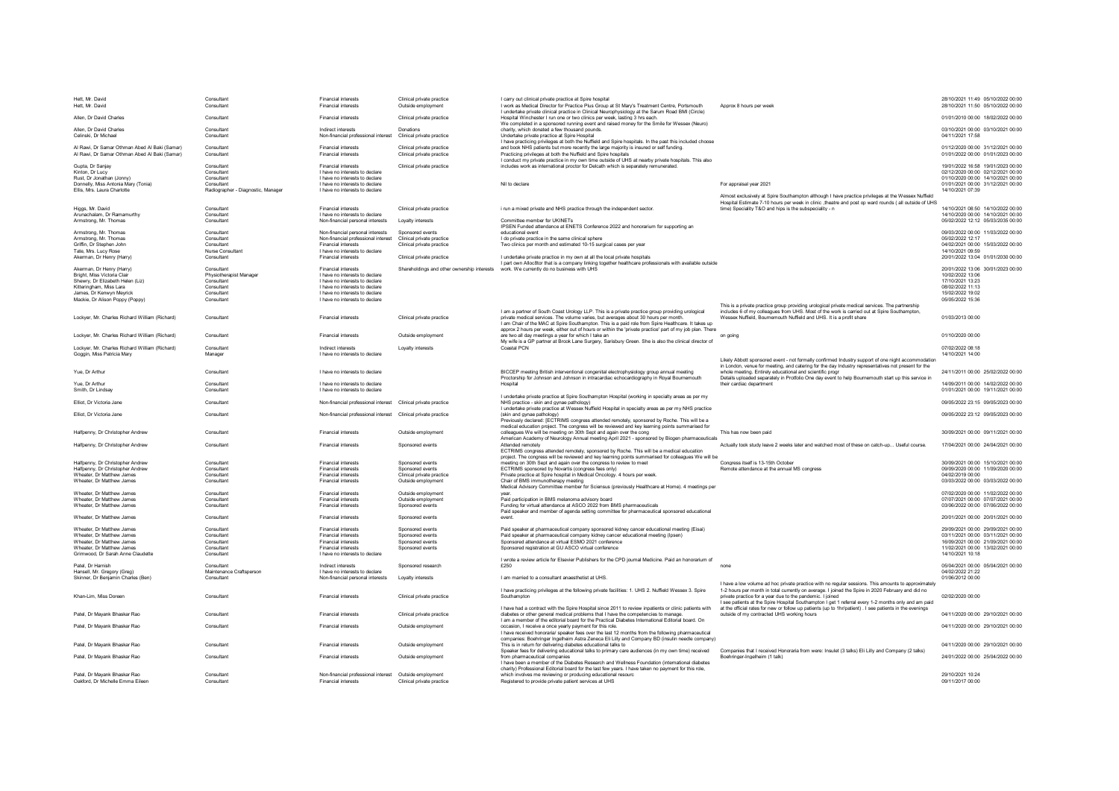| Hett Mr David<br>Hett. Mr. David                                                              |                                        |                                                                   |                                                        |                                                                                                                                                                                                                                                               |                                                                                                                                                                                                           |                                                                        |
|-----------------------------------------------------------------------------------------------|----------------------------------------|-------------------------------------------------------------------|--------------------------------------------------------|---------------------------------------------------------------------------------------------------------------------------------------------------------------------------------------------------------------------------------------------------------------|-----------------------------------------------------------------------------------------------------------------------------------------------------------------------------------------------------------|------------------------------------------------------------------------|
|                                                                                               | Consultant<br>Consultant               | <b>Financial interests</b><br><b>Financial interests</b>          | Clinical private practice<br>Outside employment        | I carry out clinical private practice at Spire hospital<br>I work as Medical Director for Practice Plus Group at St Mary's Treatment Centre, Portsmouth                                                                                                       | Approx 8 hours per week                                                                                                                                                                                   | 28/10/2021 11:49 05/10/2022 00:00<br>28/10/2021 11:50 05/10/2022 00:00 |
| Allen, Dr David Charles                                                                       | Consultant                             | <b>Financial interests</b>                                        | Clinical private practice                              | I undertake private clinical practice in Clinical Neurophysiology at the Sarum Road BMI (Circle)<br>Hospital Winchester I run one or two clinics per week, lasting 3 hrs each.                                                                                |                                                                                                                                                                                                           | 01/01/2010 00:00 18/02/2022 00:00                                      |
|                                                                                               |                                        |                                                                   |                                                        | We completed in a sponsored running event and raised money for the Smile for Wessex (Neuro)                                                                                                                                                                   |                                                                                                                                                                                                           |                                                                        |
| Allen, Dr David Charles<br>Celinski Dr Michael                                                | Consultant<br>Consultant               | Indirect interests<br>Non-financial professional interest         | Donations<br>Clinical private practice                 | charity, which donated a few thousand pounds.<br>Undertake private practice at Spire Hospital<br>I have practicing privileges at both the Nuffield and Spire hospitals. In the past this included choose                                                      |                                                                                                                                                                                                           | 03/10/2021 00:00 03/10/2021 00:00<br>04/11/2021 17:58                  |
| Al Rawi Dr Samar Othman Abed Al Baki (Samar)<br>Al Rawi, Dr Samar Othman Abed Al Baki (Samar) | Consultant<br>Consultant               | <b>Financial interests</b><br><b>Financial interests</b>          | Clinical private practice<br>Clinical private practice | and book NHS patients but more recently the large majority is insured or self funding<br>Practicing privileges at both the Nuffield and Spire hospitals<br>I conduct my private practice in my own time outside of UHS at nearby private hospitals. This also |                                                                                                                                                                                                           | 01/12/2020 00:00 31/12/2021 00:00<br>01/01/2022 00:00 01/01/2023 00:00 |
| Gupta, Dr Sanjav                                                                              | Consultant                             | <b>Financial interests</b>                                        | Clinical private practice                              | includes work as international proctor for Delcath which is separately remunerated.                                                                                                                                                                           |                                                                                                                                                                                                           | 19/01/2022 16:58 19/01/2023 00:00                                      |
| Kinton, Dr Lucy                                                                               | Consultant<br>Consultan                | I have no interests to declare<br>I have no interests to declare  |                                                        |                                                                                                                                                                                                                                                               |                                                                                                                                                                                                           | 02/12/2020 00:00 02/12/2021 00:00<br>01/10/2020 00:00 14/10/2021 00:00 |
| Rust, Dr Jonathan (Jonny)<br>Donnelly, Miss Antonia Mary (Tonia)                              | Consultant                             | I have no interests to declare                                    |                                                        | Nil to declare                                                                                                                                                                                                                                                | For appraisal vear 2021                                                                                                                                                                                   | 01/01/2021 00:00 31/12/2021 00:00                                      |
| Ellis, Mrs. Laura Charlotte                                                                   | Radiographer - Diagnostic, Manager     | I have no interests to declare                                    |                                                        |                                                                                                                                                                                                                                                               |                                                                                                                                                                                                           | 14/10/2021 07:39                                                       |
|                                                                                               |                                        |                                                                   |                                                        |                                                                                                                                                                                                                                                               | Almost exclusively at Spire Southampton although I have practice privileges at the Wessex Nuffield                                                                                                        |                                                                        |
| Higgs, Mr. David                                                                              | Consultant                             | Financial interests                                               | Clinical private practice                              | i run a mixed private and NHS practice through the independent sector                                                                                                                                                                                         | Hospital Estimate 7-10 hours per week in clinic , theatre and post op ward rounds ( all outside of UHS<br>time) Speciality T&O and hips is the subspeciality - n                                          | 14/10/2021 08:50 14/10/2022 00:00                                      |
| Arunachalam, Dr Ramamurthy                                                                    | Consultant                             | I have no interests to declare                                    |                                                        |                                                                                                                                                                                                                                                               |                                                                                                                                                                                                           | 14/10/2020 00:00 14/10/2021 00:00                                      |
| Armstrong, Mr. Thomas                                                                         | Consultant                             | Non-financial personal interests                                  | Lovalty interests                                      | Committee member for UKINETs<br>IPSEN Funded attendance at ENETS Conference 2022 and honorarium for supporting an                                                                                                                                             |                                                                                                                                                                                                           | 05/02/2022 12:12 05/03/2035 00:00                                      |
| Armstrong, Mr. Thomas                                                                         | Consultant                             | Non-financial personal interests                                  | Sponsored events                                       | educational event                                                                                                                                                                                                                                             |                                                                                                                                                                                                           | 09/03/2022 00:00 11/03/2022 00:00                                      |
| Armstrong, Mr. Thomas                                                                         | Consultant                             | Non-financial professional interest                               | Clinical private practice                              | I do private practice in the same clinical sphere                                                                                                                                                                                                             |                                                                                                                                                                                                           | 05/02/2022 12:17                                                       |
| Griffin. Dr Stephen John                                                                      | Consultant                             | <b>Financial interests</b>                                        | Clinical private practice                              | Two clinics per month and estimated 10-15 surgical cases per vear                                                                                                                                                                                             |                                                                                                                                                                                                           | 04/02/2021 00:00 15/03/2022 00:00                                      |
| Tate, Mrs. Lucy Rose<br>Akerman, Dr Henry (Harry)                                             | Nurse Consultant<br>Consultant         | I have no interests to declare<br><b>Financial interests</b>      | Clinical private practice                              | I undertake private practice in my own at all the local private hospitals                                                                                                                                                                                     |                                                                                                                                                                                                           | 14/10/2021 09:59<br>20/01/2022 13:04 01/01/2030 00:00                  |
|                                                                                               |                                        |                                                                   |                                                        | I part own Alloc8tor that is a company linking together healthcare professionals with available outside                                                                                                                                                       |                                                                                                                                                                                                           |                                                                        |
| Akerman, Dr Henry (Harry)                                                                     | Consultant                             | <b>Financial interests</b>                                        |                                                        | Shareholdings and other ownership interests work. We currently do no business with UHS                                                                                                                                                                        |                                                                                                                                                                                                           | 20/01/2022 13:06 30/01/2023 00:00                                      |
| Bright, Miss Victoria Clair<br>Shewry, Dr Elizabeth Helen (Liz)                               | Physiotherapist Manager<br>Consultant  | I have no interests to declare<br>I have no interests to declare  |                                                        |                                                                                                                                                                                                                                                               |                                                                                                                                                                                                           | 10/02/2022 13:06<br>17/10/2021 13:23                                   |
| Kitteringham, Miss Lara                                                                       | Consultan                              | I have no interests to declare                                    |                                                        |                                                                                                                                                                                                                                                               |                                                                                                                                                                                                           | 08/02/2022 11:13                                                       |
| James, Dr Kenwyn Meyrick                                                                      | Consultan                              | I have no interests to declare                                    |                                                        |                                                                                                                                                                                                                                                               |                                                                                                                                                                                                           | 15/02/2022 19:02                                                       |
| Mackie, Dr Alison Poppy (Poppy)                                                               | Consultant                             | I have no interests to declare                                    |                                                        |                                                                                                                                                                                                                                                               |                                                                                                                                                                                                           | 05/05/2022 15:36                                                       |
|                                                                                               |                                        |                                                                   |                                                        | I am a partner of South Coast Urology LLP. This is a private practice group providing urological                                                                                                                                                              | This is a private practice group providing urological private medical services. The partnership<br>includes 6 of my colleagues from UHS. Most of the work is carried out at Spire Southampton,            |                                                                        |
| Lockver, Mr. Charles Richard William (Richard)                                                | Consultant                             | <b>Financial interests</b>                                        | Clinical private practice                              | private medical services. The volume varies, but averages about 30 bours per month.<br>Lam Chair of the MAC at Spire Southampton. This is a paid role from Spire Healthcare. It takes up                                                                      | Wessex Nuffield, Bournemouth Nuffield and UHS. It is a profit share                                                                                                                                       | 01/03/2013 00:00                                                       |
| Lockver, Mr. Charles Richard William (Richard)                                                | Consultant                             | <b>Financial interests</b>                                        | Outside employment                                     | approx 2 hours per week, either out of hours or within the 'private practice' part of my job plan. There<br>are two all day meetings a year for which I take an                                                                                               | on going                                                                                                                                                                                                  | 01/10/2020 00:00                                                       |
|                                                                                               |                                        |                                                                   |                                                        | My wife is a GP partner at Brook Lane Surgery, Sarisbury Green. She is also the clinical director of                                                                                                                                                          |                                                                                                                                                                                                           |                                                                        |
| Lockver, Mr. Charles Richard William (Richard)                                                | Consultant                             | Indirect interests                                                | Lovalty interests                                      | Coastal PCN                                                                                                                                                                                                                                                   |                                                                                                                                                                                                           | 07/02/2022 08:18                                                       |
| Goggin, Miss Patricia Mary                                                                    | Manager                                | I have no interests to declare                                    |                                                        |                                                                                                                                                                                                                                                               |                                                                                                                                                                                                           | 14/10/2021 14:00                                                       |
|                                                                                               |                                        |                                                                   |                                                        |                                                                                                                                                                                                                                                               | Likely Abbott sponsored event - not formally confirmed Industry support of one night accommodation<br>in London, venue for meeting, and catering for the day Industry representatives not present for the |                                                                        |
| Yue, Dr Arthur                                                                                | Consultant                             | I have no interests to declare                                    |                                                        | BICCEP meeting British interventional congenital electrophysiology group annual meeting                                                                                                                                                                       | whole meeting. Entirely educational and scientific progr                                                                                                                                                  | 24/11/2011 00:00 25/02/2022 00:00                                      |
| Yue, Dr Arthur                                                                                | Consultant                             | I have no interests to declare                                    |                                                        | Proctorship for Johnson and Johnson in intracardiac echocardiography in Royal Bournemouth<br>Hospital                                                                                                                                                         | Details uploaded separately in Protfolio One day event to help Bournemouth start up this service in<br>their cardiac department                                                                           | 14/09/2011 00:00 14/02/2022 00:00                                      |
| Smith, Dr Lindsay                                                                             | Consultant                             | I have no interests to declare                                    |                                                        |                                                                                                                                                                                                                                                               |                                                                                                                                                                                                           | 01/01/2021 00:00 19/11/2021 00:00                                      |
|                                                                                               |                                        |                                                                   |                                                        | I undertake private practice at Spire Southampton Hospital (working in specialty areas as per my                                                                                                                                                              |                                                                                                                                                                                                           |                                                                        |
| Elliot, Dr Victoria Jane                                                                      | Consultant                             | Non-financial professional interest  Clinical private practice    |                                                        | NHS practice - skin and ovnae pathology)<br>I undertake private practice at Wessex Nuffield Hospital in specialty areas as per my NHS practice                                                                                                                |                                                                                                                                                                                                           | 09/05/2022 23:15 09/05/2023 00:00                                      |
| Elliot, Dr Victoria Jane                                                                      | Consultant                             | Non-financial professional interest  Clinical private practice    |                                                        | (skin and gynae pathology)                                                                                                                                                                                                                                    |                                                                                                                                                                                                           | 09/05/2022 23:12 09/05/2023 00:00                                      |
|                                                                                               |                                        |                                                                   |                                                        | Previously declared: [ECTRIMS congress attended remotely, sponsored by Roche. This will be a                                                                                                                                                                  |                                                                                                                                                                                                           |                                                                        |
| Halfpenny, Dr Christopher Andrew                                                              | Consultant                             | <b>Financial interests</b>                                        |                                                        | medical education project. The congress will be reviewed and key learning points summarised for                                                                                                                                                               |                                                                                                                                                                                                           |                                                                        |
|                                                                                               |                                        |                                                                   |                                                        |                                                                                                                                                                                                                                                               |                                                                                                                                                                                                           |                                                                        |
|                                                                                               |                                        |                                                                   | Outside employment                                     | colleagues We will be meeting on 30th Sept and again over the cong                                                                                                                                                                                            | This has now been paid                                                                                                                                                                                    | 30/09/2021 00:00 09/11/2021 00:00                                      |
| Halfpenny, Dr Christopher Andrew                                                              | Consultant                             | <b>Financial interests</b>                                        | Sponsored events                                       | American Academy of Neurology Annual meeting April 2021 - sponsored by Biogen pharmaceuticals<br>Attended remotely                                                                                                                                            | Actually took study leave 2 weeks later and watched most of these on catch-up Useful course                                                                                                               | 17/04/2021 00:00 24/04/2021 00:00                                      |
|                                                                                               |                                        |                                                                   |                                                        | ECTRIMS congress attended remotely, sponsored by Roche. This will be a medical education                                                                                                                                                                      |                                                                                                                                                                                                           |                                                                        |
|                                                                                               | Consultant                             |                                                                   | Sponsored events                                       | project. The congress will be reviewed and key learning points summarised for colleagues We will be                                                                                                                                                           |                                                                                                                                                                                                           |                                                                        |
| Halfpenny, Dr Christopher Andrew<br>Halfpenny, Dr Christopher Andrew                          | Consultant                             | <b>Financial interests</b><br><b>Financial interests</b>          | Sponsored events                                       | meeting on 30th Sept and again over the congress to review to meet<br>ECTRIMS sponsored by Novartis (congress fees only)                                                                                                                                      | Congress itself is 13-15th October<br>Remote attendance at the annual MS congress                                                                                                                         | 30/09/2021 00:00 15/10/2021 00:00<br>09/09/2020 00:00 11/09/2020 00:00 |
| Wheater, Dr Matthew James                                                                     | Consultan                              | <b>Financial interests</b>                                        | Clinical private practice                              | Private practice at Spire hospital in Medical Oncology. 4 hours per week                                                                                                                                                                                      |                                                                                                                                                                                                           | 04/02/2019 00:00                                                       |
| Wheater, Dr Matthew James                                                                     | Consultant                             | <b>Financial interests</b>                                        | Outside employment                                     | Chair of BMS immunotherapy meeting                                                                                                                                                                                                                            |                                                                                                                                                                                                           | 03/03/2022 00:00 03/03/2022 00:00                                      |
| Wheater, Dr Matthew James                                                                     | Consultant                             | <b>Financial interests</b>                                        | Outside employment                                     | Medical Advisory Committee member for Sciensus (previously Healthcare at Home). 4 meetings per<br>vear                                                                                                                                                        |                                                                                                                                                                                                           | 07/02/2020 00:00 11/02/2022 00:00                                      |
| Wheater, Dr Matthew James                                                                     | Consultant                             | <b>Financial interests</b>                                        | Outside employment                                     | Paid participation in BMS melanoma advisory board                                                                                                                                                                                                             |                                                                                                                                                                                                           | 07/07/2021 00:00 07/07/2021 00:00                                      |
| Wheater, Dr Matthew James                                                                     | Consultant                             | <b>Financial interests</b>                                        | Sponsored events                                       | Funding for virtual attendance at ASCO 2022 from BMS pharmaceuticals                                                                                                                                                                                          |                                                                                                                                                                                                           | 03/06/2022 00:00 07/06/2022 00:00                                      |
| Wheater, Dr Matthew James                                                                     | Consultant                             | Financial interests                                               | Sponsored events                                       | Paid speaker and member of agenda setting committee for pharmaceutical sponsored educational<br>event.                                                                                                                                                        |                                                                                                                                                                                                           | 20/01/2021 00:00 20/01/2021 00:00                                      |
|                                                                                               |                                        |                                                                   |                                                        |                                                                                                                                                                                                                                                               |                                                                                                                                                                                                           |                                                                        |
| Wheater. Dr Matthew James                                                                     | Consultant                             | <b>Financial interests</b>                                        | Sponsored events                                       | Paid speaker at pharmaceutical company sponsored kidney cancer educational meeting (Eisai)                                                                                                                                                                    |                                                                                                                                                                                                           | 29/09/2021 00:00 29/09/2021 00:00                                      |
| Wheater. Dr Matthew James<br>Wheater Dr Matthew James                                         | Consultant<br>Consultant               | <b>Financial interests</b><br><b>Financial interests</b>          | Sponsored events                                       | Paid speaker at pharmaceutical company kidney cancer educational meeting (Ipsen)<br>Sponsored attendance at virtual ESMO 2021 conference                                                                                                                      |                                                                                                                                                                                                           | 03/11/2021 00:00 03/11/2021 00:00<br>16/09/2021 00:00 21/09/2021 00:00 |
| Wheater Dr Matthew James                                                                      | Consultant                             | <b>Financial interests</b>                                        | Sponsored events<br>Sponsored events                   | Sponsored registration at GU ASCO virtual conference                                                                                                                                                                                                          |                                                                                                                                                                                                           | 11/02/2021 00:00 13/02/2021 00:00                                      |
| Grimwood, Dr Sarah Anne Claudette                                                             | Consultant                             | I have no interests to declare                                    |                                                        |                                                                                                                                                                                                                                                               |                                                                                                                                                                                                           | 14/10/2021 10:18                                                       |
|                                                                                               |                                        |                                                                   |                                                        | I wrote a review article for Elsevier Publishers for the CPD journal Medicine. Paid an honorarium of                                                                                                                                                          | none                                                                                                                                                                                                      |                                                                        |
| Patel, Dr Harnish<br>Hansell, Mr. Gregory (Greg)                                              | Consultant<br>Maintenance Craftsperson | Indirect interests<br>I have no interests to declare              | Sponsored research                                     | £250                                                                                                                                                                                                                                                          |                                                                                                                                                                                                           | 05/04/2021 00:00 05/04/2021 00:00<br>04/02/2022 21:22                  |
| Skinner, Dr Benjamin Charles (Ben)                                                            | Consultant                             | Non-financial personal interests                                  | Loyalty interests                                      | I am married to a consultant anaesthetist at UHS.                                                                                                                                                                                                             |                                                                                                                                                                                                           | 01/06/2012 00:00                                                       |
|                                                                                               |                                        |                                                                   |                                                        |                                                                                                                                                                                                                                                               | I have a low volume ad hoc private practice with no regular sessions. This amounts to approximately                                                                                                       |                                                                        |
| Khan-Lim, Miss Doreen                                                                         | Consultant                             | <b>Financial interests</b>                                        | Clinical private practice                              | I have practicing privileges at the following private facilities: 1. UHS 2. Nuffield Wessex 3. Spire<br>Southampton                                                                                                                                           | 1-2 hours per month in total currently on average. I joined the Spire in 2020 February and did no<br>private practice for a year due to the pandemic. I joined                                            | 02/02/2020 00:00                                                       |
|                                                                                               |                                        |                                                                   |                                                        |                                                                                                                                                                                                                                                               | I see patients at the Spire Hospital Southampton I get 1 referral every 1-2 months only and am paid                                                                                                       |                                                                        |
|                                                                                               |                                        |                                                                   |                                                        | I have had a contract with the Spire Hospital since 2011 to review inpatients or clinic patients with                                                                                                                                                         | at the official rates for new or follow up patients (up to 1hr/patient) . I see patients in the evenings                                                                                                  |                                                                        |
| Patel Dr Mayank Bhaskar Rao                                                                   | Consultant                             | <b>Financial interests</b>                                        | Clinical private practice                              | diabetes or other general medical problems that I have the competencies to manage<br>Lam a member of the editorial board for the Practical Diabetes International Editorial board. On                                                                         | outside of my contracted UHS working hours.                                                                                                                                                               | 04/11/2020 00:00 29/10/2021 00:00                                      |
| Patel Dr Mayank Bhaskar Rao                                                                   | Consultant                             | <b>Financial interests</b>                                        | Outside employment                                     | occasion. I receive a once yearly payment for this role.                                                                                                                                                                                                      |                                                                                                                                                                                                           | 04/11/2020 00:00 29/10/2021 00:00                                      |
|                                                                                               |                                        |                                                                   |                                                        | I have received honoraria/ speaker fees over the last 12 months from the following pharmaceutical                                                                                                                                                             |                                                                                                                                                                                                           |                                                                        |
|                                                                                               |                                        |                                                                   |                                                        | companies: Boehringer Ingelheim Astra Zeneca Eli Lilly and Company BD (insulin needle company)                                                                                                                                                                |                                                                                                                                                                                                           |                                                                        |
| Patel, Dr Mayank Bhaskar Rao                                                                  | Consultant                             | <b>Financial interests</b>                                        | Outside employment                                     | This is in return for delivering diabetes educational talks to<br>Speaker fees for delivering educational talks to primary care audiences (in my own time) received                                                                                           | Companies that I received Honoraria from were: Insulet (3 talks) Eli Lilly and Company (2 talks)                                                                                                          | 04/11/2020 00:00 29/10/2021 00:00                                      |
| Patel, Dr Mayank Bhaskar Rao                                                                  | Consultant                             | <b>Financial interests</b>                                        | Outside employment                                     | from pharmaceutical companies                                                                                                                                                                                                                                 | Boehringer-Ingelheim (1 talk)                                                                                                                                                                             | 24/01/2022 00:00 25/04/2022 00:00                                      |
|                                                                                               |                                        |                                                                   |                                                        | I have been a member of the Diabetes Research and Wellness Foundation (international diabetes                                                                                                                                                                 |                                                                                                                                                                                                           |                                                                        |
| Patel. Dr Mavank Bhaskar Rao<br>Oakford, Dr Michelle Emma Eileer                              | Consultant<br>Consultant               | Non-financial professional interest<br><b>Financial interests</b> | Outside employment<br>Clinical private practice        | charity) Professional Editorial board for the last few years. I have taken no payment for this role,<br>which involves me reviewing or producing educational resourc<br>Registered to provide private patient services at UHS                                 |                                                                                                                                                                                                           | 29/10/2021 10:24<br>09/11/2017 00:00                                   |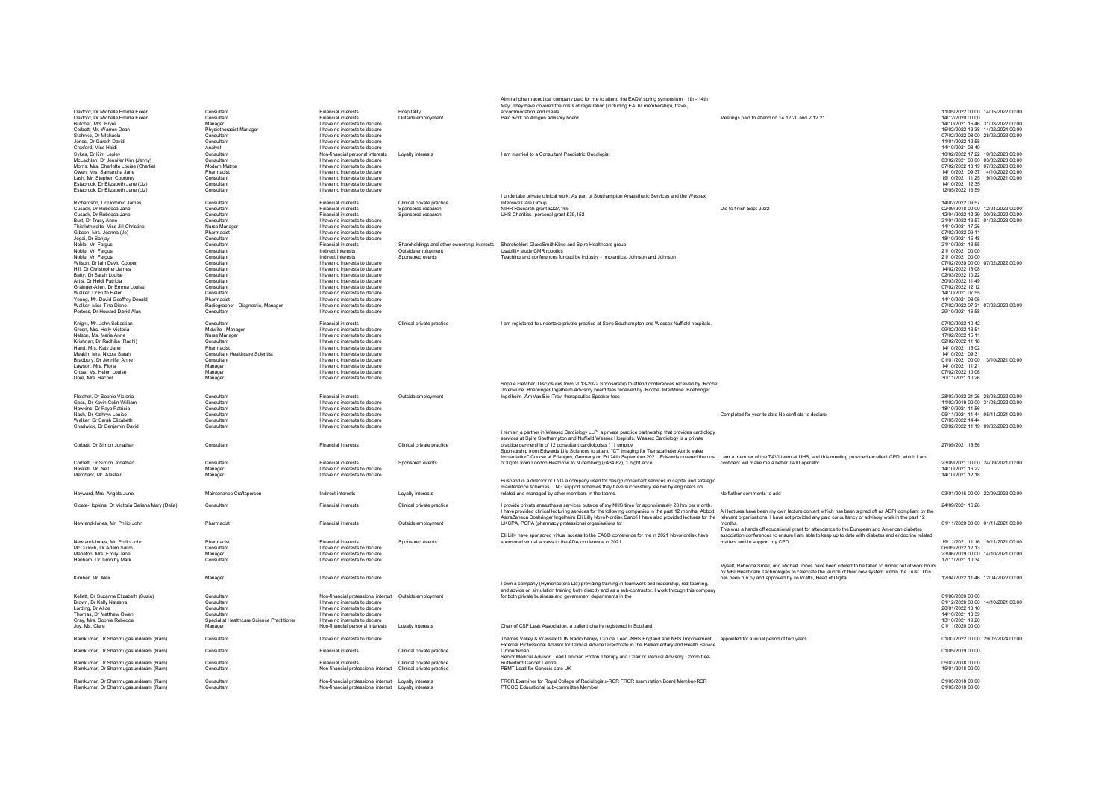|                                                                           |                                                  |                                                                    |                                             | Almirall pharmaceutical company paid for me to attend the EADV spring symposium 11th - 14th                                                                                                            |                                                                                                    |                                                                        |
|---------------------------------------------------------------------------|--------------------------------------------------|--------------------------------------------------------------------|---------------------------------------------|--------------------------------------------------------------------------------------------------------------------------------------------------------------------------------------------------------|----------------------------------------------------------------------------------------------------|------------------------------------------------------------------------|
| Oakford, Dr Michelle Emma Eileen                                          | Consultant                                       | <b>Financial interests</b>                                         | Hospitality                                 | May. They have covered the costs of registration (including EADV membership), travel,<br>accommodation and meals.                                                                                      |                                                                                                    | 11/05/2022 00:00 14/05/2022 00:00                                      |
| Oakford, Dr Michelle Emma Eileen<br>Butcher, Mrs. Brvre                   | Consultant                                       | <b>Financial interests</b><br>I have no interests to declare       | Outside employment                          | Paid work on Amgen advisory board                                                                                                                                                                      | Meetings paid to attend on 14.12.20 and 2.12.21                                                    | 14/12/2020 00:00<br>14/10/2021 16:46 31/03/2022 00:00                  |
| Corbett. Mr. Warren Dea                                                   | Manager<br>Physiotherapist Manage                | I have no interests to declare                                     |                                             |                                                                                                                                                                                                        |                                                                                                    | 15/02/2022 13:38 14/02/2024 00:00                                      |
| Stahnke, Dr Michaela                                                      | Consultant                                       | I have no interests to declare                                     |                                             |                                                                                                                                                                                                        |                                                                                                    | 07/02/2022 08:00 28/02/2023 00:00                                      |
| Jones, Dr Gareth David                                                    | Consultant                                       | I have no interests to declare                                     |                                             |                                                                                                                                                                                                        |                                                                                                    | 11/01/2022 12:58                                                       |
| Croxford, Miss Heidi<br>Sykes, Dr Kim Lesley                              | Analyst<br>Consultant                            | I have no interests to declare                                     | Lovalty interests                           | I am married to a Consultant Paediatric Oncologist                                                                                                                                                     |                                                                                                    | 14/10/2021 08:40<br>10/02/2022 17:22 10/02/2023 00:00                  |
| McLachlan, Dr Jennifer Kim (Jenny)                                        | Consultant                                       | Non-financial personal interests<br>I have no interests to declare |                                             |                                                                                                                                                                                                        |                                                                                                    | 03/02/2021 00:00 03/02/2023 00:00                                      |
| Morris, Mrs. Charlotte Louise (Charlie)                                   | Modern Matron                                    | I have no interests to declare                                     |                                             |                                                                                                                                                                                                        |                                                                                                    | 07/02/2022 13:19 07/02/2023 00:00                                      |
| Owen Mrs Samantha Jane                                                    | Pharmacist                                       | I have no interests to declare                                     |                                             |                                                                                                                                                                                                        |                                                                                                    | 14/10/2021 09:37 14/10/2022 00:00                                      |
| Lash. Mr. Stephen Courtney<br>Estabrook. Dr Elizabeth Jane (Liz)          | Consultant<br>Consultant                         | I have no interests to declare<br>I have no interests to declare   |                                             |                                                                                                                                                                                                        |                                                                                                    | 19/10/2021 11:25 19/10/2021 00:00<br>14/10/2021 12:35                  |
| Estabrook. Dr Elizabeth Jane (Liz)                                        | Consultant                                       | I have no interests to declare                                     |                                             |                                                                                                                                                                                                        |                                                                                                    | 12/05/2022 13:59                                                       |
|                                                                           |                                                  |                                                                    |                                             | I undertake private clinical work: As part of Southampton Anaesthetic Services and the Wessex                                                                                                          |                                                                                                    |                                                                        |
| Richardson, Dr Dominic James                                              | Consultant                                       | <b>Financial interests</b>                                         | Clinical private practice                   | Intensive Care Group                                                                                                                                                                                   |                                                                                                    | 14/02/2022 09:57                                                       |
| Cusack, Dr Rebecca Jane<br>Cusack, Dr Rebecca Jane                        | Consultant<br>Consultant                         | <b>Financial interests</b><br><b>Financial interests</b>           | Sponsored research<br>Sponsored research    | NIHR Research grant £227 165<br>UHS Charities -personal grant £39,152                                                                                                                                  | Die to finish Sent 2022                                                                            | 02/09/2018 00:00 12/04/2022 00:00<br>12/04/2022 12:39 30/08/2022 00:00 |
| <b>Burt Dr Tracy Anne</b>                                                 | Consultant                                       | I have no interests to declare                                     |                                             |                                                                                                                                                                                                        |                                                                                                    | 21/01/2022 13:57 01/02/2023 00:00                                      |
| Thistlethwaite Miss Jill Christine                                        | Nurse Manage                                     | I have no interests to declare                                     |                                             |                                                                                                                                                                                                        |                                                                                                    | 14/10/2021 17:26                                                       |
| Gibson Mrs Joanna (Jo)                                                    | Pharmacist                                       | I have no interests to declare                                     |                                             |                                                                                                                                                                                                        |                                                                                                    | 07/02/2022 09:11<br>18/10/2021 15:48                                   |
| Jogai, Dr Sanjav<br>Noble, Mr. Feraus                                     | Consultant<br>Consultant                         | I have no interests to declare<br><b>Financial interests</b>       | Shareholdings and other ownership interests | Shareholder: GlaxoSmithKline and Spire Healthcare group                                                                                                                                                |                                                                                                    | 21/10/2021 13:55                                                       |
| Noble, Mr. Fergus                                                         | Consultant                                       | Indirect interests                                                 | Outside employment                          | <b>Usability study CMR robotics</b>                                                                                                                                                                    |                                                                                                    | 21/10/2021 00:00                                                       |
| Noble, Mr. Fergus                                                         | Consultant                                       | Indirect interests                                                 | Sponsored events                            | Teaching and conferences funded by industry - Implantica, Johnson and Johnson                                                                                                                          |                                                                                                    | 21/10/2021 00:00                                                       |
| Wilson, Dr Iain David Cooper                                              | Consultant                                       | I have no interests to declare                                     |                                             |                                                                                                                                                                                                        |                                                                                                    | 07/02/2020 00:00 07/02/2022 00:00                                      |
| Hill. Dr Christopher James<br>Batty, Dr Sarah Louise                      | Consultant<br>Consultant                         | I have no interests to declare<br>I have no interests to declare   |                                             |                                                                                                                                                                                                        |                                                                                                    | 14/02/2022 18:08<br>02/03/2022 10:22                                   |
| Artis, Dr Heidi Patricia                                                  | Consultant                                       | I have no interests to declare                                     |                                             |                                                                                                                                                                                                        |                                                                                                    | 30/03/2022 11:49                                                       |
| Grainger-Allen, Dr Emma Louise                                            | Consultant                                       | I have no interests to declare                                     |                                             |                                                                                                                                                                                                        |                                                                                                    | 07/02/2022 12:12                                                       |
| Walker, Dr Ruth Helen                                                     | Consultant                                       | I have no interests to declare                                     |                                             |                                                                                                                                                                                                        |                                                                                                    | 14/10/2021 07:55                                                       |
| Young, Mr. David Geoffrey Donald<br>Walker, Miss Tina Diane               | Pharmacist<br>Radiographer - Diagnostic, Manager | I have no interests to declare<br>I have no interests to declare   |                                             |                                                                                                                                                                                                        |                                                                                                    | 14/10/2021 08:06<br>07/02/2022 07:31 07/02/2022 00:00                  |
| Portess, Dr Howard David Alan                                             | Consultant                                       | I have no interests to declare                                     |                                             |                                                                                                                                                                                                        |                                                                                                    | 29/10/2021 16:58                                                       |
|                                                                           |                                                  |                                                                    |                                             |                                                                                                                                                                                                        |                                                                                                    |                                                                        |
| Knight, Mr. John Sebastian                                                | Consultant                                       | <b>Financial interests</b>                                         | Clinical private practice                   | I am registered to undertake private practice at Spire Southampton and Wessex Nuffield hospitals                                                                                                       |                                                                                                    | 07/02/2022 10:42                                                       |
| Green, Mrs. Holly Victoria<br>Nelson, Ms. Marie Anne                      | Midwife - Manager<br>Nurse Manage                | I have no interests to declare<br>I have no interests to declare   |                                             |                                                                                                                                                                                                        |                                                                                                    | 09/02/2022 13:51<br>17/02/2022 15:11                                   |
| Krishnan, Dr Radhika (Radhi)                                              | Consultant                                       | I have no interests to declare                                     |                                             |                                                                                                                                                                                                        |                                                                                                    | 02/02/2022 11:18                                                       |
| Hand, Mrs. Katy Jane                                                      | Pharmacist                                       | I have no interests to declare                                     |                                             |                                                                                                                                                                                                        |                                                                                                    | 14/10/2021 16:02                                                       |
| Meakin, Mrs. Nicola Sarah                                                 | <b>Consultant Healthcare Scientist</b>           | I have no interests to declare                                     |                                             |                                                                                                                                                                                                        |                                                                                                    | 14/10/2021 09:31                                                       |
| Bradbury, Dr Jennifer Anne<br>Lawson, Mrs. Fiona                          | Consultant<br>Manager                            | I have no interests to declare<br>I have no interests to declare   |                                             |                                                                                                                                                                                                        |                                                                                                    | 01/01/2021 00:00 13/10/2021 00:00<br>14/10/2021 11:21                  |
| Cross, Ms. Helen Louise                                                   | Manager                                          | I have no interests to declare                                     |                                             |                                                                                                                                                                                                        |                                                                                                    | 07/02/2022 10:06                                                       |
| Dore, Mrs. Rachel                                                         | Manager                                          | I have no interests to declare                                     |                                             |                                                                                                                                                                                                        |                                                                                                    | 30/11/2021 10:26                                                       |
|                                                                           |                                                  |                                                                    |                                             | Sophie Fletcher IDisclosures from 2013-2022 Sponsorship to attend conferences received by IRoche<br>InterMune Boehringer Ingelheim Advisory board fees received by Roche InterMune Boehringer          |                                                                                                    |                                                                        |
| Fletcher, Dr Sophie Victoria                                              | Consultant                                       | Financial interests                                                | Outside employment                          | Ingelheim AmMax Bio Trevi therapeutics Speaker fees                                                                                                                                                    |                                                                                                    | 28/03/2022 21:26 28/03/2022 00:00                                      |
| Goss, Dr Kevin Colin William                                              | Consultant                                       | I have no interests to declare                                     |                                             |                                                                                                                                                                                                        |                                                                                                    | 11/02/2019 00:00 31/08/2022 00:00                                      |
| Hawkins, Dr Faye Patricia                                                 | Consultant                                       | I have no interests to declare                                     |                                             |                                                                                                                                                                                                        |                                                                                                    | 18/10/2021 11:56                                                       |
| Nash, Dr Kathryn Louise<br>Walker, Dr Sarah Elizabeth                     | Consultant<br>Consultant                         | I have no interests to declare<br>I have no interests to declare   |                                             |                                                                                                                                                                                                        | Completed for year to date No conflicts to declare                                                 | 05/11/2021 11:44 05/11/2021 00:00<br>07/05/2022 14:44                  |
| Chadwick. Dr Beniamin David                                               | Consultant                                       | I have no interests to declare                                     |                                             |                                                                                                                                                                                                        |                                                                                                    | 09/02/2022 11:19 09/02/2023 00:00                                      |
|                                                                           |                                                  |                                                                    |                                             | Lremain a partner in Wessex Cardiology LLP, a private practice partnership that provides cardiology                                                                                                    |                                                                                                    |                                                                        |
| Corbett. Dr Simon Jonathan                                                | Consultant                                       | <b>Financial interests</b>                                         | Clinical private practice                   | services at Spire Southampton and Nuffield Wessex Hospitals. Wessex Cardiology is a private<br>practice partnership of 12 consultant cardiologists (11 employ                                          |                                                                                                    | 27/09/2021 16:56                                                       |
|                                                                           |                                                  |                                                                    |                                             | Sponsorship from Edwards Life Sciences to attend "CT Imaging for Transcatheter Aortic valve                                                                                                            |                                                                                                    |                                                                        |
|                                                                           |                                                  |                                                                    |                                             | Implantation" Course at Erlangen, Germany on Fri 24th September 2021. Edwards covered the cost I am a member of the TAVI team at UHS, and this meeting provided excellent CPD, which I am              |                                                                                                    |                                                                        |
| Corbett. Dr Simon Jonathan                                                | Consultant                                       | <b>Financial interests</b><br>I have no interests to declare       | Sponsored events                            | of flights from London Heathrow to Nuremberg (£434.62). 1 night acco                                                                                                                                   | confident will make me a better TAVI operator                                                      | 23/09/2021 00:00 24/09/2021 00:00<br>14/10/2021 16:22                  |
| Haskell Mr Neil<br>Marchant Mr Alastair                                   | Manager<br>Manager                               | I have no interests to declare                                     |                                             |                                                                                                                                                                                                        |                                                                                                    | 14/10/2021 12:18                                                       |
|                                                                           |                                                  |                                                                    |                                             | Husband is a director of TNG a company used for design consultant services in capital and strategic                                                                                                    |                                                                                                    |                                                                        |
|                                                                           | Maintenance Craftsperson                         | Indirect interests                                                 |                                             | maintenance schemes. TNG support schemes they have successfully fee bid by engineers not                                                                                                               | No further comments to add                                                                         | 03/01/2016 00:00 22/09/2023 00:00                                      |
| Havward, Mrs. Angela June                                                 |                                                  |                                                                    | I ovalty interests                          | related and managed by other members in the teams.                                                                                                                                                     |                                                                                                    |                                                                        |
| Cloete-Hopkins. Dr Victoria Deliana Mary (Delia)                          | Consultant                                       | <b>Financial interests</b>                                         | Clinical private practice                   | I provide private anaesthesia services outside of my NHS time for approximately 20 hrs per month                                                                                                       |                                                                                                    | 24/09/2021 16:26                                                       |
|                                                                           |                                                  |                                                                    |                                             | I have provided clinical lecturing services for the following companies in the past 12 months. Abbott All lectures have been my own lecture content which has been signed off as ABPI compliant by the |                                                                                                    |                                                                        |
|                                                                           | Pharmacist                                       | <b>Financial interests</b>                                         |                                             | AstraZeneca Boehringer Ingelheim Eli Lilly Novo Nordisk Sanofi I have also provided lectures for the relevant organisations. I have not provided any paid consultancy or advisory work in the past 12  | months                                                                                             | 01/11/2020 00:00 01/11/2021 00:00                                      |
| Newland-Jones, Mr. Philip John                                            |                                                  |                                                                    | Outside employment                          | UKCPA, PCPA (pharmacy professional organisations for                                                                                                                                                   | This was a hands off educational grant for attendance to the European and American diabetes        |                                                                        |
|                                                                           |                                                  |                                                                    |                                             | Eli Lilly have sponsored virtual access to the EASD conference for me in 2021 Novonordisk have                                                                                                         | association conferences to ensure I am able to keep up to date with diabetes and endocrine related |                                                                        |
| Newland-Jones, Mr. Philip John                                            | Pharmacist                                       | <b>Financial interests</b>                                         | Sponsored events                            | sponsored virtual access to the ADA conference in 2021                                                                                                                                                 | matters and to support my CPD.                                                                     | 19/11/2021 11:16 19/11/2021 00:00                                      |
| McCulloch. Dr Adam Salim<br>Manaton, Mrs. Emily Jane                      | Consultant                                       | I have no interests to declare<br>I have no interests to declare   |                                             |                                                                                                                                                                                                        |                                                                                                    | 06/05/2022 12:13                                                       |
| Hanham, Dr Timothy Mark                                                   | Manager<br>Consultant                            | I have no interests to declare                                     |                                             |                                                                                                                                                                                                        |                                                                                                    | 23/06/2019 00:00 14/10/2021 00:00<br>17/11/2021 10:34                  |
|                                                                           |                                                  |                                                                    |                                             |                                                                                                                                                                                                        | Myself, Rebecca Small, and Michael Jones have been offered to be taken to dinner out of work hours |                                                                        |
|                                                                           |                                                  |                                                                    |                                             |                                                                                                                                                                                                        | by MBI Healthcare Technologies to celebrate the launch of their new system within the Trust. This  |                                                                        |
| Kimber, Mr. Alex                                                          | Manager                                          | I have no interests to declare                                     |                                             | I own a company (Hymenoptera Ltd) providing training in teamwork and leadership, red-teaming,                                                                                                          | has been run by and approved by Jo Watts, Head of Digital                                          | 12/04/2022 11:46 12/04/2022 00:00                                      |
|                                                                           |                                                  |                                                                    |                                             | and advice on simulation training both directly and as a sub-contractor. I work through this company                                                                                                   |                                                                                                    |                                                                        |
| Kellett, Dr Suzanne Elizabeth (Suzie)                                     | Consultant                                       | Non-financial professional interest  Outside employment            |                                             | for both private business and government departments in the                                                                                                                                            |                                                                                                    | 01/06/2020 00:00                                                       |
| Brown, Dr Kelly Natasha                                                   | Consultant                                       | I have no interests to declare                                     |                                             |                                                                                                                                                                                                        |                                                                                                    | 01/12/2020 00:00 14/10/2021 00:00                                      |
| Lording, Dr Alice<br>Thomas, Dr Matthew Owen                              | Consultant<br>Consultant                         | I have no interests to declare<br>I have no interests to declare   |                                             |                                                                                                                                                                                                        |                                                                                                    | 20/01/2022 13:10<br>14/10/2021 13:39                                   |
| Gray, Mrs. Sophie Rebecca                                                 | Specialist Healthcare Science Practitioner       | I have no interests to declare                                     |                                             |                                                                                                                                                                                                        |                                                                                                    | 13/10/2021 19:20                                                       |
| Jov. Ms. Clare                                                            | Manager                                          | Non-financial personal interests                                   | Loyalty interests                           | Chair of CSF Leak Association, a patient charity registered in Scotland                                                                                                                                |                                                                                                    | 01/11/2020 00:00                                                       |
| Ramkumar, Dr Shanmugasundaram (Ram)                                       | Consultant                                       | I have no interests to declare                                     |                                             | Thames Valley & Wessex ODN Radiotherapy Clinical Lead -NHS England and NHS Improvement appointed for a initial period of two years                                                                     |                                                                                                    | 01/03/2022 00:00 29/02/2024 00:00                                      |
|                                                                           |                                                  |                                                                    |                                             | External Professional Advisor for Clinical Advice Directorate in the Parliamentary and Health Service                                                                                                  |                                                                                                    |                                                                        |
| Ramkumar, Dr Shanmugasundaram (Ram)                                       | Consultant                                       | <b>Financial interests</b>                                         | Clinical private practice                   | Ombudsman                                                                                                                                                                                              |                                                                                                    | 01/05/2019 00:00                                                       |
| Ramkumar, Dr Shanmugasundaram (Ram)                                       | Consultant                                       | <b>Financial interests</b>                                         | Clinical private practice                   | Senior Medical Advisor, Lead Clinician Proton Therapy and Chair of Medical Advisory Committee-<br>Rutherford Cancer Centre                                                                             |                                                                                                    | 05/03/2018 00:00                                                       |
| Ramkumar, Dr Shanmugasundaram (Ram)                                       | Consultant                                       | Non-financial professional interest                                | Clinical private practice                   | PBMT Lead for Genesis care UK                                                                                                                                                                          |                                                                                                    | 15/01/2018 00:00                                                       |
|                                                                           |                                                  |                                                                    |                                             |                                                                                                                                                                                                        |                                                                                                    |                                                                        |
|                                                                           |                                                  |                                                                    |                                             |                                                                                                                                                                                                        |                                                                                                    |                                                                        |
| Ramkumar, Dr Shanmugasundaram (Ram)<br>Ramkumar Dr Shanmugasundaram (Ram) | Consultant<br>Consultant                         |                                                                    |                                             | FRCR Examiner for Royal College of Radiologists-RCR FRCR examination Board Member-RCR<br>PTCOG Educational sub-committee Member                                                                        |                                                                                                    | 01/05/2018 00:00<br>01/05/2018 00:00                                   |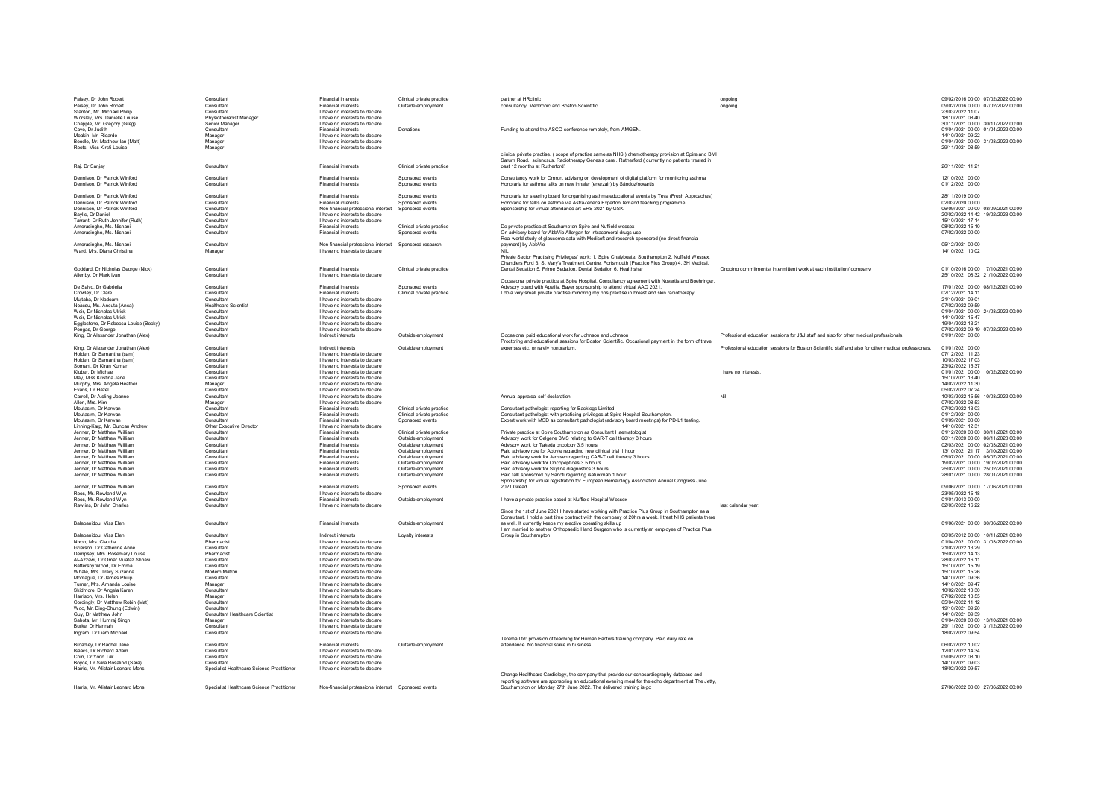| Paisey, Dr John Robert                                            | Consultant                                 | Financial interests                                    | Clinical private practice | partner at HRclinic                                                                                  | ongoing                                                                                               | 09/02/2016 00:00 07/02/2022 00:00    |
|-------------------------------------------------------------------|--------------------------------------------|--------------------------------------------------------|---------------------------|------------------------------------------------------------------------------------------------------|-------------------------------------------------------------------------------------------------------|--------------------------------------|
| Paisey, Dr John Robert                                            | Consultant                                 | <b>Financial interests</b>                             | Outside employment        | consultancy, Medtronic and Boston Scientific                                                         | ongoing                                                                                               | 09/02/2016 00:00 07/02/2022 00:00    |
| Stanton, Mr. Michael Philip                                       | Consultant                                 | I have no interests to declare                         |                           |                                                                                                      |                                                                                                       | 23/03/2022 11:07                     |
| Worsley, Mrs. Danielle Louise                                     | Physiotherapist Manager                    | I have no interests to declare                         |                           |                                                                                                      |                                                                                                       | 18/10/2021 08:40                     |
| Chapple, Mr. Gregory (Greg)                                       | Senior Manager                             | I have no interests to declare                         |                           |                                                                                                      |                                                                                                       | 30/11/2021 00:00 30/11/2022 00:00    |
| Cave, Dr Judith                                                   | Consultant                                 | <b>Financial interests</b>                             | Donations                 | Funding to attend the ASCO conference remotely, from AMGEN.                                          |                                                                                                       | 01/04/2021 00:00 01/04/2022 00:00    |
| Meakin, Mr. Ricardo                                               | Manager                                    | I have no interests to declare                         |                           |                                                                                                      |                                                                                                       | 14/10/2021 09:22                     |
| Beedle, Mr. Matthew Ian (Matt)                                    | Manager                                    | I have no interests to declare                         |                           |                                                                                                      |                                                                                                       | 01/04/2021 00:00 31/03/2022 00:00    |
| Roots, Miss Kirsti Louise                                         | Manager                                    | I have no interests to declare                         |                           |                                                                                                      |                                                                                                       | 29/11/2021 08:59                     |
|                                                                   |                                            |                                                        |                           |                                                                                                      |                                                                                                       |                                      |
|                                                                   |                                            |                                                        |                           | clinical private practise. ( scope of practise same as NHS ) chemotherapy provision at Spire and BMI |                                                                                                       |                                      |
|                                                                   |                                            |                                                        |                           | Sarum Road., sciencsus. Radiotherapy Genesis care . Rutherford ( currently no patients treated in    |                                                                                                       |                                      |
| Rai, Dr Sanjay                                                    | Consultant                                 | <b>Financial interests</b>                             | Clinical private practice | past 12 months at Rutherford)                                                                        |                                                                                                       | 26/11/2021 11:21                     |
|                                                                   |                                            |                                                        |                           |                                                                                                      |                                                                                                       |                                      |
| Dennison, Dr Patrick Winford                                      | Consultant                                 | <b>Financial interests</b>                             | Snonsored events          | Consultancy work for Omron, advising on development of digital platform for monitoring asthma        |                                                                                                       | 12/10/2021 00:00                     |
| Dennison Dr Patrick Winford                                       | Consultant                                 | <b>Financial interests</b>                             | Sponsored events          | Honoraria for asthma talks on new inhaler (enerzair) by Sándoz/novartis                              |                                                                                                       | 01/12/2021 00:00                     |
|                                                                   |                                            |                                                        |                           |                                                                                                      |                                                                                                       |                                      |
| Dennison Dr Patrick Winford                                       | Consultant                                 | <b>Financial interests</b>                             | Snonsored events          | Honoraria for steering board for organising asthma educational events by Teva (Fresh Annroaches)     |                                                                                                       | 28/11/2019 00:00                     |
| Dennison Dr Patrick Winford                                       | Consultant                                 | <b>Financial interests</b>                             | Snonsored events          | Honoraria for talks on asthma via AstraZeneca ExpertonDemand teaching programme                      |                                                                                                       | 02/03/2020 00:00                     |
| Dennison Dr Patrick Winford                                       | Consultant                                 | Non-financial professional interest                    | Sponsored events          | Snonsorship for virtual attendance art FRS 2021 by GSK                                               |                                                                                                       | 06/09/2021 00:00 08/09/2021 00:00    |
| Bavlis, Dr Daniel                                                 | Consultant                                 | I have no interests to declare                         |                           |                                                                                                      |                                                                                                       | 20/02/2022 14:42 19/02/2023 00:00    |
| Tarrant. Dr Ruth Jennifer (Ruth)                                  | Consultant                                 | I have no interests to declare                         |                           |                                                                                                      |                                                                                                       | 15/10/2021 17:14                     |
| Amerasinghe, Ms. Nishani                                          | Consultant                                 | <b>Financial interests</b>                             | Clinical private practice | Do private practice at Southampton Spire and Nuffield wessex                                         |                                                                                                       | 08/02/2022 15:10                     |
| Amerasinghe, Ms. Nishani                                          | Consultant                                 | <b>Financial interests</b>                             | Sponsored events          | On advisory board for AbbVie Allergan for intracameral drugs use                                     |                                                                                                       | 07/02/2022 00:00                     |
|                                                                   |                                            |                                                        |                           | Real world study of glaucoma data with Medisoft and research sponsored (no direct financial          |                                                                                                       |                                      |
| Amerasinghe, Ms. Nishani                                          | Consultant                                 | Non-financial professional interest Sponsored research |                           | payment) by AbbVie                                                                                   |                                                                                                       | 05/12/2021 00:00                     |
| Ward, Mrs. Diana Christina                                        | Manager                                    | I have no interests to declare                         |                           |                                                                                                      |                                                                                                       | 14/10/2021 10:02                     |
|                                                                   |                                            |                                                        |                           | Private Sector Practising Privileges/ work: 1. Spire Chalybeate, Southampton 2. Nuffield Wessex,     |                                                                                                       |                                      |
|                                                                   |                                            |                                                        |                           | Chandlers Ford 3. St Mary's Treatment Centre, Portsmouth (Practice Plus Group) 4. 3H Medical,        |                                                                                                       |                                      |
| Goddard, Dr Nicholas George (Nick)                                | Consultant                                 | <b>Financial interests</b>                             | Clinical private practice | Dental Sedation 5. Prime Sedation, Dental Sedation 6. Healthshar                                     | Ongoing commitments/ intermittent work at each institution/ company                                   | 01/10/2016 00:00 17/10/2021 00:00    |
| Allenby, Dr Mark Ivan                                             | Consultant                                 | I have no interests to declare                         |                           |                                                                                                      |                                                                                                       | 25/10/2021 08:32 21/10/2022 00:00    |
|                                                                   |                                            |                                                        |                           | Occasional private practice at Spire Hospital. Consultancy agreement with Novartis and Boehringer.   |                                                                                                       |                                      |
| De Salvo, Dr Gabriella                                            | Consultant                                 | <b>Financial interests</b>                             | Sponsored events          | Advisory board with Apellis. Bayer sponsorship to attend virtual AAO 2021.                           |                                                                                                       | 17/01/2021 00:00 08/12/2021 00:00    |
| Crowley, Dr Clare                                                 | Consultant                                 | <b>Financial interests</b>                             | Clinical private practice | I do a very small private practise mirroring my nhs practise in breast and skin radiotherap          |                                                                                                       | 02/12/2021 14:11                     |
| Muitaba, Dr Nadear                                                | Consultant                                 | I have no interests to declare                         |                           |                                                                                                      |                                                                                                       | 21/10/2021 09:01                     |
| Neacsu. Ms. Ancuta (Anca)                                         | <b>Healthcare Scientist</b>                | I have no interests to declare                         |                           |                                                                                                      |                                                                                                       | 07/02/2022 09:59                     |
| Weir. Dr Nicholas Ulrick                                          | Consultant                                 | I have no interests to declare                         |                           |                                                                                                      |                                                                                                       |                                      |
|                                                                   |                                            |                                                        |                           |                                                                                                      |                                                                                                       | 01/04/2021 00:00 24/03/2022 00:00    |
| Weir, Dr Nicholas Ulrick                                          | Consultant                                 | I have no interests to declare                         |                           |                                                                                                      |                                                                                                       | 14/10/2021 15:47                     |
| Egglestone, Dr Rebecca Louise (Becky)                             | Consultant                                 | I have no interests to declare                         |                           |                                                                                                      |                                                                                                       | 19/04/2022 13:21                     |
| Pengas, Dr George                                                 | Consultant                                 | I have no interests to declare                         |                           |                                                                                                      |                                                                                                       | 07/02/2022 09:19 07/02/2022 00:00    |
| King, Dr Alexander Jonathan (Alex)                                | Consultant                                 | Indirect interests                                     | Outside employment        | Occasional paid educational work for Johnson and Johnson                                             | Professional education sessions for J&J staff and also for other medical professionals.               | 01/01/2021 00:00                     |
|                                                                   |                                            |                                                        |                           | Proctoring and educational sessions for Boston Scientific. Occasional payment in the form of travel  |                                                                                                       |                                      |
| King, Dr Alexander Jonathan (Alex)                                | Consultant                                 | Indirect interests                                     | Outside employment        | expenses etc, or rarely honorarium.                                                                  | Professional education sessions for Boston Scientific staff and also for other medical professionals. | 01/01/2021 00:00                     |
| Holden, Dr Samantha (sam)                                         | Consultant                                 | I have no interests to declare                         |                           |                                                                                                      |                                                                                                       | 07/12/2021 11:23                     |
| Holden, Dr Samantha (sam)                                         | Consultant                                 | I have no interests to declare                         |                           |                                                                                                      |                                                                                                       | 10/03/2022 17:03                     |
| Somani Dr Kiran Kuma                                              | Consultant                                 | I have no interests to declare                         |                           |                                                                                                      |                                                                                                       | 23/02/2022 15:37                     |
| Kiuber Dr Michael                                                 | Consultant                                 | I have no interests to declare                         |                           |                                                                                                      | I have no interests                                                                                   | 01/01/2021 00:00 10/02/2022 00:00    |
| May Miss Kristina Jane                                            | Consultant                                 | I have no interests to declare                         |                           |                                                                                                      |                                                                                                       | 15/10/2021 13:40                     |
| Murphy Mrs Angela Heather                                         | Manager                                    | I have no interests to declare                         |                           |                                                                                                      |                                                                                                       | 14/02/2022 11:30                     |
| Fyans Dr Hazel                                                    | Consultant                                 | I have no interests to declare                         |                           |                                                                                                      |                                                                                                       | 05/02/2022 07:24                     |
| Carroll, Dr Aisling Joanne                                        | Consultant                                 | I have no interests to declare                         |                           | Annual annraisal self-declaration                                                                    | Nil                                                                                                   | 10/03/2022 15:56 10/03/2022 00:00    |
| Allen, Mrs. Kim                                                   | Manager                                    | I have no interests to declare                         |                           |                                                                                                      |                                                                                                       | 07/02/2022 08:53                     |
| Moutasim. Dr Karwan                                               | Consultant                                 | <b>Financial interests</b>                             | Clinical private practice | Consultant nathologist reporting for Backlogs Limited                                                |                                                                                                       | 07/02/2022 13:03                     |
| Moutasim. Dr Karwan                                               | Consultant                                 | <b>Financial interests</b>                             | Clinical private practice | Consultant pathologist with practicing privileges at Spire Hospital Southampton                      |                                                                                                       | 01/12/2021 00:00                     |
| Moutasim. Dr Karwan                                               | Consultant                                 | <b>Financial interests</b>                             | Sponsored events          |                                                                                                      |                                                                                                       |                                      |
|                                                                   |                                            |                                                        |                           | Expert work with MSD as consultant pathologist (advisory board meetings) for PD-L1 testing           |                                                                                                       | 01/09/2021 00:00                     |
| Linning-Karp, Mr. Duncan Andrew                                   | Other Executive Director                   | I have no interests to declare                         |                           |                                                                                                      |                                                                                                       | 14/10/2021 12:31                     |
| Jenner, Dr Matthew William                                        | Consultant                                 | <b>Financial interests</b>                             | Clinical private practice | Private practice at Spire Southampton as Consultant Haematologist                                    |                                                                                                       | 01/12/2020 00:00 30/11/2021 00:00    |
| Jenner, Dr Matthew William                                        | Consultant                                 | <b>Financial interests</b>                             | Outside employment        | Advisory work for Celgene BMS relating to CAR-T cell therapy 3 hours                                 |                                                                                                       | 06/11/2020 00:00 06/11/2020 00:00    |
| Jenner, Dr Matthew William                                        | Consultant                                 | <b>Financial interests</b>                             | Outside employment        | Advisory work for Takeda oncology 3.5 hours                                                          |                                                                                                       | 02/03/2021 00:00 02/03/2021 00:00    |
| Jenner, Dr Matthew William                                        | Consultant                                 | <b>Financial interests</b>                             | Outside employment        | Paid advisory role for Abbvie regarding new clinical trial 1 hour                                    |                                                                                                       | 13/10/2021 21:17 13/10/2021 00:00    |
| Jenner, Dr Matthew William                                        | Consultant                                 | <b>Financial interests</b>                             | Outside employment        | Paid advisory work for Janssen regarding CAR-T cell therapy 3 hours                                  |                                                                                                       | 05/07/2021 00:00 05/07/2021 00:00    |
| Jenner, Dr Matthew William                                        | Consultant                                 | <b>Financial interests</b>                             | Outside employment        | Paid advisory work for Oncopeptides 3.5 hours                                                        |                                                                                                       | 19/02/2021 00:00 19/02/2021 00:00    |
| Jenner, Dr Matthew William                                        | Consultant                                 | <b>Financial interests</b>                             | Outside employment        | Paid advisory work for Skyline diagnostics 3 hours                                                   |                                                                                                       | 25/02/2021 00:00 25/02/2021 00:00    |
| Jenner, Dr Matthew William                                        | Consultant                                 | <b>Financial interests</b>                             | Outside employment        | Paid talk sponsored by Sanofi regarding isatuximab 1 hour                                            |                                                                                                       |                                      |
|                                                                   |                                            |                                                        |                           |                                                                                                      |                                                                                                       | 28/01/2021 00:00 28/01/2021 00:00    |
|                                                                   |                                            |                                                        |                           | Sponsorship for virtual registration for European Hematology Association Annual Congress June        |                                                                                                       |                                      |
| Jenner, Dr Matthew William                                        | Consultant                                 | <b>Financial interests</b>                             | Sponsored events          | 2021 Gilead                                                                                          |                                                                                                       | 09/06/2021 00:00 17/06/2021 00:00    |
| Rees, Mr. Rowland Wyn                                             | Consultant                                 | I have no interests to declare                         |                           |                                                                                                      |                                                                                                       | 23/05/2022 15:18                     |
| Rees, Mr. Rowland Wyn                                             | Consultant                                 | <b>Financial interests</b>                             | Outside employment        | I have a private practise based at Nuffield Hospital Wessex                                          |                                                                                                       | 01/01/2013 00:00                     |
| Rawlins, Dr John Charles                                          | Consultant                                 | I have no interests to declare                         |                           |                                                                                                      | last calendar year                                                                                    | 02/03/2022 16:22                     |
|                                                                   |                                            |                                                        |                           | Since the 1st of June 2021 I have started working with Practice Plus Group in Southampton as a       |                                                                                                       |                                      |
|                                                                   |                                            |                                                        |                           | Consultant. I hold a part time contract with the company of 20hrs a week. I treat NHS patients there |                                                                                                       |                                      |
| Balabanidou, Miss Eleni                                           | Consultant                                 | Financial interests                                    | Outside employment        | as well. It currently keeps my elective operating skills up                                          |                                                                                                       | 01/06/2021 00:00 30/06/2022 00:00    |
|                                                                   |                                            |                                                        |                           | I am married to another Orthopaedic Hand Surgeon who is currently an employee of Practice Plus       |                                                                                                       |                                      |
| <b>Balabanidou Miss Eleni</b>                                     | Consultant                                 | Indirect interests                                     | I ovalty interests        | Group in Southampton                                                                                 |                                                                                                       | 06/05/2012 00:00 10/11/2021 00:00    |
| Nixon Mrs Claudia                                                 | Pharmacist                                 | I have no interests to declare                         |                           |                                                                                                      |                                                                                                       | 01/04/2021 00:00 31/03/2022 00:00    |
| Grierson, Dr Catherine Anne                                       | Consultant                                 | I have no interests to declare                         |                           |                                                                                                      |                                                                                                       |                                      |
|                                                                   | Pharmacist                                 | I have no interests to declare                         |                           |                                                                                                      |                                                                                                       | 21/02/2022 13:29<br>15/02/2022 14:13 |
| Dempsey, Mrs. Rosemary Louise<br>Al-Azzawi, Dr Omar Muataz Shnasi | Consultant                                 | I have no interests to declare                         |                           |                                                                                                      |                                                                                                       |                                      |
| Battersby Wood, Dr Emma                                           | Consultant                                 | I have no interests to declare                         |                           |                                                                                                      |                                                                                                       | 28/03/2022 16:11                     |
|                                                                   |                                            |                                                        |                           |                                                                                                      |                                                                                                       | 15/10/2021 15:19                     |
| Whale, Mrs. Tracy Suzanne                                         | Modern Matron                              | I have no interests to declare                         |                           |                                                                                                      |                                                                                                       | 15/10/2021 15:26                     |
| Montague, Dr James Philip                                         | Consultant                                 | I have no interests to declare                         |                           |                                                                                                      |                                                                                                       | 14/10/2021 09:36                     |
| Turner, Mrs. Amanda Louise                                        | Manager                                    | I have no interests to declare                         |                           |                                                                                                      |                                                                                                       | 14/10/2021 09:47                     |
| Skidmore, Dr Angela Karen                                         | Consultant                                 | I have no interests to declare                         |                           |                                                                                                      |                                                                                                       | 10/02/2022 10:30                     |
| Harrison Mrs Helen                                                | Manager                                    | I have no interests to declare                         |                           |                                                                                                      |                                                                                                       | 07/02/2022 13:55                     |
| Cordingly, Dr Matthew Robin (Mat)                                 | Consultant                                 | I have no interests to declare                         |                           |                                                                                                      |                                                                                                       | 05/04/2022 11:12                     |
| Woo, Mr. Bing-Chung (Edwin)                                       | Consultant                                 | I have no interests to declare                         |                           |                                                                                                      |                                                                                                       | 19/10/2021 09:20                     |
| Guy, Dr Matthew John                                              | <b>Consultant Healthcare Scientist</b>     | I have no interests to declare                         |                           |                                                                                                      |                                                                                                       | 14/10/2021 09:39                     |
| Sahota, Mr. Humraj Singh                                          | Manager                                    | I have no interests to declare                         |                           |                                                                                                      |                                                                                                       | 01/04/2020 00:00 13/10/2021 00:00    |
| Burke, Dr Hannah                                                  | Consultant                                 | I have no interests to declare                         |                           |                                                                                                      |                                                                                                       | 29/11/2021 00:00 31/12/2022 00:00    |
| Ingram, Dr Liam Michael                                           | Consultant                                 | I have no interests to declare                         |                           |                                                                                                      |                                                                                                       | 18/02/2022 09:54                     |
|                                                                   |                                            |                                                        |                           | Terema Ltd: provision of teaching for Human Factors training company. Paid daily rate on             |                                                                                                       |                                      |
| Broadley, Dr Rachel Jane                                          | Consultant                                 | Financial interests                                    | Outside employment        | attendance. No financial stake in business.                                                          |                                                                                                       | 06/02/2022 10:02                     |
| Isaacs, Dr Richard Adam                                           | Consultant                                 | I have no interests to declare                         |                           |                                                                                                      |                                                                                                       | 12/01/2022 14:34                     |
| Chin. Dr Yoon Tak                                                 | Consultant                                 | I have no interests to declare                         |                           |                                                                                                      |                                                                                                       | 09/05/2022 08:10                     |
| Boyce, Dr Sara Rosalind (Sara)                                    | Consultant                                 | I have no interests to declare                         |                           |                                                                                                      |                                                                                                       | 14/10/2021 09:03                     |
| Harris, Mr. Alistair Leonard Mons                                 | Specialist Healthcare Science Practitioner | I have no interests to declare                         |                           |                                                                                                      |                                                                                                       | 18/02/2022 09:57                     |
|                                                                   |                                            |                                                        |                           | Change Healthcare Cardiology, the company that provide our echocardiography database and             |                                                                                                       |                                      |
|                                                                   |                                            |                                                        |                           | reporting software are sponsoring an educational evening meal for the echo department at The Jetty,  |                                                                                                       |                                      |
| Harris, Mr. Alistair Leonard Mons                                 | Specialist Healthcare Science Practitioner | Non-financial professional interest Sponsored events   |                           | Southampton on Monday 27th June 2022. The delivered training is go                                   |                                                                                                       | 27/06/2022 00:00 27/06/2022 00:00    |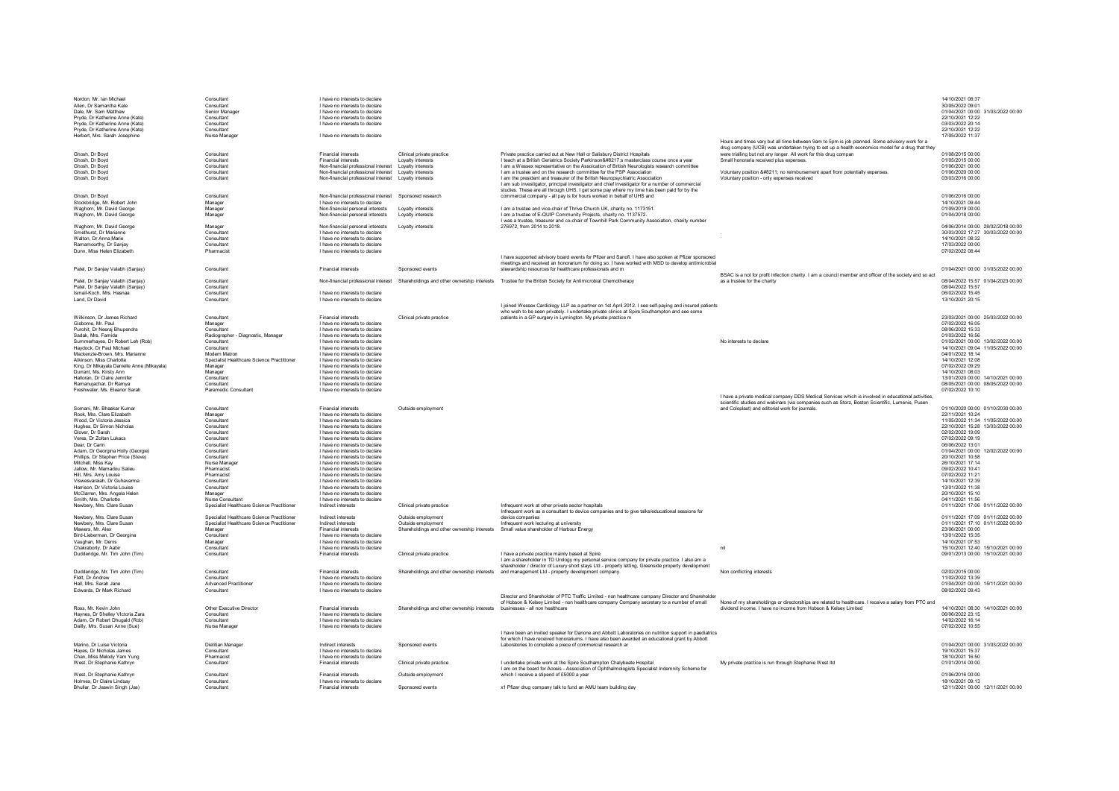| Nordon, Mr. Ian Michael<br>Allen. Dr Samantha Kate<br>Dale Mr Sam Matthew<br>Pryde Dr Katherine Anne (Kate) | Consultant<br>Consultant<br>Senior Manager<br>Consultant | I have no interests to declare<br>I have no interests to declare<br>I have no interests to declare<br>I have no interests to declare |                                                                             |                                                                                                                                                                                                                                                                              |                                                                                                                                                                                                   | 14/10/2021 08:37<br>30/05/2022 09:01<br>01/04/2021 00:00 31/03/2022 00:00<br>22/10/2021 12:22 |
|-------------------------------------------------------------------------------------------------------------|----------------------------------------------------------|--------------------------------------------------------------------------------------------------------------------------------------|-----------------------------------------------------------------------------|------------------------------------------------------------------------------------------------------------------------------------------------------------------------------------------------------------------------------------------------------------------------------|---------------------------------------------------------------------------------------------------------------------------------------------------------------------------------------------------|-----------------------------------------------------------------------------------------------|
| Pryde, Dr Katherine Anne (Kate)<br>Pryde, Dr Katherine Anne (Kate)<br>Herbert, Mrs. Sarah Josephine         | Consultant<br>Consultant<br>Nurse Manager                | I have no interests to declare<br>I have no interests to declare                                                                     |                                                                             |                                                                                                                                                                                                                                                                              |                                                                                                                                                                                                   | 03/03/2022 20:14<br>22/10/2021 12:22<br>17/05/2022 11:37                                      |
|                                                                                                             |                                                          |                                                                                                                                      |                                                                             |                                                                                                                                                                                                                                                                              | Hours and times vary but all time between 9am to 5pm is job planned. Some advisory work for a<br>drug company (UCB) was undertaken trying to set up a health economics model for a drug that they |                                                                                               |
| Ghosh, Dr Boyd<br>Ghosh Dr Boyd                                                                             | Consultant<br>Consultant                                 | <b>Financial interests</b><br><b>Financial interests</b>                                                                             | Clinical private practice                                                   | Private practice carried out at New Hall or Salisbury District Hospitals                                                                                                                                                                                                     | were trialling but not any longer. All work for this drug compan<br>Small honoraria received plus expenses                                                                                        | 01/08/2015 00:00<br>01/05/2015 00:00                                                          |
| Ghosh, Dr Boyd                                                                                              | Consultant                                               | Non-financial professional interest    Lovalty interests                                                                             | Loyalty interests                                                           | I teach at a British Geriatrics Society Parkinson’:s masterclass course once a year<br>I am a Wessex representative on the Assoication of British Neurologists research committee                                                                                            |                                                                                                                                                                                                   | 01/06/2021 00:00                                                                              |
| Ghosh, Dr Boyd                                                                                              | Consultant                                               | Non-financial professional interest    Loyalty interests                                                                             |                                                                             | I am a trustee and on the research committee for the PSP Association                                                                                                                                                                                                         | Voluntary position – no reimbursement apart from potentially expenses.                                                                                                                            | 01/06/2020 00:00                                                                              |
| Ghosh, Dr Boyd                                                                                              | Consultant                                               | Non-financial professional interest    Loyalty interests                                                                             |                                                                             | I am the president and treasurer of the British Neuropsychiatric Association<br>I am sub investigator, principal investigator and chief investigator for a number of commercial<br>studies. These are all through UHS. I get some pay where my time has been paid for by the | Voluntary position - only expenses received                                                                                                                                                       | 03/03/2016 00:00                                                                              |
| Ghosh, Dr Boyd<br>Stockbridge, Mr. Robert John                                                              | Consultant<br>Manager                                    | Non-financial professional interest Sponsored research<br>I have no interests to declare                                             |                                                                             | commercial company - all pay is for hours worked in behalf of UHS and                                                                                                                                                                                                        |                                                                                                                                                                                                   | 01/06/2016 00:00<br>14/10/2021 09:44                                                          |
| Waghorn, Mr. David George                                                                                   | Manager                                                  | Non-financial personal interests                                                                                                     | Lovalty interests                                                           | I am a trustee and vice-chair of Thrive Church UK, charity no. 1173151.                                                                                                                                                                                                      |                                                                                                                                                                                                   | 01/09/2019 00:00                                                                              |
| Waghorn, Mr. David George<br>Waghorn, Mr. David George                                                      | Manager<br>Manager                                       | Non-financial personal interests<br>Non-financial personal interests                                                                 | Lovalty interests<br>Lovalty interests                                      | I am a trustee of E-QUIP Community Projects, charity no. 1137572.<br>I was a trustee, treasurer and co-chair of Townhill Park Community Association, charity number<br>276972, from 2014 to 2018.                                                                            |                                                                                                                                                                                                   | 01/04/2018 00:00<br>04/06/2014 00:00 28/02/2018 00:00                                         |
| Smethurst, Dr Marianne                                                                                      | Consultan                                                | I have no interests to declare                                                                                                       |                                                                             |                                                                                                                                                                                                                                                                              |                                                                                                                                                                                                   | 30/03/2022 17:27 30/03/2022 00:00                                                             |
| Walton, Dr Anna Marie                                                                                       | Consultant                                               | I have no interests to declare                                                                                                       |                                                                             |                                                                                                                                                                                                                                                                              |                                                                                                                                                                                                   | 14/10/2021 08:32                                                                              |
| Ramamoorthy, Dr Sanjay<br>Dunn, Miss Helen Elizabeth                                                        | Consultant<br>Pharmacist                                 | I have no interests to declare<br>I have no interests to declare                                                                     |                                                                             |                                                                                                                                                                                                                                                                              |                                                                                                                                                                                                   | 17/03/2022 00:00<br>07/02/2022 08:44                                                          |
|                                                                                                             |                                                          |                                                                                                                                      |                                                                             | I have supported advisory board events for Pfizer and Sanofi. I have also spoken at Pfizer sponsored<br>meetings and received an honorarium for doing so. I have worked with MSD to develop antimicrobial                                                                    |                                                                                                                                                                                                   |                                                                                               |
| Patel, Dr Sanjay Valabh (Sanjay)                                                                            | Consultant                                               | <b>Financial interests</b>                                                                                                           | Sponsored events                                                            | stewardship resources for healthcare professionals and m                                                                                                                                                                                                                     | BSAC is a not for profit infection charity. I am a council member and officer of the society and so act                                                                                           | 01/04/2021 00:00 31/03/2022 00:00                                                             |
| Patel, Dr Sanjay Valabh (Sanjay)<br>Patel, Dr Sanjay Valabh (Sanjay)                                        | Consultant<br>Consultant                                 |                                                                                                                                      |                                                                             | Non-financial professional interest Shareholdings and other ownership interests Trustee for the British Society for Antimicrobial Chemotherapy                                                                                                                               | as a trustee for the charity                                                                                                                                                                      | 08/04/2022 15:57 01/04/2023 00:00<br>08/04/2022 15:57                                         |
| Ismail-Koch, Mrs. Hasnaa                                                                                    | Consultant                                               | I have no interests to declare                                                                                                       |                                                                             |                                                                                                                                                                                                                                                                              |                                                                                                                                                                                                   | 06/02/2022 15:45                                                                              |
| Land, Dr David                                                                                              | Consultant                                               | I have no interests to declare                                                                                                       |                                                                             |                                                                                                                                                                                                                                                                              |                                                                                                                                                                                                   | 13/10/2021 20:15                                                                              |
|                                                                                                             |                                                          |                                                                                                                                      |                                                                             | I joined Wessex Cardiology LLP as a partner on 1st April 2012. I see self-paying and insured patients<br>who wish to be seen privately. I undertake private clinics at Spire Southampton and see some                                                                        |                                                                                                                                                                                                   |                                                                                               |
| Wilkinson, Dr. James Richard                                                                                | Consultant                                               | <b>Financial interests</b>                                                                                                           | Clinical private practice                                                   | patients in a GP surgery in Lymington. My private practice m                                                                                                                                                                                                                 |                                                                                                                                                                                                   | 23/03/2021 00:00 25/03/2022 00:00                                                             |
| Gisborne Mr Paul<br>Purchit Dr Neerai Bhunendra                                                             | Manager<br>Consultant                                    | I have no interests to declare<br>I have no interests to declare                                                                     |                                                                             |                                                                                                                                                                                                                                                                              |                                                                                                                                                                                                   | 07/02/2022 16:05<br>08/06/2022 15:33                                                          |
| Sadak, Mrs. Famida                                                                                          | Radiographer - Diagnostic, Manager                       | I have no interests to declare                                                                                                       |                                                                             |                                                                                                                                                                                                                                                                              |                                                                                                                                                                                                   | 01/03/2022 16:56                                                                              |
| Summerhaves Dr Robert Leh (Rob)                                                                             | Consultant                                               | I have no interests to declare                                                                                                       |                                                                             |                                                                                                                                                                                                                                                                              | No interests to declare                                                                                                                                                                           | 01/02/2021 00:00 13/02/2022 00:00                                                             |
| Haydock, Dr Paul Michael<br>Mackenzie-Brown, Mrs. Marianne                                                  | Consultant<br>Modern Matron                              | I have no interests to declare<br>I have no interests to declare                                                                     |                                                                             |                                                                                                                                                                                                                                                                              |                                                                                                                                                                                                   | 14/10/2021 09:04 11/05/2022 00:00<br>04/01/2022 18:14                                         |
| Atkinson, Miss Charlotte                                                                                    | Specialist Healthcare Science Practitioner               | I have no interests to declare                                                                                                       |                                                                             |                                                                                                                                                                                                                                                                              |                                                                                                                                                                                                   | 14/10/2021 12:08                                                                              |
| King, Dr Mikayala Danielle Anne (Mikayala)                                                                  | Manager                                                  | I have no interests to declare                                                                                                       |                                                                             |                                                                                                                                                                                                                                                                              |                                                                                                                                                                                                   | 07/02/2022 09:29                                                                              |
| Durrant, Ms. Kirsty Ann<br>Halloran Dr Claire Jennifer                                                      | Manager<br>Consultant                                    | I have no interests to declare<br>I have no interests to declare                                                                     |                                                                             |                                                                                                                                                                                                                                                                              |                                                                                                                                                                                                   | 14/10/2021 08:03<br>13/01/2020 00:00 14/10/2021 00:00                                         |
| Ramanujachar Dr Ramya                                                                                       | Consultant                                               | I have no interests to declare                                                                                                       |                                                                             |                                                                                                                                                                                                                                                                              |                                                                                                                                                                                                   | 08/05/2021 00:00 08/05/2022 00:00                                                             |
| Freshwater, Ms. Eleanor Sarah                                                                               | Paramedic Consultant                                     | I have no interests to declare                                                                                                       |                                                                             |                                                                                                                                                                                                                                                                              |                                                                                                                                                                                                   | 07/02/2022 10:10                                                                              |
|                                                                                                             |                                                          |                                                                                                                                      |                                                                             |                                                                                                                                                                                                                                                                              |                                                                                                                                                                                                   |                                                                                               |
|                                                                                                             |                                                          |                                                                                                                                      |                                                                             |                                                                                                                                                                                                                                                                              | I have a private medical company DDS Medical Services which is involved in educational activities,                                                                                                |                                                                                               |
| Somani, Mr. Bhaskar Kumar                                                                                   | Consultant                                               | Financial interests                                                                                                                  | Outside employment                                                          |                                                                                                                                                                                                                                                                              | scientific studies and webinars (via companies such as Storz, Boston Scientific, Lumenis, Pusen<br>and Coloplast) and editorial work for iournals.                                                | 01/10/2020 00:00 01/10/2030 00:00                                                             |
| Rook Mrs Clare Elizabeth                                                                                    | Manager                                                  | I have no interests to declare                                                                                                       |                                                                             |                                                                                                                                                                                                                                                                              |                                                                                                                                                                                                   | 22/11/2021 10:24                                                                              |
| Wood Dr Victoria Jessica                                                                                    | Consultant                                               | I have no interests to declare                                                                                                       |                                                                             |                                                                                                                                                                                                                                                                              |                                                                                                                                                                                                   | 11/05/2022 11:34 11/05/2022 00:00                                                             |
| Hughes, Dr Simon Nicholas<br>Glover, Dr Sarah                                                               | Consultant<br>Consultant                                 | I have no interests to declare<br>I have no interests to declare                                                                     |                                                                             |                                                                                                                                                                                                                                                                              |                                                                                                                                                                                                   | 22/10/2021 15:28 13/03/2022 00:00<br>02/02/2022 19:09                                         |
| Veres, Dr Zoltan Lukacs                                                                                     | Consultant                                               | I have no interests to declare                                                                                                       |                                                                             |                                                                                                                                                                                                                                                                              |                                                                                                                                                                                                   | 07/02/2022 09:19                                                                              |
| Dear, Dr Carin                                                                                              | Consultant<br>Consultant                                 | I have no interests to declare                                                                                                       |                                                                             |                                                                                                                                                                                                                                                                              |                                                                                                                                                                                                   | 06/06/2022 13:01                                                                              |
| Adam, Dr Georgina Holly (Georgie)<br>Phillips, Dr Stephen Price (Steve)                                     | Consultant                                               | I have no interests to declare<br>I have no interests to declare                                                                     |                                                                             |                                                                                                                                                                                                                                                                              |                                                                                                                                                                                                   | 01/04/2021 00:00 12/02/2022 00:00<br>20/10/2021 10:58                                         |
| Mitchell, Miss Kay                                                                                          | Nurse Manager                                            | I have no interests to declare                                                                                                       |                                                                             |                                                                                                                                                                                                                                                                              |                                                                                                                                                                                                   | 26/10/2021 17:14                                                                              |
| Jallow, Mr. Mamadou Salieu<br>Hill, Mrs. Amy Louise                                                         | Pharmacis<br>Pharmacis                                   | I have no interests to declare<br>I have no interests to declare                                                                     |                                                                             |                                                                                                                                                                                                                                                                              |                                                                                                                                                                                                   | 09/02/2022 10:41<br>07/02/2022 11:21                                                          |
| Viswesvaraiah, Dr Guhavarma                                                                                 | Consultant                                               | I have no interests to declare                                                                                                       |                                                                             |                                                                                                                                                                                                                                                                              |                                                                                                                                                                                                   | 14/10/2021 12:39                                                                              |
| Harrison, Dr Victoria Louise<br>McClarren, Mrs. Angela Heler                                                | Consultant                                               | I have no interests to declare<br>I have no interests to declare                                                                     |                                                                             |                                                                                                                                                                                                                                                                              |                                                                                                                                                                                                   | 13/01/2022 11:38<br>20/10/2021 15:10                                                          |
| Smith, Mrs. Charlotte                                                                                       | Manager<br>Nurse Consultant                              | I have no interests to declare                                                                                                       |                                                                             |                                                                                                                                                                                                                                                                              |                                                                                                                                                                                                   | 04/11/2021 11:56                                                                              |
| Newbery, Mrs. Clare Susan                                                                                   | Specialist Healthcare Science Practitioner               | Indirect interests                                                                                                                   | Clinical private practice                                                   | Infrequent work at other private sector hospitals<br>Infrequent work as a consultant to device companies and to give talks/educational sessions for                                                                                                                          |                                                                                                                                                                                                   | 01/11/2021 17:06 01/11/2022 00:00                                                             |
| Newbery, Mrs. Clare Susan                                                                                   | Specialist Healthcare Science Practitioner               | Indirect interests                                                                                                                   | Outside employment                                                          | device companies                                                                                                                                                                                                                                                             |                                                                                                                                                                                                   | 01/11/2021 17:09 01/11/2022 00:00                                                             |
| Newbery, Mrs. Clare Susan<br>Mawers, Mr. Alex                                                               | Specialist Healthcare Science Practitioner<br>Manager    | Indirect interests<br><b>Financial interests</b>                                                                                     | Outside employment<br>Shareholdings and other ownership interests           | Infrequent work lecturing at university<br>Small value shareholder of Harbour Energy                                                                                                                                                                                         |                                                                                                                                                                                                   | 01/11/2021 17:10 01/11/2022 00:00<br>23/06/2021 00:00                                         |
| Bird-Lieberman, Dr Georgina                                                                                 | Consultant                                               | I have no interests to declare                                                                                                       |                                                                             |                                                                                                                                                                                                                                                                              |                                                                                                                                                                                                   | 13/01/2022 15:35                                                                              |
| Vaughan, Mr. Denis<br>Chakraborty, Dr Aabir                                                                 | Manager<br>Consultant                                    | I have no interests to declare<br>I have no interests to declare                                                                     |                                                                             |                                                                                                                                                                                                                                                                              | nil                                                                                                                                                                                               | 14/10/2021 07:53                                                                              |
| Dudderidge, Mr. Tim John (Tim)                                                                              | Consultant                                               | <b>Financial interests</b>                                                                                                           | Clinical private practice                                                   | I have a private practice mainly based at Spire.                                                                                                                                                                                                                             |                                                                                                                                                                                                   | 15/10/2021 12:40 15/10/2021 00:00<br>09/01/2013 00:00 15/10/2021 00:00                        |
|                                                                                                             |                                                          |                                                                                                                                      |                                                                             | I am a shareholder in TD Urology my personal service company for private practice. I also am a                                                                                                                                                                               |                                                                                                                                                                                                   |                                                                                               |
| Dudderidge, Mr. Tim John (Tim)                                                                              | Consultant                                               | <b>Financial interests</b>                                                                                                           |                                                                             | shareholder / director of Luxury short stays Ltd - property letting. Greenside property development<br>Shareholdings and other ownership interests and management Ltd - property development company.                                                                        | Non conflicting interests                                                                                                                                                                         | 02/02/2015 00:00                                                                              |
| Flett Dr Andrew                                                                                             | Consultant                                               | I have no interests to declare                                                                                                       |                                                                             |                                                                                                                                                                                                                                                                              |                                                                                                                                                                                                   | 11/02/2022 13:39                                                                              |
| Hall Mrs Sarah Jane<br><b>Edwards Dr Mark Richard</b>                                                       | <b>Advanced Practitioner</b><br>Consultant               | I have no interests to declare<br>I have no interests to declare                                                                     |                                                                             |                                                                                                                                                                                                                                                                              |                                                                                                                                                                                                   | 01/04/2021 00:00 15/11/2021 00:00<br>08/02/2022 09:43                                         |
|                                                                                                             |                                                          |                                                                                                                                      |                                                                             | Director and Shareholder of PTC Traffic Limited - non healthcare company Director and Shareholder                                                                                                                                                                            |                                                                                                                                                                                                   |                                                                                               |
|                                                                                                             |                                                          |                                                                                                                                      |                                                                             | of Hobson & Kelsey Limited - non healthcare company Company secretary to a number of small                                                                                                                                                                                   | None of my shareholdings or directorships are related to bealthcare. I receive a salary from PTC and                                                                                              |                                                                                               |
| Ross, Mr. Kevin John<br>Haynes, Dr Shelley Victoria Zara                                                    | Other Executive Director<br>Consultant                   | Financial interests<br>I have no interests to declare                                                                                | Shareholdings and other ownership interests businesses - all non healthcare |                                                                                                                                                                                                                                                                              | dividend income. I have no income from Hobson & Kelsey Limited                                                                                                                                    | 14/10/2021 08:30 14/10/2021 00:00<br>06/06/2022 23:15                                         |
| Adam, Dr Robert Dhugald (Rob)                                                                               | Consultant                                               | I have no interests to declare                                                                                                       |                                                                             |                                                                                                                                                                                                                                                                              |                                                                                                                                                                                                   | 14/02/2022 16:14                                                                              |
| Dailly, Mrs. Susan Anne (Sue)                                                                               | Nurse Manager                                            | I have no interests to declare                                                                                                       |                                                                             | I have been an invited speaker for Danone and Abbott Laboratories on nutrition support in paediatrics                                                                                                                                                                        |                                                                                                                                                                                                   | 07/02/2022 10:55                                                                              |
|                                                                                                             |                                                          |                                                                                                                                      |                                                                             | for which I have received honorariums. I have also been awarded an educational grant by Abbott                                                                                                                                                                               |                                                                                                                                                                                                   |                                                                                               |
| Marino, Dr Luise Victoria                                                                                   | <b>Dietitian Manager</b>                                 | Indirect interests                                                                                                                   | Sponsored events                                                            | Laboratories to complete a piece of commercial research ar                                                                                                                                                                                                                   |                                                                                                                                                                                                   | 01/04/2021 00:00 31/03/2022 00:00                                                             |
| Hayes, Dr Nicholas James<br>Chan, Miss Melody Yam Yung                                                      | Consultant<br>Pharmacist                                 | I have no interests to declare<br>I have no interests to declare                                                                     |                                                                             |                                                                                                                                                                                                                                                                              |                                                                                                                                                                                                   | 19/10/2021 15:37<br>18/10/2021 16:50                                                          |
| West, Dr Stephanie Kathryn                                                                                  | Consultant                                               | <b>Financial interests</b>                                                                                                           | Clinical private practice                                                   | I undertake private work at the Spire Southampton Chalvbeate Hospital                                                                                                                                                                                                        | My private practice is run through Stephanie West Itd                                                                                                                                             | 01/01/2014 00:00                                                                              |
| West. Dr Stephanie Kathryn                                                                                  | Consultant                                               | <b>Financial interests</b>                                                                                                           | Outside employment                                                          | I am on the board for Acosis - Association of Ophthalmologists Specialist Indemnity Scheme for<br>which I receive a stipend of £5000 a year                                                                                                                                  |                                                                                                                                                                                                   | 01/06/2016 00:00                                                                              |
| Holmes, Dr Claire Lindsay<br>Bhullar, Dr Jaswin Singh (Jas)                                                 | Consultant<br>Consultant                                 | I have no interests to declare<br><b>Financial interests</b>                                                                         | Sponsored events                                                            | x1 Pfizer drug company talk to fund an AMU team building day                                                                                                                                                                                                                 |                                                                                                                                                                                                   | 18/10/2021 09:13<br>12/11/2021 00:00 12/11/2021 00:00                                         |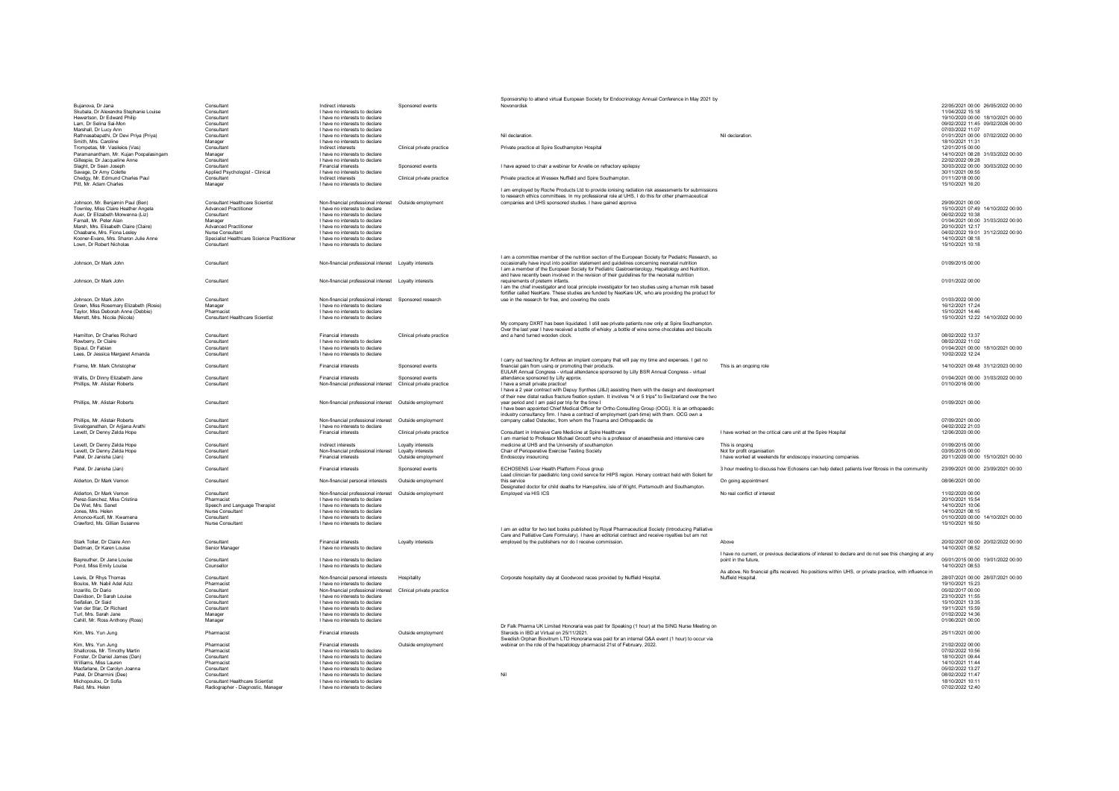|                                                                     |                                                                | Indirect interests                                                                       |                           | Sponsorship to attend virtual European Society for Endocrinology Annual Conference in May 2021 by                                                          |                                                                                                        |                                                       |
|---------------------------------------------------------------------|----------------------------------------------------------------|------------------------------------------------------------------------------------------|---------------------------|------------------------------------------------------------------------------------------------------------------------------------------------------------|--------------------------------------------------------------------------------------------------------|-------------------------------------------------------|
| Bujanova Dr Jana<br>Skubala. Dr Alexandra Stephanie Louise          | Consultant<br>Consultant                                       | I have no interests to declare                                                           | Sponsored events          | Novonordisk                                                                                                                                                |                                                                                                        | 22/05/2021 00:00 26/05/2022 00:00<br>11/04/2022 15:18 |
| Hewertson, Dr Edward Philip                                         | Consultant                                                     | I have no interests to declare                                                           |                           |                                                                                                                                                            |                                                                                                        | 19/10/2020 00:00 18/10/2021 00:00                     |
| Lam. Dr Selina Sai-Mon                                              | Consultant                                                     | I have no interests to declare                                                           |                           |                                                                                                                                                            |                                                                                                        | 09/02/2022 11:45 09/02/2026 00:00                     |
| Marshall, Dr Lucy Ann                                               | Consultant                                                     | I have no interests to declare                                                           |                           |                                                                                                                                                            |                                                                                                        | 07/03/2022 11:07                                      |
| Rathnasabapathi, Dr Devi Priya (Priya)                              | Consultant                                                     | I have no interests to declare                                                           |                           | Nil declaration                                                                                                                                            | Nil declaration                                                                                        | 01/01/2021 00:00 07/02/2022 00:00                     |
| Smith, Mrs. Caroline                                                | Manager                                                        | I have no interests to declare                                                           |                           |                                                                                                                                                            |                                                                                                        | 18/10/2021 11:31                                      |
| Trompetas, Mr. Vasileios (Vas)                                      | Consultant                                                     | Indirect interests                                                                       | Clinical private practice | Private practice at Spire Southampton Hospital                                                                                                             |                                                                                                        | 12/01/2015 00:00                                      |
| Paramanantham, Mr. Kujan Poopalasingam                              | Manager                                                        | I have no interests to declare                                                           |                           |                                                                                                                                                            |                                                                                                        | 14/10/2021 08:28 31/03/2022 00:00                     |
| Gillespie, Dr Jacqueline Anne                                       | Consultant                                                     | I have no interests to declare                                                           |                           |                                                                                                                                                            |                                                                                                        | 22/02/2022 09:28                                      |
| Slaght, Dr Sean Joseph<br>Savage Dr Amy Colette                     | Consultant                                                     | Financial interests<br>I have no interests to declare                                    | Sponsored events          | I have agreed to chair a webinar for Arvelle on refractory epilepsy                                                                                        |                                                                                                        | 30/03/2022 00:00 30/03/2022 00:00<br>30/11/2021 09:55 |
| Chedgy, Mr. Edmund Charles Paul                                     | Applied Psychologist - Clinical<br>Consultant                  | Indirect interests                                                                       | Clinical private practice | Private practice at Wessex Nuffield and Spire Southampton                                                                                                  |                                                                                                        | 01/11/2018 00:00                                      |
| Pitt Mr Adam Charles                                                | Manager                                                        | I have no interests to declare                                                           |                           |                                                                                                                                                            |                                                                                                        | 15/10/2021 16:20                                      |
|                                                                     |                                                                |                                                                                          |                           | Lam employed by Roche Products Ltd to provide jonising radiation risk assessments for submissions                                                          |                                                                                                        |                                                       |
|                                                                     |                                                                |                                                                                          |                           | to research ethics committees. In my professional role at UHS, I do this for other pharmaceutical                                                          |                                                                                                        |                                                       |
| Johnson, Mr. Benjamin Paul (Ben)                                    | Consultant Healthcare Scientist                                | Non-financial professional interest  Outside employment                                  |                           | companies and UHS sponsored studies. I have gained approval                                                                                                |                                                                                                        | 29/09/2021 00:00                                      |
| Townley, Miss Claire Heather Angela                                 | <b>Advanced Practitioner</b>                                   | I have no interests to declare                                                           |                           |                                                                                                                                                            |                                                                                                        | 15/10/2021 07:49 14/10/2022 00:00                     |
| Auer. Dr Elizabeth Morwenna (Liz)                                   | Consultant                                                     | I have no interests to declare                                                           |                           |                                                                                                                                                            |                                                                                                        | 06/02/2022 10:38                                      |
| Famall, Mr. Peter Alan                                              | Manager                                                        | I have no interests to declare                                                           |                           |                                                                                                                                                            |                                                                                                        | 01/04/2021 00:00 31/03/2022 00:00                     |
| Marsh, Mrs. Elisabeth Claire (Claire)                               | <b>Advanced Practitioner</b>                                   | I have no interests to declare                                                           |                           |                                                                                                                                                            |                                                                                                        | 20/10/2021 12:17                                      |
| Chaabane, Mrs. Fiona Lesley<br>Kooner-Evans, Mrs. Sharon Julie Anne | Nurse Consultant<br>Specialist Healthcare Science Practitioner | I have no interests to declare<br>I have no interests to declare                         |                           |                                                                                                                                                            |                                                                                                        | 04/02/2022 19:01 31/12/2022 00:00<br>14/10/2021 08:18 |
| Lown, Dr Robert Nicholas                                            | Consultant                                                     | I have no interests to declare                                                           |                           |                                                                                                                                                            |                                                                                                        | 15/10/2021 10:18                                      |
|                                                                     |                                                                |                                                                                          |                           |                                                                                                                                                            |                                                                                                        |                                                       |
|                                                                     |                                                                |                                                                                          |                           | I am a committee member of the nutrition section of the European Society for Pediatric Research, so                                                        |                                                                                                        |                                                       |
| Johnson, Dr Mark John                                               | Consultant                                                     | Non-financial professional interest    Loyalty interests                                 |                           | occasionally have input into position statement and guidelines concerning neonatal nutrition                                                               |                                                                                                        | 01/09/2015 00:00                                      |
|                                                                     |                                                                |                                                                                          |                           | I am a member of the European Society for Pediatric Gastroenterology, Hepatology and Nutrition,                                                            |                                                                                                        |                                                       |
|                                                                     |                                                                |                                                                                          |                           | and have recently been involved in the revision of their guidelines for the neonatal nutrition                                                             |                                                                                                        |                                                       |
| Johnson, Dr Mark John                                               | Consultant                                                     | Non-financial professional interest  Lovalty interests                                   |                           | requirements of preterm infants                                                                                                                            |                                                                                                        | 01/01/2022 00:00                                      |
|                                                                     |                                                                |                                                                                          |                           | I am the chief investigator and local principle investigator for two studies using a human milk based                                                      |                                                                                                        |                                                       |
|                                                                     |                                                                |                                                                                          |                           | fortifier called NeoKare. These studies are funded by NeoKare UK, who are providing the product for                                                        |                                                                                                        | 01/03/2022 00:00                                      |
| Johnson, Dr Mark John<br>Green, Miss Rosemary Elizabeth (Rosie)     | Consultant                                                     | Non-financial professional interest Sponsored research<br>I have no interests to declare |                           | use in the research for free, and covering the costs                                                                                                       |                                                                                                        | 16/12/2021 17:24                                      |
| Tavlor, Miss Deborah Anne (Debbie)                                  | Manager<br>Pharmacist                                          | I have no interests to declare                                                           |                           |                                                                                                                                                            |                                                                                                        | 15/10/2021 14:46                                      |
| Merrett, Mrs. Nicola (Nicola)                                       | Consultant Healthcare Scientist                                | I have no interests to declare                                                           |                           |                                                                                                                                                            |                                                                                                        | 15/10/2021 12:22 14/10/2022 00:00                     |
|                                                                     |                                                                |                                                                                          |                           | My company DXRT has been liquidated. I still see private patients now only at Spire Southampton.                                                           |                                                                                                        |                                                       |
|                                                                     |                                                                |                                                                                          |                           | Over the last year I have received a bottle of whisky , a bottle of wine some chocolates and biscuits                                                      |                                                                                                        |                                                       |
| Hamilton, Dr Charles Richard                                        | Consultant                                                     | <b>Financial interests</b>                                                               | Clinical private practice | and a hand turned wooden clock.                                                                                                                            |                                                                                                        | 08/02/2022 13:37                                      |
| Rowberry, Dr Claire                                                 | Consultant                                                     | I have no interests to declare                                                           |                           |                                                                                                                                                            |                                                                                                        | 08/02/2022 11:02                                      |
| Sipaul. Dr Fabian                                                   | Consultant                                                     | I have no interests to declare                                                           |                           |                                                                                                                                                            |                                                                                                        | 01/04/2021 00:00 18/10/2021 00:00                     |
| Lees, Dr Jessica Margaret Amanda                                    | Consultant                                                     | I have no interests to declare                                                           |                           |                                                                                                                                                            |                                                                                                        | 10/02/2022 12:24                                      |
| Frame, Mr. Mark Christopher                                         | Consultant                                                     | <b>Financial interests</b>                                                               | Sponsored events          | I carry out teaching for Arthrex an implant company that will pay my time and expenses. I get no<br>financial gain from using or promoting their products. | This is an ongoing role                                                                                | 14/10/2021 09:48 31/12/2023 00:00                     |
|                                                                     |                                                                |                                                                                          |                           | EULAR Annual Congress - virtual attendance sponsored by Lilly BSR Annual Congress - virtual                                                                |                                                                                                        |                                                       |
| Wallis, Dr Dinny Elizabeth Jane                                     | Consultant                                                     | <b>Financial interests</b>                                                               | Sponsored events          | attendance sponsored by Lilly approx.                                                                                                                      |                                                                                                        | 01/04/2021 00:00 31/03/2022 00:00                     |
| Phillips, Mr. Alistair Roberts                                      | Consultant                                                     | Non-financial professional interest  Clinical private practice                           |                           | I have a small private practice!                                                                                                                           |                                                                                                        | 01/10/2016 00:00                                      |
|                                                                     |                                                                |                                                                                          |                           | I have a 2 year contract with Depuy Synthes (J&J) assisting them with the design and development                                                           |                                                                                                        |                                                       |
|                                                                     |                                                                |                                                                                          |                           | of their new distal radius fracture fixation system. It involves "4 or 5 trips" to Switzerland over the two                                                |                                                                                                        |                                                       |
| Phillips Mr Alistair Roberts                                        | Consultant                                                     | Non-financial professional interest  Outside employment                                  |                           | vear period and I am paid per trip for the time I                                                                                                          |                                                                                                        | 01/09/2021 00:00                                      |
|                                                                     |                                                                |                                                                                          |                           | I have been appointed Chief Medical Officer for Ortho Consulting Group (OCG). It is an orthopaedic                                                         |                                                                                                        |                                                       |
|                                                                     |                                                                |                                                                                          |                           | industry consultancy firm. I have a contract of employment (part-time) with them. OCG own a                                                                |                                                                                                        |                                                       |
| Phillips, Mr. Alistair Roberts                                      | Consultant                                                     | Non-financial professional interest  Outside employment                                  |                           | company called Osteotec, from whom the Trauma and Orthopaedic de                                                                                           |                                                                                                        | 07/09/2021 00:00                                      |
| Sivaloganathan, Dr Arjjana Arathi<br>Levett, Dr Denny Zelda Hope    | Consultant<br>Consultant                                       | I have no interests to declare<br><b>Financial interests</b>                             | Clinical private practice | Consultant in Intensive Care Medicine at Spire Healthcare                                                                                                  | I have worked on the critical care unit at the Spire Hospital                                          | 04/02/2022 21:03<br>12/06/2020 00:00                  |
|                                                                     |                                                                |                                                                                          |                           | I am married to Professor Michael Grocott who is a professor of anaesthesia and intensive care                                                             |                                                                                                        |                                                       |
| Levett, Dr Denny Zelda Hope                                         | Consultant                                                     | Indirect interests                                                                       | Lovalty interests         | medicine at UHS and the University of southampton                                                                                                          | This is ongoing                                                                                        | 01/09/2015 00:00                                      |
| Levett, Dr Denny Zelda Hope                                         | Consultant                                                     | Non-financial professional interest                                                      | Loyalty interests         | Chair of Perioperative Exercise Testing Society                                                                                                            | Not for profit organisation                                                                            | 03/05/2015 00:00                                      |
| Patel, Dr Janisha (Jan)                                             | Consultant                                                     | <b>Financial interests</b>                                                               | Outside employment        | Endoscopy insourcing                                                                                                                                       | I have worked at weekends for endoscopy insourcing companies.                                          | 20/11/2020 00:00 15/10/2021 00:00                     |
|                                                                     |                                                                |                                                                                          |                           |                                                                                                                                                            |                                                                                                        |                                                       |
| Patel Dr Janisha (Jan)                                              | Consultant                                                     | <b>Financial interests</b>                                                               | Snonsored events          | <b>ECHOSENS Liver Health Platform Focus group</b>                                                                                                          | 3 hour meeting to discuss how Echosens can help detect patients liver fibrosis in the community        | 23/09/2021 00:00 23/09/2021 00:00                     |
|                                                                     |                                                                |                                                                                          |                           | Lead clinician for paediatric long covid servee for HIPS region. Honary contract held with Solent for                                                      |                                                                                                        |                                                       |
| Alderton Dr Mark Vernon                                             | Consultant                                                     | Non-financial nersonal interests                                                         | Outside employment        | this service                                                                                                                                               | On going appointment                                                                                   | 08/06/2021 00:00                                      |
| Alderton Dr Mark Vernon                                             | Consultant                                                     | Non-financial professional interest  Outside employment                                  |                           | Designated doctor for child deaths for Hampshire, isle of Wight, Portsmouth and Southampton.                                                               | No real conflict of interest                                                                           | 11/02/2020 00:00                                      |
| Perez-Sanchez, Miss Cristina                                        | Pharmacist                                                     |                                                                                          |                           | Employed via HIS ICS                                                                                                                                       |                                                                                                        |                                                       |
| De Wet, Mrs. Sanet                                                  | Speech and Language Therapist                                  | I have no interests to declare<br>I have no interests to declare                         |                           |                                                                                                                                                            |                                                                                                        | 20/10/2021 15:54<br>14/10/2021 10:06                  |
| Jones, Mrs. Helen                                                   | Nurse Consultant                                               | I have no interests to declare                                                           |                           |                                                                                                                                                            |                                                                                                        | 14/10/2021 08:15                                      |
| Amonoo-Kuofi, Mr. Kwamena                                           | Consultant                                                     | I have no interests to declare                                                           |                           |                                                                                                                                                            |                                                                                                        | 01/10/2020 00:00 14/10/2021 00:00                     |
| Crawford, Ms. Gillian Susanne                                       | Nurse Consultan                                                | I have no interests to declare                                                           |                           |                                                                                                                                                            |                                                                                                        | 15/10/2021 16:50                                      |
|                                                                     |                                                                |                                                                                          |                           | I am an editor for two text books published by Royal Pharmaceutical Society (Introducing Palliative                                                        |                                                                                                        |                                                       |
|                                                                     |                                                                |                                                                                          |                           | Care and Palliative Care Formulary). I have an editorial contract and receive royalties but am not                                                         |                                                                                                        |                                                       |
| Stark Toller, Dr Claire Ann<br>Dedman, Dr Karen Louise              | Consultant                                                     | Financial interests<br>I have no interests to declare                                    | Loyalty interests         | employed by the publishers nor do I receive commission                                                                                                     | Ahove                                                                                                  | 20/02/2007 00:00 20/02/2022 00:00<br>14/10/2021 08:52 |
|                                                                     | Senior Manager                                                 |                                                                                          |                           |                                                                                                                                                            | I have no current, or previous declarations of interest to declare and do not see this changing at any |                                                       |
| Bayreuther, Dr Jane Louise                                          | Consultant                                                     | I have no interests to declare                                                           |                           |                                                                                                                                                            | point in the future.                                                                                   | 05/01/2015 00:00 19/01/2022 00:00                     |
| Pond, Miss Emily Louise                                             | Counsellor                                                     | I have no interests to declare                                                           |                           |                                                                                                                                                            |                                                                                                        | 14/10/2021 08:53                                      |
|                                                                     |                                                                |                                                                                          |                           |                                                                                                                                                            | As above. No financial gifts received. No positions within UHS, or private practice, with influence in |                                                       |
| Lewis, Dr Rhys Thomas                                               | Consultant                                                     | Non-financial personal interests                                                         | Hospitality               | Cornorate bospitality day at Goodwood races provided by Nuffield Hospital                                                                                  | Nuffield Hospital                                                                                      | 28/07/2021 00:00 28/07/2021 00:00                     |
| Boulos Mr Nabil Adel Aziz                                           | Pharmacist                                                     | I have no interests to declare                                                           |                           |                                                                                                                                                            |                                                                                                        | 19/10/2021 15:23                                      |
| Inzerillo, Dr Dario                                                 | Consultant                                                     | Non-financial professional interest  Clinical private practice                           |                           |                                                                                                                                                            |                                                                                                        | 05/02/2017 00:00                                      |
| Davidson, Dr Sarah Louise                                           | Consultant                                                     | I have no interests to declare                                                           |                           |                                                                                                                                                            |                                                                                                        | 23/10/2021 11:55                                      |
| Seifalian, Dr Said                                                  | Consultant                                                     | I have no interests to declare                                                           |                           |                                                                                                                                                            |                                                                                                        | 15/10/2021 13:35                                      |
| Van der Star, Dr Richard<br>Turl, Mrs. Sarah Jane                   | Consultant<br>Manager                                          | I have no interests to declare<br>I have no interests to declare                         |                           |                                                                                                                                                            |                                                                                                        | 19/11/2021 15:59<br>01/02/2022 14:36                  |
| Cahill, Mr. Ross Anthony (Ross)                                     | Manager                                                        | I have no interests to declare                                                           |                           |                                                                                                                                                            |                                                                                                        | 01/06/2021 00:00                                      |
|                                                                     |                                                                |                                                                                          |                           | Dr Falk Pharma UK Limited Honoraria was paid for Speaking (1 hour) at the SING Nurse Meeting on                                                            |                                                                                                        |                                                       |
| Kim, Mrs. Yun Jung                                                  |                                                                | Financial interests                                                                      | Outside employment        | Steroids in IBD at Virtual on 25/11/2021.                                                                                                                  |                                                                                                        | 25/11/2021 00:00                                      |
|                                                                     | Pharmacis                                                      |                                                                                          |                           |                                                                                                                                                            |                                                                                                        |                                                       |
|                                                                     |                                                                |                                                                                          |                           | Swedish Orphan Biovitrum LTD Honoraria was paid for an internal Q&A event (1 hour) to occur via                                                            |                                                                                                        |                                                       |
| Kim, Mrs. Yun Jung                                                  | Pharmacist                                                     | Financial interests                                                                      | Outside employment        | webinar on the role of the hepatology pharmacist 21st of February, 2022.                                                                                   |                                                                                                        | 21/02/2022 00:00                                      |
| Shallcross, Mr. Timothy Martin                                      | Pharmacist                                                     | I have no interests to declare                                                           |                           |                                                                                                                                                            |                                                                                                        | 07/02/2022 10:56                                      |
| Forster, Dr Daniel James (Dan)                                      | Consultant                                                     | I have no interests to declare                                                           |                           |                                                                                                                                                            |                                                                                                        | 18/10/2021 09:44                                      |
| Williams, Miss Lauren                                               | Pharmacist                                                     | I have no interests to declare                                                           |                           |                                                                                                                                                            |                                                                                                        | 14/10/2021 11:44                                      |
| Macfarlane, Dr Carolyn Joanna                                       | Consultant                                                     | I have no interests to declare                                                           |                           |                                                                                                                                                            |                                                                                                        | 05/02/2022 13:27                                      |
| Patel, Dr Dharmini (Dee)<br>Michopoulou, Dr Sofia                   | Consultant<br><b>Consultant Healthcare Scientist</b>           | I have no interests to declare<br>I have no interests to declare                         |                           | Nil                                                                                                                                                        |                                                                                                        | 08/02/2022 11:47<br>18/10/2021 10:11                  |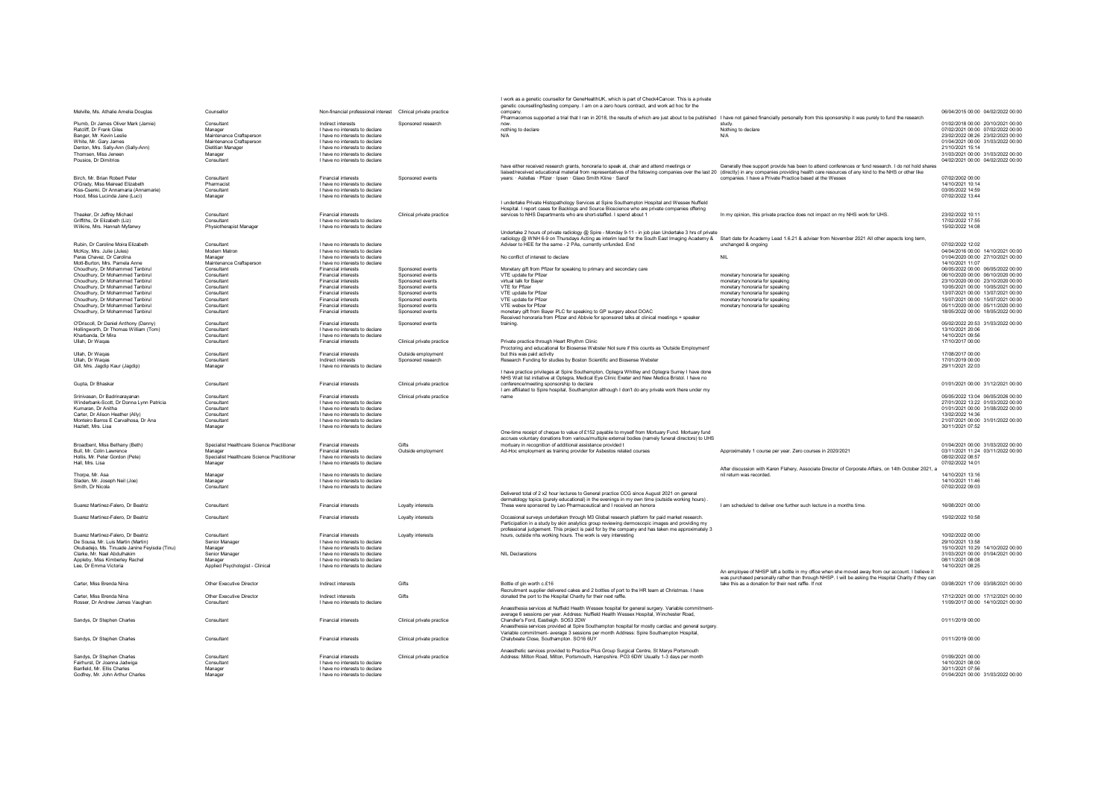|                                                                         |                                                       |                                                                  |                                      | I work as a genetic counsellor for GeneHealthUK, which is part of Check4Cancer. This is a private<br>genetic counselling/testing company. I am on a zero hours contract, and work ad hoc for the                   |                                                                                                       |                                                                        |
|-------------------------------------------------------------------------|-------------------------------------------------------|------------------------------------------------------------------|--------------------------------------|--------------------------------------------------------------------------------------------------------------------------------------------------------------------------------------------------------------------|-------------------------------------------------------------------------------------------------------|------------------------------------------------------------------------|
| Melville, Ms. Athalie Amelia Douglas                                    | Counsellor                                            | Non-financial professional interest Clinical private practice    |                                      | company<br>Pharmacomos supported a trial that I ran in 2018, the results of which are just about to be published I have not gained financially personally from this sponsorship it was purely to fund the research |                                                                                                       | 06/04/2015 00:00 04/02/2022 00:00                                      |
| Plumb. Dr James Oliver Mark (Jamie)                                     | Consultant                                            | Indirect interests                                               | Sponsored research                   | now.                                                                                                                                                                                                               |                                                                                                       | 01/02/2018 00:00 20/10/2021 00:00                                      |
| Ratcliff, Dr Frank Giles                                                | Manager                                               | I have no interests to declare                                   |                                      | nothing to declare                                                                                                                                                                                                 | Nothing to declare                                                                                    | 07/02/2021 00:00 07/02/2022 00:00                                      |
| Banger Mr Kevin Leslie                                                  | Maintenance Craftsperson                              | I have no interests to declare                                   |                                      | N/A                                                                                                                                                                                                                | N/A                                                                                                   | 23/02/2022 08:26 23/02/2023 00:00                                      |
| White Mr Gary James                                                     | Maintenance Craftsperson                              | I have no interests to declare                                   |                                      |                                                                                                                                                                                                                    |                                                                                                       | 01/04/2021 00:00 31/03/2022 00:00                                      |
| Denton, Mrs. Sally-Ann (Sally-Ann)<br>Thomsen Miss Jeneen               | <b>Dietitian Manager</b><br>Manager                   | I have no interests to declare<br>I have no interests to declare |                                      |                                                                                                                                                                                                                    |                                                                                                       | 21/10/2021 15:14<br>31/03/2021 00:00 31/03/2022 00:00                  |
| Pousios, Dr Dimitrios                                                   | Consultant                                            | I have no interests to declare                                   |                                      |                                                                                                                                                                                                                    |                                                                                                       | 04/02/2021 00:00 04/02/2022 00:00                                      |
|                                                                         |                                                       |                                                                  |                                      | have either received research grants, honoraria to speak at, chair and attend meetings or                                                                                                                          | Generally thee support provide has been to attend conferences or fund research. I do not hold shares  |                                                                        |
|                                                                         |                                                       |                                                                  |                                      | liaised/received educational material from representatives of the following companies over the last 20 (directly) in any companies providing health care resources of any kind to the NHS or other like            |                                                                                                       |                                                                        |
| Birch, Mr. Brian Robert Peter                                           | Consultant                                            | Financial interests                                              | Sponsored events                     | years: · Astellas · Pfizer · Ipsen · Glaxo Smith Kline · Sanof                                                                                                                                                     | companies. I have a Private Practice based at the Wessex                                              | 07/02/2002 00:00                                                       |
| O'Grady. Miss Mairead Elizabeth<br>Kiss-Csenki Dr Annamaria (Annamarie) | Pharmacis<br>Consultant                               | I have no interests to declare<br>I have no interests to declare |                                      |                                                                                                                                                                                                                    |                                                                                                       | 14/10/2021 10:14<br>03/05/2022 14:59                                   |
| Hood, Miss Lucinda Jane (Luci)                                          | Manager                                               | I have no interests to declare                                   |                                      |                                                                                                                                                                                                                    |                                                                                                       | 07/02/2022 13:44                                                       |
|                                                                         |                                                       |                                                                  |                                      | I undertake Private Histopathology Services at Spire Southampton Hospital and Wessex Nuffield                                                                                                                      |                                                                                                       |                                                                        |
|                                                                         |                                                       |                                                                  |                                      | Hospital. I report cases for Backlogs and Source Bioscience who are private companies offering                                                                                                                     |                                                                                                       |                                                                        |
| Theaker, Dr Jeffrey Michael                                             | Consultant                                            | <b>Financial interests</b>                                       | Clinical private practice            | services to NHS Departments who are short-staffed. I spend about 1                                                                                                                                                 | In my opinion, this private practice does not impact on my NHS work for UHS                           | 23/02/2022 10:11                                                       |
| Griffiths. Dr Elizabeth (Liz)                                           | Consultant                                            | I have no interests to declare                                   |                                      |                                                                                                                                                                                                                    |                                                                                                       | 17/02/2022 17:55<br>15/02/2022 14:08                                   |
| Wilkins, Mrs. Hannah Myfanwy                                            | Physiotherapist Manager                               | I have no interests to declare                                   |                                      | Undertake 2 hours of private radiology @ Spire - Monday 9-11 - in job plan Undertake 3 hrs of private                                                                                                              |                                                                                                       |                                                                        |
|                                                                         |                                                       |                                                                  |                                      | radiology @ WNH 6-9 on Thursdays Acting as interim lead for the South East Imaging Academy & Start date for Academy Lead 1.6.21 & adviser from November 2021 All other aspects long term,                          |                                                                                                       |                                                                        |
| Rubin Dr Caroline Moira Elizabeth                                       | Consultant                                            | I have no interests to declare                                   |                                      | Adviser to HEE for the same - 2 PAs, currently unfunded. End                                                                                                                                                       | unchanged & ongoing                                                                                   | 07/02/2022 12:02                                                       |
| McKoy, Mrs. Julie (Jules)                                               | Modern Matron                                         | I have no interests to declare                                   |                                      |                                                                                                                                                                                                                    |                                                                                                       | 04/04/2016 00:00 14/10/2021 00:00                                      |
| Paras Chavez, Dr Carolina                                               | Manager                                               | I have no interests to declare                                   |                                      | No conflict of interest to declare                                                                                                                                                                                 | <b>NIL</b>                                                                                            | 01/04/2020 00:00 27/10/2021 00:00                                      |
| Mott-Burton, Mrs. Pamela Anne<br>Choudhury, Dr Mohammed Tanbirul        | Maintenance Craftsperson<br>Consultant                | I have no interests to declare<br><b>Financial interests</b>     | Sponsored events                     | Monetary gift from Pfizer for speaking to primary and secondary care                                                                                                                                               |                                                                                                       | 14/10/2021 11:07<br>06/05/2022 00:00 06/05/2022 00:00                  |
| Choudhury, Dr Mohammed Tanbirul                                         | Consultant                                            | <b>Financial interests</b>                                       | Sponsored events                     | VTE update for Pfizer                                                                                                                                                                                              | monetary honoraria for speaking                                                                       | 06/10/2020 00:00 06/10/2020 00:00                                      |
| Choudhury, Dr Mohammed Tanbirul                                         | Consultant                                            | <b>Financial interests</b>                                       | Sponsored events                     | virtual talk for Bayer                                                                                                                                                                                             | monetary honoraria for speaking                                                                       | 23/10/2020 00:00 23/10/2020 00:00                                      |
| Choudhury, Dr Mohammed Tanbirul                                         | Consultant                                            | <b>Financial interests</b>                                       | Sponsored events                     | VTF for Pfizer                                                                                                                                                                                                     | monetary honoraria for speaking                                                                       | 10/05/2021 00:00 10/05/2021 00:00                                      |
| Choudhury, Dr Mohammed Tanbirul                                         | Consultant                                            | <b>Financial interests</b>                                       | Sponsored events                     | VTE update for Pfizer                                                                                                                                                                                              | monetary honoraria for speaking                                                                       | 13/07/2021 00:00 13/07/2021 00:00                                      |
| Choudhury, Dr Mohammed Tanbirul                                         | Consultant                                            | <b>Financial interests</b>                                       | Sponsored events                     | VTF undate for Pfizer                                                                                                                                                                                              | monetary honoraria for speaking                                                                       | 15/07/2021 00:00 15/07/2021 00:00                                      |
| Choudhury, Dr Mohammed Tanbirul<br>Choudhury, Dr Mohammed Tanbirul      | Consultant<br>Consultant                              | <b>Financial interests</b><br>Financial interests                | Sponsored events<br>Sponsored events | VTE webex for Pfizer<br>monetary gift from Bayer PLC for speaking to GP surgery about DOAC                                                                                                                         | monetary honoraria for speaking                                                                       | 05/11/2020 00:00 05/11/2020 00:00<br>18/05/2022 00:00 18/05/2022 00:00 |
|                                                                         |                                                       |                                                                  |                                      | Received honoraria from Pfizer and Abbvie for sponsored talks at clinical meetings + speaker                                                                                                                       |                                                                                                       |                                                                        |
| O'Driscoll, Dr Daniel Anthony (Danny)                                   | Consultant                                            | Financial interests                                              | Sponsored events                     | training                                                                                                                                                                                                           |                                                                                                       | 05/02/2022 20:53 31/03/2022 00:00                                      |
| Hollingworth, Dr Thomas William (Tom)                                   | Consultant                                            | I have no interests to declare                                   |                                      |                                                                                                                                                                                                                    |                                                                                                       | 13/10/2021 20:06                                                       |
| Kharbanda, Dr Mira                                                      | Consultant                                            | I have no interests to declare                                   |                                      |                                                                                                                                                                                                                    |                                                                                                       | 14/10/2021 09:56                                                       |
| Ullah, Dr Wagas                                                         | Consultant                                            | <b>Financial interests</b>                                       | Clinical private practice            | Private practice through Heart Rhythm Clinic<br>Proctoring and educational for Biosense Webster Not sure if this counts as 'Outside Employment'                                                                    |                                                                                                       | 17/10/2017 00:00                                                       |
| Ullah, Dr Waqas                                                         | Consultant                                            | Financial interests                                              | Outside employment                   | but this was paid activity                                                                                                                                                                                         |                                                                                                       | 17/08/2017 00:00                                                       |
| Ullah, Dr Waqas                                                         | Consultant                                            | Indirect interests                                               | Sponsored research                   | Research Funding for studies by Boston Scientific and Biosense Webster                                                                                                                                             |                                                                                                       | 17/01/2019 00:00                                                       |
| Gill, Mrs. Jagdip Kaur (Jagdip)                                         | Manager                                               | I have no interests to declare                                   |                                      |                                                                                                                                                                                                                    |                                                                                                       | 29/11/2021 22:03                                                       |
|                                                                         |                                                       |                                                                  |                                      | I have practice privileges at Spire Southampton, Optegra Whitley and Optegra Surrey I have done                                                                                                                    |                                                                                                       |                                                                        |
| Gupta, Dr Bhaskar                                                       | Consultant                                            | Financial interests                                              | Clinical private practice            | NHS Wait list initiative at Optegra, Medical Eye Clinic Exeter and New Medica Bristol. I have no<br>conference/meeting sponsorship to declare                                                                      |                                                                                                       | 01/01/2021 00:00 31/12/2021 00:00                                      |
|                                                                         |                                                       |                                                                  |                                      | I am affiliated to Spire hospital, Southampton although I don't do any private work there under my                                                                                                                 |                                                                                                       |                                                                        |
| Srinivasan, Dr Badrinarayanan                                           | Consultant                                            | Financial interests                                              | Clinical private practice            | name                                                                                                                                                                                                               |                                                                                                       | 05/05/2022 13:04 06/05/2026 00:00                                      |
| Winderbank-Scott, Dr Donna Lynn Patricia                                | Consultant                                            | I have no interests to declare                                   |                                      |                                                                                                                                                                                                                    |                                                                                                       | 27/01/2022 13:22 01/03/2022 00:00                                      |
| Kumaran, Dr Anitha                                                      | Consultant                                            | I have no interests to declare                                   |                                      |                                                                                                                                                                                                                    |                                                                                                       | 01/01/2021 00:00 31/08/2022 00:00                                      |
| Carter, Dr Alison Heather (Ally)                                        | Consultant<br>Consultant                              | I have no interests to declare<br>I have no interests to declare |                                      |                                                                                                                                                                                                                    |                                                                                                       | 13/02/2022 14:36                                                       |
| Monteiro Barros E Carvalhosa, Dr Ana<br>Hazlett Mrs Lisa                | Manager                                               | I have no interests to declare                                   |                                      |                                                                                                                                                                                                                    |                                                                                                       | 21/07/2021 00:00 31/01/2022 00:00<br>30/11/2021 07:52                  |
|                                                                         |                                                       |                                                                  |                                      | One-time receipt of cheque to value of £152 payable to myself from Mortuary Fund. Mortuary fund                                                                                                                    |                                                                                                       |                                                                        |
|                                                                         |                                                       |                                                                  |                                      | accrues voluntary donations from various/multiple external bodies (namely funeral directors) to UHS                                                                                                                |                                                                                                       |                                                                        |
| Broadbent, Miss Bethany (Beth)                                          | Specialist Healthcare Science Practitioner            | Financial interests                                              | Gifte                                | mortuary in recognition of additional assistance provided t                                                                                                                                                        |                                                                                                       | 01/04/2021 00:00 31/03/2022 00:00                                      |
| Bull, Mr. Colin Lawrenc                                                 | Manage                                                | <b>Financial interests</b>                                       | Outside employment                   | Ad-Hoc employment as training provider for Asbestos related courses                                                                                                                                                | Approximately 1 course per year. Zero courses in 2020/2021                                            | 03/11/2021 11:24 03/11/2022 00:00                                      |
| Hollis, Mr. Peter Gordon (Pete)<br>Hall, Mrs. Lisa                      | Specialist Healthcare Science Practitioner<br>Manager | I have no interests to declare<br>I have no interests to declare |                                      |                                                                                                                                                                                                                    |                                                                                                       | 08/02/2022 08:57<br>07/02/2022 14:01                                   |
|                                                                         |                                                       |                                                                  |                                      |                                                                                                                                                                                                                    | After discussion with Karen Flahery, Associate Director of Corporate Affairs, on 14th October 2021, a |                                                                        |
| Thorpe, Mr. Asa                                                         | Manager                                               | I have no interests to declare                                   |                                      |                                                                                                                                                                                                                    | nil return was recorded.                                                                              | 14/10/2021 13:16                                                       |
| Sladen, Mr. Joseph Neil (Joe)                                           | Manager                                               | I have no interests to declare                                   |                                      |                                                                                                                                                                                                                    |                                                                                                       | 14/10/2021 11:46                                                       |
| Smith, Dr Nicola                                                        | Consultant                                            | I have no interests to declare                                   |                                      |                                                                                                                                                                                                                    |                                                                                                       | 07/02/2022 09:03                                                       |
|                                                                         |                                                       |                                                                  |                                      | Delivered total of 2 x2 hour lectures to General practice CCG since August 2021 on general<br>dermatology topics (purely educational) in the evenings in my own time (outside working hours).                      |                                                                                                       |                                                                        |
| Suarez Martinez-Falero, Dr Beatriz                                      | Consultant                                            | Financial interests                                              | Lovalty interests                    | These were sponsored by Leo Pharmaceutical and I received an honora                                                                                                                                                | I am scheduled to deliver one further such lecture in a months time.                                  | 16/08/2021 00:00                                                       |
|                                                                         |                                                       |                                                                  |                                      |                                                                                                                                                                                                                    |                                                                                                       |                                                                        |
| Suarez Martinez-Falero, Dr Beatriz                                      | Consultant                                            | <b>Financial interests</b>                                       | Loyalty interests                    | Occasional surveys undertaken through M3 Global research platform for paid market research.                                                                                                                        |                                                                                                       | 15/02/2022 10:58                                                       |
|                                                                         |                                                       |                                                                  |                                      | Participation in a study by skin analytics group reviewing dermoscopic images and providing my                                                                                                                     |                                                                                                       |                                                                        |
| Suarez Martinez-Ealero, Dr Beatriz                                      | Consultant                                            | <b>Financial interests</b>                                       | Loyalty interests                    | professional judgement. This project is paid for by the company and has taken me approximately 3<br>hours, outside nhs working hours. The work is very interesting                                                 |                                                                                                       | 10/02/2022 00:00                                                       |
| De Sousa, Mr. Luis Martin (Martin)                                      | Senior Manager                                        | I have no interests to declare                                   |                                      |                                                                                                                                                                                                                    |                                                                                                       | 29/10/2021 13:58                                                       |
| Okubadejo, Ms. Tinuade Janine Feyisola (Tinu)                           | Manager                                               | I have no interests to declare                                   |                                      |                                                                                                                                                                                                                    |                                                                                                       | 15/10/2021 10:29 14/10/2022 00:00                                      |
| Clarke, Mr. Nael Abdulhakim                                             | Senior Manager                                        | I have no interests to declare                                   |                                      | <b>NIL Declarations</b>                                                                                                                                                                                            |                                                                                                       | 31/03/2021 00:00 01/04/2021 00:00                                      |
| Appleby, Miss Kimberley Rachel                                          | Manager                                               | I have no interests to declare                                   |                                      |                                                                                                                                                                                                                    |                                                                                                       | 08/11/2021 08:08                                                       |
| Lee, Dr Emma Victoria                                                   | Applied Psychologist - Clinical                       | I have no interests to declare                                   |                                      |                                                                                                                                                                                                                    | An employee of NHSP left a bottle in my office when she moved away from our account. I believe it     | 14/10/2021 08:25                                                       |
|                                                                         |                                                       |                                                                  |                                      |                                                                                                                                                                                                                    | was purchased personally rather than through NHSP. I will be asking the Hospital Charity if they can  |                                                                        |
| Carter, Miss Brenda Nina                                                | Other Executive Director                              | Indirect interests                                               | Gifts                                | Bottle of ain worth c.£16                                                                                                                                                                                          | take this as a donation for their next raffle. If not                                                 | 03/08/2021 17:09 03/08/2021 00:00                                      |
|                                                                         |                                                       |                                                                  |                                      | Recruitment supplier delivered cakes and 2 bottles of port to the HR team at Christmas. I have                                                                                                                     |                                                                                                       |                                                                        |
| Carter. Miss Brenda Nina                                                | Other Executive Director                              | Indirect interests                                               | Gifts                                | donated the port to the Hospital Charity for their next raffle.                                                                                                                                                    |                                                                                                       | 17/12/2021 00:00 17/12/2021 00:00                                      |
| Rosser, Dr Andrew James Vaughan                                         | Consultant                                            | I have no interests to declare                                   |                                      |                                                                                                                                                                                                                    |                                                                                                       | 11/09/2017 00:00 14/10/2021 00:00                                      |
|                                                                         |                                                       |                                                                  |                                      | Anaesthesia services at Nuffield Health Wessex hospital for general surgery. Variable commitment-<br>average 6 sessions per year. Address: Nuffield Health Wessex Hospital, Winchester Road,                       |                                                                                                       |                                                                        |
| Sandys. Dr Stephen Charles                                              | Consultant                                            | Financial interests                                              | Clinical private practice            | Chandler's Ford, Eastleigh, SO53 2DW                                                                                                                                                                               |                                                                                                       | 01/11/2019 00:00                                                       |
|                                                                         |                                                       |                                                                  |                                      | Anaesthesia services provided at Spire Southampton hospital for mostly cardiac and general surgery.                                                                                                                |                                                                                                       |                                                                        |
|                                                                         |                                                       |                                                                  |                                      | Variable commitment- average 3 sessions per month Address: Spire Southampton Hospital,                                                                                                                             |                                                                                                       |                                                                        |
| Sandys, Dr Stephen Charles                                              | Consultant                                            | <b>Financial interests</b>                                       | Clinical private practice            | Chalybeate Close, Southampton. SO16 6UY                                                                                                                                                                            |                                                                                                       | 01/11/2019 00:00                                                       |
|                                                                         |                                                       |                                                                  |                                      | Anaesthetic services provided to Practice Plus Group Surgical Centre, St Marys Portsmouth                                                                                                                          |                                                                                                       |                                                                        |
| Sandys. Dr Stephen Charles                                              | Consultant                                            | <b>Financial interests</b>                                       | Clinical private practice            | Address: Milton Road, Milton, Portsmouth, Hampshire. PO3 6DW Usually 1-3 days per month                                                                                                                            |                                                                                                       | 01/09/2021 00:00                                                       |
| Fairhurst, Dr Joanna Jadwiga                                            | Consultant                                            | I have no interests to declare                                   |                                      |                                                                                                                                                                                                                    |                                                                                                       | 14/10/2021 08:00                                                       |
| Banfield, Mr. Ellis Charles                                             | Manager                                               | I have no interests to declare                                   |                                      |                                                                                                                                                                                                                    |                                                                                                       | 30/11/2021 07:56                                                       |
| Godfrey, Mr. John Arthur Charles                                        | Manager                                               | I have no interests to declare                                   |                                      |                                                                                                                                                                                                                    |                                                                                                       | 01/04/2021 00:00 31/03/2022 00:00                                      |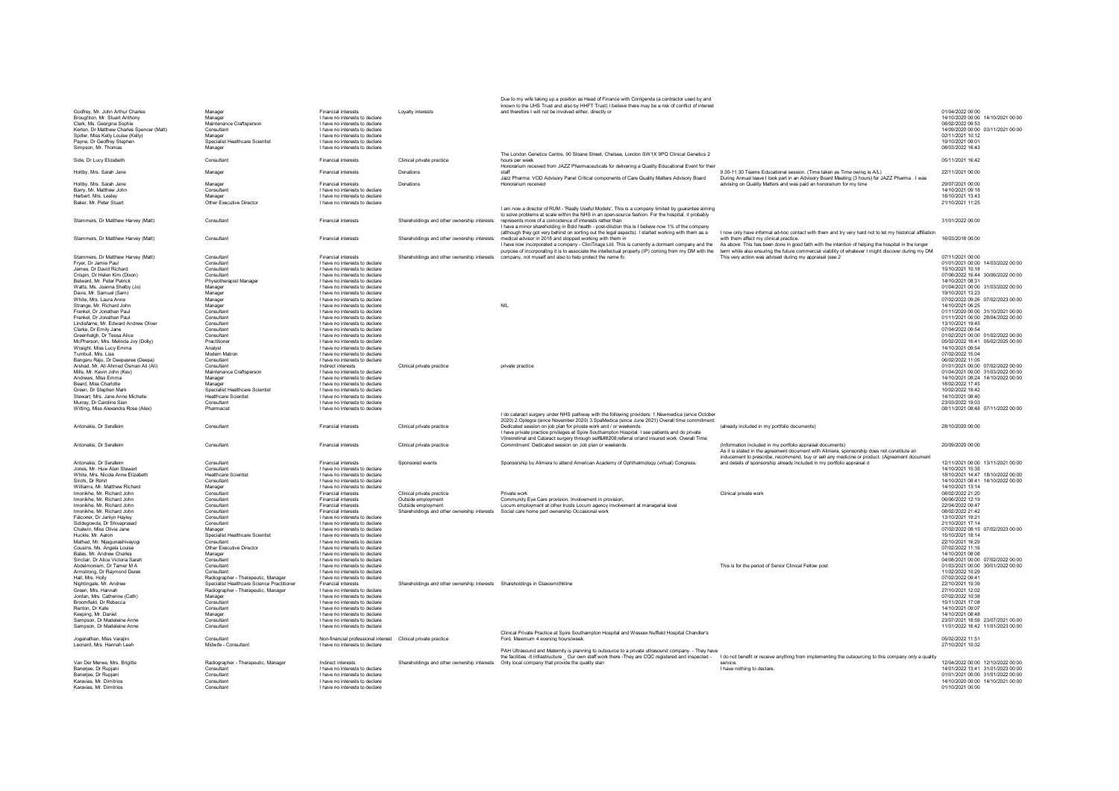|                                                                                |                                            |                                                                  |                                                                              | Due to my wife taking up a position as Head of Finance with Corrigenda (a contractor used by and<br>known to the UHS Trust and also by HHFT Trust) I believe there may be a risk of conflict of interest |                                                                                                                                                                                                             |                                                                        |
|--------------------------------------------------------------------------------|--------------------------------------------|------------------------------------------------------------------|------------------------------------------------------------------------------|----------------------------------------------------------------------------------------------------------------------------------------------------------------------------------------------------------|-------------------------------------------------------------------------------------------------------------------------------------------------------------------------------------------------------------|------------------------------------------------------------------------|
| Godfrey, Mr. John Arthur Charles                                               | Manager                                    | Financial interests                                              | Lovalty interests                                                            | and therefore I will not be involved either, directly or                                                                                                                                                 |                                                                                                                                                                                                             | 01/04/2022 00:00                                                       |
| Broughton, Mr. Stuart Anthony                                                  | Manager                                    | I have no interests to declare                                   |                                                                              |                                                                                                                                                                                                          |                                                                                                                                                                                                             | 14/10/2020 00:00 14/10/2021 00:00                                      |
| Clark, Ms. Georgina Sophie                                                     | Maintenance Craftsperson                   | I have no interests to declare                                   |                                                                              |                                                                                                                                                                                                          |                                                                                                                                                                                                             | 08/02/2022 09:53                                                       |
| Kerton, Dr Matthew Charles Spencer (Matt)<br>Spiller Miss Kelly Louise (Kelly) | Consultant                                 | I have no interests to declare                                   |                                                                              |                                                                                                                                                                                                          |                                                                                                                                                                                                             | 14/09/2020 00:00 03/11/2021 00:00<br>02/11/2021 10:12                  |
| Payne, Dr Geoffrey Stephen                                                     | Manager<br>Specialist Healthcare Scientist | I have no interests to declare<br>I have no interests to declare |                                                                              |                                                                                                                                                                                                          |                                                                                                                                                                                                             | 19/10/2021 09:01                                                       |
| Simpson Mr Thomas                                                              | Manager                                    | I have no interests to declare                                   |                                                                              |                                                                                                                                                                                                          |                                                                                                                                                                                                             | 08/03/2022 16:43                                                       |
|                                                                                |                                            |                                                                  |                                                                              | The London Genetics Centre, 90 Sloane Street, Chelsea, London SW1X 9PQ Clinical Genetics 2                                                                                                               |                                                                                                                                                                                                             |                                                                        |
| Side, Dr Lucy Elizabeth                                                        | Consultant                                 | <b>Financial interests</b>                                       | Clinical private practice                                                    | hours per week                                                                                                                                                                                           |                                                                                                                                                                                                             | 05/11/2021 16:42                                                       |
| Holtby, Mrs. Sarah Jane                                                        | Manager                                    | <b>Financial interests</b>                                       | Donations                                                                    | Honorarium received from JAZZ Pharmaceuticals for delivering a Quality Educational Event for their<br>staff                                                                                              | 9.30-11.30 Teams Educational session. (Time taken as Time owing ie A/L)                                                                                                                                     | 22/11/2021 00:00                                                       |
|                                                                                |                                            |                                                                  |                                                                              | Jazz Pharma: VOD Advisory Panel Critical components of Care Quality Matters Advisory Board                                                                                                               | During Annual leave I took part in an Advisory Board Meeting (3 hours) for JAZZ Pharma . I was                                                                                                              |                                                                        |
| Holtby, Mrs. Sarah Jane                                                        | Manager                                    | <b>Financial interests</b>                                       | Donations                                                                    | Honorarium received                                                                                                                                                                                      | advising on Quality Matters and was paid an honorarium for my time                                                                                                                                          | 29/07/2021 00:00                                                       |
| Barry, Mr. Matthew John                                                        | Consultant                                 | I have no interests to declare                                   |                                                                              |                                                                                                                                                                                                          |                                                                                                                                                                                                             | 14/10/2021 09:18                                                       |
| Herbert, Mrs. Lesley<br>Baker, Mr. Peter Stuart                                | Manager<br>Other Executive Director        | I have no interests to declare<br>I have no interests to declare |                                                                              |                                                                                                                                                                                                          |                                                                                                                                                                                                             | 18/10/2021 13:43<br>21/10/2021 11:25                                   |
|                                                                                |                                            |                                                                  |                                                                              | I am now a director of RUM - 'Really Useful Models'. This is a company limited by guarantee aiming                                                                                                       |                                                                                                                                                                                                             |                                                                        |
|                                                                                |                                            |                                                                  |                                                                              | to solve problems at scale within the NHS in an open-source fashion. For the hospital, it probably                                                                                                       |                                                                                                                                                                                                             |                                                                        |
| Stammers, Dr Matthew Harvey (Matt)                                             | Consultant                                 | <b>Financial interests</b>                                       | Shareholdings and other ownership interests                                  | represents more of a coincidence of interests rather than                                                                                                                                                |                                                                                                                                                                                                             | 31/01/2022 00:00                                                       |
|                                                                                |                                            |                                                                  |                                                                              | I have a minor shareholding in Bold health - post-dilution this is I believe now 1% of the company<br>(although they got very behind on sorting out the legal aspects). I started working with them as a | I now only have informal ad-hoc contact with them and try very hard not to let my historical affiliation                                                                                                    |                                                                        |
| Stammers. Dr Matthew Harvey (Matt)                                             | Consultan                                  | <b>Financial interests</b>                                       | Shareholdings and other ownership interests                                  | medical advisor in 2018 and stopped working with them in                                                                                                                                                 | with them affect my clinical practice.                                                                                                                                                                      | 16/03/2018 00:00                                                       |
|                                                                                |                                            |                                                                  |                                                                              | I have now incorporated a company - CliniTriage Ltd. This is currently a dormant company and the As above. This has been done in good faith with the intention of helping the hospital in the longer     |                                                                                                                                                                                                             |                                                                        |
|                                                                                |                                            |                                                                  |                                                                              | purpose of incorporating it is to associate the intellectual property (IP) coming from my DM with the                                                                                                    | term while also ensuring the future commercial viability of whatever I might discover during my DM.                                                                                                         |                                                                        |
| Stammers, Dr Matthew Harvey (Matt)                                             | Consultant                                 | <b>Financial interests</b>                                       |                                                                              | Shareholdings and other ownership interests company, not myself and also to help protect the name fo                                                                                                     | This very action was advised during my appraisal (see 2                                                                                                                                                     | 07/11/2021 00:00                                                       |
| Fryer, Dr Jamie Paul<br>James, Dr David Richard                                | Consultant<br>Consultant                   | I have no interests to declare                                   |                                                                              |                                                                                                                                                                                                          |                                                                                                                                                                                                             | 01/01/2021 00:00 14/03/2022 00:00<br>15/10/2021 10:18                  |
| Crispin, Dr Helen Kim (Dixon)                                                  | Consultant                                 | I have no interests to declare<br>I have no interests to declare |                                                                              |                                                                                                                                                                                                          |                                                                                                                                                                                                             | 07/06/2022 16:44 30/06/2022 00:00                                      |
| <b>Belward Mr Peter Patrick</b>                                                | Physiotherapist Manager                    | I have no interests to declare                                   |                                                                              |                                                                                                                                                                                                          |                                                                                                                                                                                                             | 14/10/2021 08:31                                                       |
| Watts, Ms. Joanna Shelby (Jo)                                                  | Manager                                    | I have no interests to declare                                   |                                                                              |                                                                                                                                                                                                          |                                                                                                                                                                                                             | 01/04/2021 00:00 31/03/2022 00:00                                      |
| Davis, Mr. Samuel (Sam)                                                        | Manager                                    | I have no interests to declare                                   |                                                                              |                                                                                                                                                                                                          |                                                                                                                                                                                                             | 19/10/2021 13:23                                                       |
| White, Mrs. Laura Anne                                                         | Manager                                    | I have no interests to declare                                   |                                                                              |                                                                                                                                                                                                          |                                                                                                                                                                                                             | 07/02/2022 09:26 07/02/2023 00:00                                      |
| Strange, Mr. Richard John                                                      | Manager                                    | I have no interests to declare                                   |                                                                              | NIL                                                                                                                                                                                                      |                                                                                                                                                                                                             | 14/10/2021 06:25                                                       |
| Frankel, Dr Jonathan Paul                                                      | Consultant                                 | I have no interests to declare                                   |                                                                              |                                                                                                                                                                                                          |                                                                                                                                                                                                             | 01/11/2020 00:00 31/10/2021 00:00                                      |
| Frankel, Dr Jonathan Paul<br>Lindisfarne, Mr. Edward Andrew Oliver             | Consultant<br>Consultant                   | I have no interests to declare<br>I have no interests to declare |                                                                              |                                                                                                                                                                                                          |                                                                                                                                                                                                             | 01/11/2021 00:00 28/04/2022 00:00<br>13/10/2021 19:45                  |
| Clarke, Dr Emily Jane                                                          | Consultant                                 | I have no interests to declare                                   |                                                                              |                                                                                                                                                                                                          |                                                                                                                                                                                                             | 07/04/2022 09:54                                                       |
| Greenhalgh, Dr Tessa Alice                                                     | Consultant                                 | I have no interests to declare                                   |                                                                              |                                                                                                                                                                                                          |                                                                                                                                                                                                             | 01/02/2021 00:00 01/02/2022 00:00                                      |
| McPherson, Mrs. Melinda Joy (Dolly)                                            | Practitioner                               | I have no interests to declare                                   |                                                                              |                                                                                                                                                                                                          |                                                                                                                                                                                                             | 05/02/2022 16:41 05/02/2025 00:00                                      |
| Wraight, Miss Lucy Emma                                                        | Analyst                                    | I have no interests to declare                                   |                                                                              |                                                                                                                                                                                                          |                                                                                                                                                                                                             | 14/10/2021 09:54                                                       |
| Turnbull, Mrs. Lisa                                                            | Modern Matron                              | I have no interests to declare                                   |                                                                              |                                                                                                                                                                                                          |                                                                                                                                                                                                             | 07/02/2022 15:04                                                       |
| Bangaru Raju, Dr Deepasree (Deepa)                                             | Consultant                                 | I have no interests to declare                                   |                                                                              |                                                                                                                                                                                                          |                                                                                                                                                                                                             | 06/02/2022 11:05                                                       |
| Arshad, Mr. Ali Ahmed Osman Ali (Ali)                                          | Consultant                                 | Indirect interests                                               | Clinical private practice                                                    | private practice                                                                                                                                                                                         |                                                                                                                                                                                                             | 01/01/2021 00:00 07/02/2022 00:00                                      |
| Mills, Mr. Kevin John (Kev)<br>Andrews, Miss Emma                              | Maintenance Craftsperson<br>Manager        | I have no interests to declare<br>I have no interests to declare |                                                                              |                                                                                                                                                                                                          |                                                                                                                                                                                                             | 01/04/2021 00:00 31/03/2022 00:00<br>14/10/2021 08:24 14/10/2022 00:00 |
| Beard, Miss Charlotte                                                          | Manager                                    | I have no interests to declare                                   |                                                                              |                                                                                                                                                                                                          |                                                                                                                                                                                                             | 18/02/2022 17:45                                                       |
|                                                                                |                                            |                                                                  |                                                                              |                                                                                                                                                                                                          |                                                                                                                                                                                                             |                                                                        |
| Green Dr Stephen Mark                                                          | Specialist Healthcare Scientist            | I have no interests to declare                                   |                                                                              |                                                                                                                                                                                                          |                                                                                                                                                                                                             | 10/02/2022 18:42                                                       |
| Stewart Mrs. Jane Anne Michelle                                                | <b>Healthcare Scientist</b>                | I have no interests to declare                                   |                                                                              |                                                                                                                                                                                                          |                                                                                                                                                                                                             | 14/10/2021 08:40                                                       |
| Murray, Dr Caroline Sian                                                       | Consultant                                 | I have no interests to declare                                   |                                                                              |                                                                                                                                                                                                          |                                                                                                                                                                                                             | 23/03/2022 19:03                                                       |
| Witting, Miss Alexandra Rose (Alex)                                            | Pharmacist                                 | I have no interests to declare                                   |                                                                              |                                                                                                                                                                                                          |                                                                                                                                                                                                             | 08/11/2021 08:48 07/11/2022 00:00                                      |
|                                                                                |                                            |                                                                  |                                                                              | I do cataract surgery under NHS pathway with the following providers: 1.Newmedica (since October                                                                                                         |                                                                                                                                                                                                             |                                                                        |
|                                                                                | Consultant                                 | <b>Financial interests</b>                                       |                                                                              | 2020) 2.Optegra (since November 2020) 3.SpaMedica (since June 2021) Overall time commitment                                                                                                              |                                                                                                                                                                                                             |                                                                        |
| Antonakis. Dr Serafeim                                                         |                                            |                                                                  | Clinical private practice                                                    | Dedicated session on job plan for private work and / or weekends.<br>I have private practice privileges at Spire Southampton Hospital. I see patients and do private                                     | (already included in my portfolio documents)                                                                                                                                                                | 28/10/2020 00:00                                                       |
|                                                                                |                                            |                                                                  |                                                                              | Vitreoretinal and Cataract surgery through self‐referral or/and insured work. Overall Time                                                                                                               |                                                                                                                                                                                                             |                                                                        |
| Antonakis Dr Serafeim                                                          | Consultant                                 | <b>Financial interests</b>                                       | Clinical private practice                                                    | Commitment: Dedicated session on Job plan or weekends.                                                                                                                                                   | (Information included in my portfolio appraisal documents)                                                                                                                                                  | 20/09/2020 00:00                                                       |
|                                                                                |                                            |                                                                  |                                                                              |                                                                                                                                                                                                          | As it is stated in the agreement document with Alimera, sponsorship does not constitute an                                                                                                                  |                                                                        |
|                                                                                |                                            |                                                                  |                                                                              |                                                                                                                                                                                                          | inducement to prescribe, recommend, buy or sell any medicine or product. (Agreement document                                                                                                                |                                                                        |
| Antonakis, Dr Serafeim                                                         | Consultant                                 | <b>Financial interests</b>                                       | Sponsored events                                                             | Sponsorship by Alimera to attend American Academy of Ophthalmology (virtual) Congress                                                                                                                    | and details of sponsorship already included in my portfolio appraisal d                                                                                                                                     | 12/11/2021 00:00 13/11/2021 00:00                                      |
| Jones, Mr. Huw Alan Stewart<br>White, Mrs. Nicola Anne Elizabeth               | Consultant<br><b>Healthcare Scientis</b>   | I have no interests to declare<br>I have no interests to declare |                                                                              |                                                                                                                                                                                                          |                                                                                                                                                                                                             | 14/10/2021 15:35<br>18/10/2021 14:47 18/10/2022 00:00                  |
| Sirohi, Dr Rohit                                                               | Consultant                                 | I have no interests to declare                                   |                                                                              |                                                                                                                                                                                                          |                                                                                                                                                                                                             | 14/10/2021 08:41 14/10/2022 00:00                                      |
| Williams, Mr. Matthew Richard                                                  | Manager                                    | I have no interests to declare                                   |                                                                              |                                                                                                                                                                                                          |                                                                                                                                                                                                             | 14/10/2021 13:14                                                       |
| Imonikhe, Mr. Richard John                                                     | Consultan                                  | <b>Financial interests</b>                                       | Clinical private practice                                                    | Private work                                                                                                                                                                                             | Clinical private work                                                                                                                                                                                       | 08/02/2022 21:20                                                       |
| Imonikhe, Mr. Richard John                                                     | Consultant                                 | Financial interests                                              | Outside employment                                                           | Community Eye Care provision. Involvement in provision.                                                                                                                                                  |                                                                                                                                                                                                             | 06/06/2022 12:19                                                       |
| Imonikhe, Mr. Richard John                                                     | Consultant                                 | Financial interests                                              | Outside employment                                                           | Locum employment at other trusts Locum agency involvement at managerial level                                                                                                                            |                                                                                                                                                                                                             | 22/04/2022 09:47                                                       |
| Imonikhe, Mr. Richard John<br>Falconer. Dr Janlyn Hayley                       | Consultant<br>Consultant                   | Financial interests<br>I have no interests to declare            | Shareholdings and other ownership interests                                  | Social care home part ownership Occasional work                                                                                                                                                          |                                                                                                                                                                                                             | 08/02/2022 21:42<br>13/10/2021 19:21                                   |
| Siddegowda, Dr Shivaprasad                                                     | Consultant                                 | I have no interests to declare                                   |                                                                              |                                                                                                                                                                                                          |                                                                                                                                                                                                             | 21/10/2021 17:14                                                       |
| Chalwin, Miss Olivia Jane                                                      | Manager                                    | I have no interests to declare                                   |                                                                              |                                                                                                                                                                                                          |                                                                                                                                                                                                             | 07/02/2022 08:15 07/02/2023 00:00                                      |
| Huckle Mr Aaron                                                                | Specialist Healthcare Scientist            | I have no interests to declare                                   |                                                                              |                                                                                                                                                                                                          |                                                                                                                                                                                                             | 15/10/2021 18:14                                                       |
| Mathad, Mr. Nijagunashiyayogi                                                  | Consultant                                 | I have no interests to declare                                   |                                                                              |                                                                                                                                                                                                          |                                                                                                                                                                                                             | 22/10/2021 16:29                                                       |
| Cousins, Ms. Angela Louise                                                     | Other Executive Director                   | I have no interests to declare                                   |                                                                              |                                                                                                                                                                                                          |                                                                                                                                                                                                             | 07/02/2022 11:16                                                       |
| Bates Mr Andrew Charles<br>Sinclair. Dr Alice Victoria Sarah                   | Manager<br>Consultant                      | I have no interests to declare<br>I have no interests to declare |                                                                              |                                                                                                                                                                                                          |                                                                                                                                                                                                             | 14/10/2021 08:08<br>04/08/2021 00:00 07/02/2022 00:00                  |
| Abdelmoniem. Dr Tamer M A                                                      | Consultant                                 | I have no interests to declare                                   |                                                                              |                                                                                                                                                                                                          | This is for the period of Senior Clinical Fellow post                                                                                                                                                       | 01/03/2021 00:00 30/01/2022 00:00                                      |
| Armstrong, Dr Raymond Derek                                                    | Consultant                                 | I have no interests to declare                                   |                                                                              |                                                                                                                                                                                                          |                                                                                                                                                                                                             | 11/02/2022 10:29                                                       |
| Hall, Mrs. Holly                                                               | Radiographer - Therapeutic, Manager        | I have no interests to declare                                   |                                                                              |                                                                                                                                                                                                          |                                                                                                                                                                                                             | 07/02/2022 09:41                                                       |
| Nightingale, Mr. Andrew                                                        | Specialist Healthcare Science Practitioner | <b>Financial interests</b>                                       | Shareholdings and other ownership interests Shareholdings in Glaxosmithkline |                                                                                                                                                                                                          |                                                                                                                                                                                                             | 22/10/2021 10:39                                                       |
| Green, Mrs. Hannah                                                             | Radiographer - Therapeutic, Manager        | I have no interests to declare                                   |                                                                              |                                                                                                                                                                                                          |                                                                                                                                                                                                             | 27/10/2021 12:02                                                       |
| Jordan, Mrs. Catherine (Cath)                                                  | Manager                                    | I have no interests to declare                                   |                                                                              |                                                                                                                                                                                                          |                                                                                                                                                                                                             | 07/02/2022 10:38                                                       |
| Broomfield, Dr Rebecca<br>Renton, Dr Kate                                      | Consultant<br>Consultant                   | I have no interests to declare<br>I have no interests to declare |                                                                              |                                                                                                                                                                                                          |                                                                                                                                                                                                             | 15/11/2021 17:08<br>14/10/2021 09:07                                   |
| Keeping, Mr. Daniel                                                            | Manager                                    | I have no interests to declare                                   |                                                                              |                                                                                                                                                                                                          |                                                                                                                                                                                                             | 14/10/2021 08:48                                                       |
| Sampson, Dr Madeleine Anne                                                     | Consultan                                  | I have no interests to declare                                   |                                                                              |                                                                                                                                                                                                          |                                                                                                                                                                                                             | 23/07/2021 18:59 23/07/2021 00:00                                      |
| Sampson, Dr Madeleine Anne                                                     | Consultant                                 | I have no interests to declare                                   |                                                                              |                                                                                                                                                                                                          |                                                                                                                                                                                                             | 11/01/2022 16:42 11/01/2023 00:00                                      |
|                                                                                |                                            |                                                                  |                                                                              | Clinical Private Practice at Spire Southampton Hospital and Wessex Nuffield Hospital Chandler's                                                                                                          |                                                                                                                                                                                                             |                                                                        |
| Joganathan, Miss Varajini                                                      | Consultant                                 | Non-financial professional interest Clinical private practice    |                                                                              | Ford. Maximum 4 evening hours/week                                                                                                                                                                       |                                                                                                                                                                                                             | 05/02/2022 11:51                                                       |
| Leonard, Mrs. Hannah Leah                                                      | Midwife - Consultant                       | I have no interests to declare                                   |                                                                              | PAH Ultrasound and Maternity is planning to outsource to a private ultrasound company. - They have                                                                                                       |                                                                                                                                                                                                             | 27/10/2021 10:32                                                       |
|                                                                                |                                            |                                                                  |                                                                              |                                                                                                                                                                                                          | the facilities -It infrastructure _ Our own staff work there -They are CQC registered and inspected - I do not benefit or receive anything from implementing the outsourcing to this company only a quality |                                                                        |
| Van Der Merwe, Mrs. Brigitte                                                   | Radiographer - Therapeutic. Manager        | Indirect interests                                               |                                                                              | Shareholdings and other ownership interests   Only local company that provide the quality stan                                                                                                           | service.                                                                                                                                                                                                    | 12/04/2022 00:00 12/10/2022 00:00                                      |
| Baneriee. Dr Rupiani                                                           | Consultant                                 | I have no interests to declare                                   |                                                                              |                                                                                                                                                                                                          | I have nothing to declare.                                                                                                                                                                                  | 14/01/2022 13:41 31/01/2023 00:00                                      |
| Baneriee. Dr Rupiani<br>Karavias, Mr. Dimitrios                                | Consultant<br>Consultant                   | I have no interests to declare<br>I have no interests to declare |                                                                              |                                                                                                                                                                                                          |                                                                                                                                                                                                             | 01/01/2021 00:00 31/01/2022 00:00<br>14/10/2020 00:00 14/10/2021 00:00 |